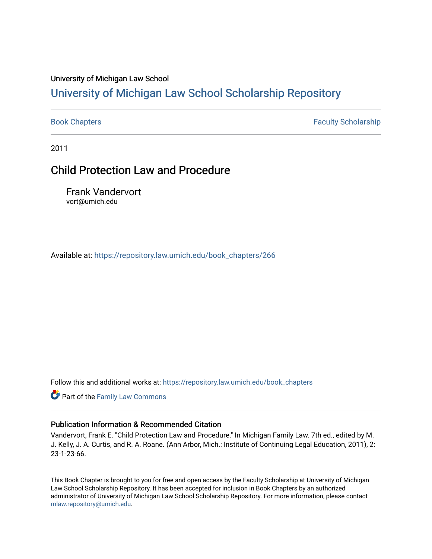### University of Michigan Law School

# [University of Michigan Law School Scholarship Repository](https://repository.law.umich.edu/)

[Book Chapters](https://repository.law.umich.edu/book_chapters) **Faculty Scholarship** 

2011

# Child Protection Law and Procedure

Frank Vandervort vort@umich.edu

Available at: [https://repository.law.umich.edu/book\\_chapters/266](https://repository.law.umich.edu/book_chapters/266) 

Follow this and additional works at: [https://repository.law.umich.edu/book\\_chapters](https://repository.law.umich.edu/book_chapters?utm_source=repository.law.umich.edu%2Fbook_chapters%2F266&utm_medium=PDF&utm_campaign=PDFCoverPages)

**Part of the Family Law Commons** 

### Publication Information & Recommended Citation

Vandervort, Frank E. "Child Protection Law and Procedure." In Michigan Family Law. 7th ed., edited by M. J. Kelly, J. A. Curtis, and R. A. Roane. (Ann Arbor, Mich.: Institute of Continuing Legal Education, 2011), 2: 23-1-23-66.

This Book Chapter is brought to you for free and open access by the Faculty Scholarship at University of Michigan Law School Scholarship Repository. It has been accepted for inclusion in Book Chapters by an authorized administrator of University of Michigan Law School Scholarship Repository. For more information, please contact [mlaw.repository@umich.edu.](mailto:mlaw.repository@umich.edu)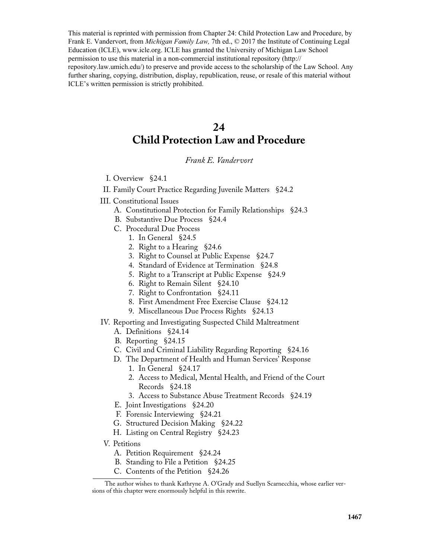This material is reprinted with permission from Chapter 24: Child Protection Law and Procedure, by Frank E. Vandervort, from *Michigan Family Law,* 7th ed., © 2017 the Institute of Continuing Legal Education (ICLE), www.icle.org. ICLE has granted the University of Michigan Law School permission to use this material in a non-commercial institutional repository (http:// repository.law.umich.edu/) to preserve and provide access to the scholarship of the Law School. Any further sharing, copying, distribution, display, republication, reuse, or resale of this material without ICLE's written permission is strictly prohibited.

# **24 Child Protection Law and Procedure**

### *Frank E. Vandervort*

- I. Overview §24.1
- II. Family Court Practice Regarding Juvenile Matters §24.2
- III. Constitutional Issues
	- A. Constitutional Protection for Family Relationships §24.3
	- B. Substantive Due Process §24.4
	- C. Procedural Due Process
		- 1. In General §24.5
		- 2. Right to a Hearing §24.6
		- 3. Right to Counsel at Public Expense §24.7
		- 4. Standard of Evidence at Termination §24.8
		- 5. Right to a Transcript at Public Expense §24.9
		- 6. Right to Remain Silent §24.10
		- 7. Right to Confrontation §24.11
		- 8. First Amendment Free Exercise Clause §24.12
		- 9. Miscellaneous Due Process Rights §24.13
- IV. Reporting and Investigating Suspected Child Maltreatment
	- A. Definitions §24.14
	- B. Reporting §24.15
	- C. Civil and Criminal Liability Regarding Reporting §24.16
	- D. The Department of Health and Human Services' Response 1. In General §24.17
		- 2. Access to Medical, Mental Health, and Friend of the Court Records §24.18
		- 3. Access to Substance Abuse Treatment Records §24.19
	- E. Joint Investigations §24.20
	- F. Forensic Interviewing §24.21
	- G. Structured Decision Making §24.22
	- H. Listing on Central Registry §24.23
- V. Petitions
	- A. Petition Requirement §24.24
	- B. Standing to File a Petition §24.25
	- C. Contents of the Petition §24.26

The author wishes to thank Kathryne A. O'Grady and Suellyn Scarnecchia, whose earlier versions of this chapter were enormously helpful in this rewrite.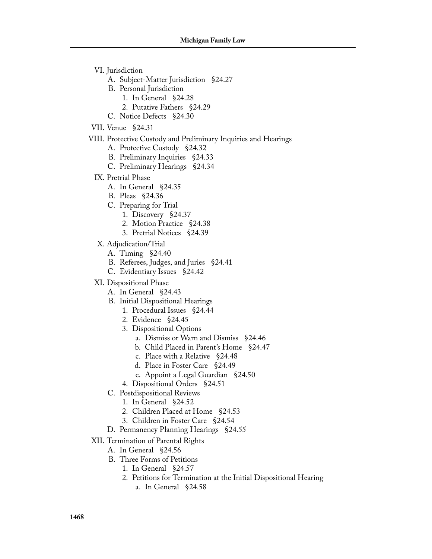- VI. Jurisdiction
	- A. Subject-Matter Jurisdiction §24.27
	- B. Personal Jurisdiction
		- 1. In General §24.28
		- 2. Putative Fathers §24.29
	- C. Notice Defects §24.30
- VII. Venue §24.31
- VIII. Protective Custody and Preliminary Inquiries and Hearings
	- A. Protective Custody §24.32
	- B. Preliminary Inquiries §24.33
	- C. Preliminary Hearings §24.34
	- IX. Pretrial Phase
		- A. In General §24.35
		- B. Pleas §24.36
		- C. Preparing for Trial
			- 1. Discovery §24.37
			- 2. Motion Practice §24.38
			- 3. Pretrial Notices §24.39
	- X. Adjudication/Trial
		- A. Timing §24.40
		- B. Referees, Judges, and Juries §24.41
		- C. Evidentiary Issues §24.42
	- XI. Dispositional Phase
		- A. In General §24.43
		- B. Initial Dispositional Hearings
			- 1. Procedural Issues §24.44
			- 2. Evidence §24.45
			- 3. Dispositional Options
				- a. Dismiss or Warn and Dismiss §24.46
				- b. Child Placed in Parent's Home §24.47
				- c. Place with a Relative §24.48
				- d. Place in Foster Care §24.49
				- e. Appoint a Legal Guardian §24.50
			- 4. Dispositional Orders §24.51
		- C. Postdispositional Reviews
			- 1. In General §24.52
			- 2. Children Placed at Home §24.53
			- 3. Children in Foster Care §24.54
		- D. Permanency Planning Hearings §24.55
- XII. Termination of Parental Rights
	- A. In General §24.56
		- B. Three Forms of Petitions
			- 1. In General §24.57
			- 2. Petitions for Termination at the Initial Dispositional Hearing a. In General §24.58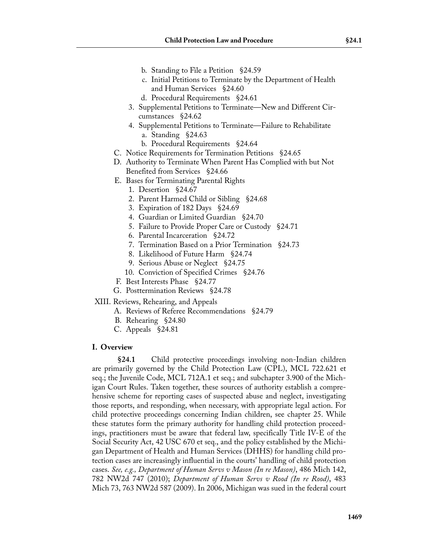- b. Standing to File a Petition §24.59
- c. Initial Petitions to Terminate by the Department of Health and Human Services §24.60
- d. Procedural Requirements §24.61
- 3. Supplemental Petitions to Terminate—New and Different Circumstances §24.62
- 4. Supplemental Petitions to Terminate—Failure to Rehabilitate a. Standing §24.63
	- b. Procedural Requirements §24.64
- C. Notice Requirements for Termination Petitions §24.65
- D. Authority to Terminate When Parent Has Complied with but Not Benefited from Services §24.66
- E. Bases for Terminating Parental Rights
	- 1. Desertion §24.67
	- 2. Parent Harmed Child or Sibling §24.68
	- 3. Expiration of 182 Days §24.69
	- 4. Guardian or Limited Guardian §24.70
	- 5. Failure to Provide Proper Care or Custody §24.71
	- 6. Parental Incarceration §24.72
	- 7. Termination Based on a Prior Termination §24.73
	- 8. Likelihood of Future Harm §24.74
	- 9. Serious Abuse or Neglect §24.75
	- 10. Conviction of Specified Crimes §24.76
- F. Best Interests Phase §24.77
- G. Posttermination Reviews §24.78

XIII. Reviews, Rehearing, and Appeals

- A. Reviews of Referee Recommendations §24.79
- B. Rehearing §24.80
- C. Appeals §24.81

### **I. Overview**

**§24.1** Child protective proceedings involving non-Indian children are primarily governed by the Child Protection Law (CPL), MCL 722.621 et seq.; the Juvenile Code, MCL 712A.1 et seq.; and subchapter 3.900 of the Michigan Court Rules. Taken together, these sources of authority establish a comprehensive scheme for reporting cases of suspected abuse and neglect, investigating those reports, and responding, when necessary, with appropriate legal action. For child protective proceedings concerning Indian children, see chapter 25. While these statutes form the primary authority for handling child protection proceedings, practitioners must be aware that federal law, specifically Title IV-E of the Social Security Act, 42 USC 670 et seq., and the policy established by the Michigan Department of Health and Human Services (DHHS) for handling child protection cases are increasingly influential in the courts' handling of child protection cases. *See, e.g., Department of Human Servs v Mason (In re Mason)*, 486 Mich 142, 782 NW2d 747 (2010); *Department of Human Servs v Rood (In re Rood)*, 483 Mich 73, 763 NW2d 587 (2009). In 2006, Michigan was sued in the federal court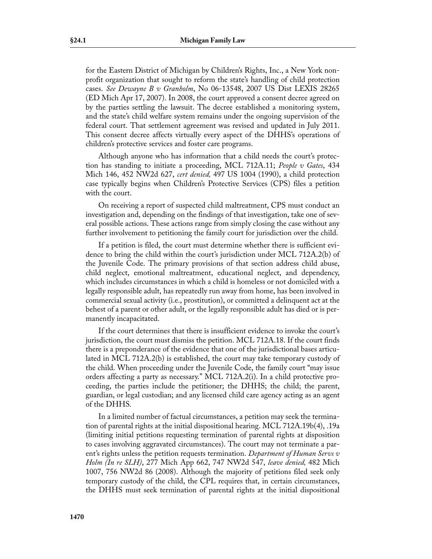for the Eastern District of Michigan by Children's Rights, Inc., a New York nonprofit organization that sought to reform the state's handling of child protection cases. *See Dewayne B v Granholm*, No 06-13548, 2007 US Dist LEXIS 28265 (ED Mich Apr 17, 2007). In 2008, the court approved a consent decree agreed on by the parties settling the lawsuit. The decree established a monitoring system, and the state's child welfare system remains under the ongoing supervision of the federal court. That settlement agreement was revised and updated in July 2011. This consent decree affects virtually every aspect of the DHHS's operations of children's protective services and foster care programs.

Although anyone who has information that a child needs the court's protection has standing to initiate a proceeding, MCL 712A.11; *People v Gates*, 434 Mich 146, 452 NW2d 627, *cert denied,* 497 US 1004 (1990), a child protection case typically begins when Children's Protective Services (CPS) files a petition with the court.

On receiving a report of suspected child maltreatment, CPS must conduct an investigation and, depending on the findings of that investigation, take one of several possible actions. These actions range from simply closing the case without any further involvement to petitioning the family court for jurisdiction over the child.

If a petition is filed, the court must determine whether there is sufficient evidence to bring the child within the court's jurisdiction under MCL 712A.2(b) of the Juvenile Code. The primary provisions of that section address child abuse, child neglect, emotional maltreatment, educational neglect, and dependency, which includes circumstances in which a child is homeless or not domiciled with a legally responsible adult, has repeatedly run away from home, has been involved in commercial sexual activity (i.e., prostitution), or committed a delinquent act at the behest of a parent or other adult, or the legally responsible adult has died or is permanently incapacitated.

If the court determines that there is insufficient evidence to invoke the court's jurisdiction, the court must dismiss the petition. MCL 712A.18. If the court finds there is a preponderance of the evidence that one of the jurisdictional bases articulated in MCL 712A.2(b) is established, the court may take temporary custody of the child. When proceeding under the Juvenile Code, the family court "may issue orders affecting a party as necessary." MCL 712A.2(i). In a child protective proceeding, the parties include the petitioner; the DHHS; the child; the parent, guardian, or legal custodian; and any licensed child care agency acting as an agent of the DHHS.

In a limited number of factual circumstances, a petition may seek the termination of parental rights at the initial dispositional hearing. MCL 712A.19b(4), .19a (limiting initial petitions requesting termination of parental rights at disposition to cases involving aggravated circumstances). The court may not terminate a parent's rights unless the petition requests termination. *Department of Human Servs v Holm (In re SLH)*, 277 Mich App 662, 747 NW2d 547, *leave denied,* 482 Mich 1007, 756 NW2d 86 (2008). Although the majority of petitions filed seek only temporary custody of the child, the CPL requires that, in certain circumstances, the DHHS must seek termination of parental rights at the initial dispositional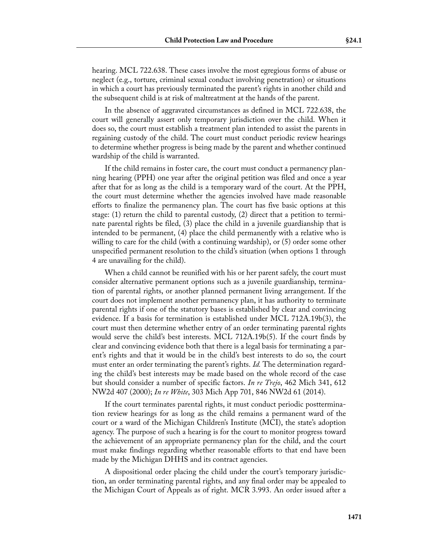hearing. MCL 722.638. These cases involve the most egregious forms of abuse or neglect (e.g., torture, criminal sexual conduct involving penetration) or situations in which a court has previously terminated the parent's rights in another child and the subsequent child is at risk of maltreatment at the hands of the parent.

In the absence of aggravated circumstances as defined in MCL 722.638, the court will generally assert only temporary jurisdiction over the child. When it does so, the court must establish a treatment plan intended to assist the parents in regaining custody of the child. The court must conduct periodic review hearings to determine whether progress is being made by the parent and whether continued wardship of the child is warranted.

If the child remains in foster care, the court must conduct a permanency planning hearing (PPH) one year after the original petition was filed and once a year after that for as long as the child is a temporary ward of the court. At the PPH, the court must determine whether the agencies involved have made reasonable efforts to finalize the permanency plan. The court has five basic options at this stage: (1) return the child to parental custody, (2) direct that a petition to terminate parental rights be filed, (3) place the child in a juvenile guardianship that is intended to be permanent, (4) place the child permanently with a relative who is willing to care for the child (with a continuing wardship), or (5) order some other unspecified permanent resolution to the child's situation (when options 1 through 4 are unavailing for the child).

When a child cannot be reunified with his or her parent safely, the court must consider alternative permanent options such as a juvenile guardianship, termination of parental rights, or another planned permanent living arrangement. If the court does not implement another permanency plan, it has authority to terminate parental rights if one of the statutory bases is established by clear and convincing evidence. If a basis for termination is established under MCL 712A.19b(3), the court must then determine whether entry of an order terminating parental rights would serve the child's best interests. MCL 712A.19b(5). If the court finds by clear and convincing evidence both that there is a legal basis for terminating a parent's rights and that it would be in the child's best interests to do so, the court must enter an order terminating the parent's rights. *Id.* The determination regarding the child's best interests may be made based on the whole record of the case but should consider a number of specific factors. *In re Trejo*, 462 Mich 341, 612 NW2d 407 (2000); *In re White*, 303 Mich App 701, 846 NW2d 61 (2014).

If the court terminates parental rights, it must conduct periodic posttermination review hearings for as long as the child remains a permanent ward of the court or a ward of the Michigan Children's Institute (MCI), the state's adoption agency. The purpose of such a hearing is for the court to monitor progress toward the achievement of an appropriate permanency plan for the child, and the court must make findings regarding whether reasonable efforts to that end have been made by the Michigan DHHS and its contract agencies.

A dispositional order placing the child under the court's temporary jurisdiction, an order terminating parental rights, and any final order may be appealed to the Michigan Court of Appeals as of right. MCR 3.993. An order issued after a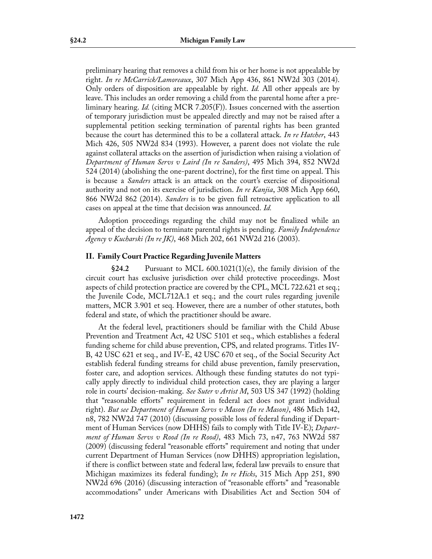preliminary hearing that removes a child from his or her home is not appealable by right. *In re McCarrick/Lamoreaux*, 307 Mich App 436, 861 NW2d 303 (2014). Only orders of disposition are appealable by right. *Id.* All other appeals are by leave. This includes an order removing a child from the parental home after a preliminary hearing. *Id.* (citing MCR 7.205(F)). Issues concerned with the assertion of temporary jurisdiction must be appealed directly and may not be raised after a supplemental petition seeking termination of parental rights has been granted because the court has determined this to be a collateral attack. *In re Hatcher*, 443 Mich 426, 505 NW2d 834 (1993). However, a parent does not violate the rule against collateral attacks on the assertion of jurisdiction when raising a violation of *Department of Human Servs v Laird (In re Sanders)*, 495 Mich 394, 852 NW2d 524 (2014) (abolishing the one-parent doctrine), for the first time on appeal. This is because a *Sanders* attack is an attack on the court's exercise of dispositional authority and not on its exercise of jurisdiction. *In re Kanjia*, 308 Mich App 660, 866 NW2d 862 (2014). *Sanders* is to be given full retroactive application to all cases on appeal at the time that decision was announced. *Id.*

Adoption proceedings regarding the child may not be finalized while an appeal of the decision to terminate parental rights is pending. *Family Independence Agency v Kucharski (In re JK)*, 468 Mich 202, 661 NW2d 216 (2003).

### **II. Family Court Practice Regarding Juvenile Matters**

**§24.2** Pursuant to MCL 600.1021(1)(e), the family division of the circuit court has exclusive jurisdiction over child protective proceedings. Most aspects of child protection practice are covered by the CPL, MCL 722.621 et seq.; the Juvenile Code, MCL712A.1 et seq.; and the court rules regarding juvenile matters, MCR 3.901 et seq. However, there are a number of other statutes, both federal and state, of which the practitioner should be aware.

At the federal level, practitioners should be familiar with the Child Abuse Prevention and Treatment Act, 42 USC 5101 et seq., which establishes a federal funding scheme for child abuse prevention, CPS, and related programs. Titles IV-B, 42 USC 621 et seq., and IV-E, 42 USC 670 et seq., of the Social Security Act establish federal funding streams for child abuse prevention, family preservation, foster care, and adoption services. Although these funding statutes do not typically apply directly to individual child protection cases, they are playing a larger role in courts' decision-making. *See Suter v Artist M*, 503 US 347 (1992) (holding that "reasonable efforts" requirement in federal act does not grant individual right). *But see Department of Human Servs v Mason (In re Mason)*, 486 Mich 142, n8, 782 NW2d 747 (2010) (discussing possible loss of federal funding if Department of Human Services (now DHHS) fails to comply with Title IV-E); *Department of Human Servs v Rood (In re Rood)*, 483 Mich 73, n47, 763 NW2d 587 (2009) (discussing federal "reasonable efforts" requirement and noting that under current Department of Human Services (now DHHS) appropriation legislation, if there is conflict between state and federal law, federal law prevails to ensure that Michigan maximizes its federal funding); *In re Hicks*, 315 Mich App 251, 890 NW2d 696 (2016) (discussing interaction of "reasonable efforts" and "reasonable accommodations" under Americans with Disabilities Act and Section 504 of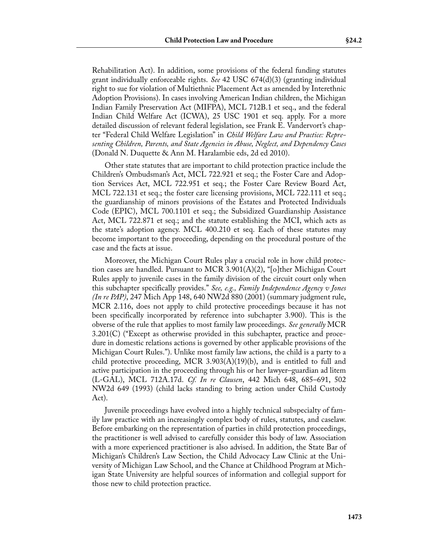Rehabilitation Act). In addition, some provisions of the federal funding statutes grant individually enforceable rights. *See* 42 USC 674(d)(3) (granting individual right to sue for violation of Multiethnic Placement Act as amended by Interethnic Adoption Provisions). In cases involving American Indian children, the Michigan Indian Family Preservation Act (MIFPA), MCL 712B.1 et seq., and the federal Indian Child Welfare Act (ICWA), 25 USC 1901 et seq. apply. For a more detailed discussion of relevant federal legislation, see Frank E. Vandervort's chapter "Federal Child Welfare Legislation" in *Child Welfare Law and Practice: Representing Children, Parents, and State Agencies in Abuse, Neglect, and Dependency Cases* (Donald N. Duquette & Ann M. Haralambie eds, 2d ed 2010).

Other state statutes that are important to child protection practice include the Children's Ombudsman's Act, MCL 722.921 et seq.; the Foster Care and Adoption Services Act, MCL 722.951 et seq.; the Foster Care Review Board Act, MCL 722.131 et seq.; the foster care licensing provisions, MCL 722.111 et seq.; the guardianship of minors provisions of the Estates and Protected Individuals Code (EPIC), MCL 700.1101 et seq.; the Subsidized Guardianship Assistance Act, MCL 722.871 et seq.; and the statute establishing the MCI, which acts as the state's adoption agency. MCL 400.210 et seq. Each of these statutes may become important to the proceeding, depending on the procedural posture of the case and the facts at issue.

Moreover, the Michigan Court Rules play a crucial role in how child protection cases are handled. Pursuant to MCR 3.901(A)(2), "[o]ther Michigan Court Rules apply to juvenile cases in the family division of the circuit court only when this subchapter specifically provides." *See, e.g., Family Independence Agency v Jones (In re PAP)*, 247 Mich App 148, 640 NW2d 880 (2001) (summary judgment rule, MCR 2.116, does not apply to child protective proceedings because it has not been specifically incorporated by reference into subchapter 3.900). This is the obverse of the rule that applies to most family law proceedings. *See generally* MCR 3.201(C) ("Except as otherwise provided in this subchapter, practice and procedure in domestic relations actions is governed by other applicable provisions of the Michigan Court Rules."). Unlike most family law actions, the child is a party to a child protective proceeding, MCR 3.903( $A$ )(19)(b), and is entitled to full and active participation in the proceeding through his or her lawyer–guardian ad litem (L-GAL), MCL 712A.17d. *Cf. In re Clausen*, 442 Mich 648, 685–691, 502 NW2d 649 (1993) (child lacks standing to bring action under Child Custody Act).

Juvenile proceedings have evolved into a highly technical subspecialty of family law practice with an increasingly complex body of rules, statutes, and caselaw. Before embarking on the representation of parties in child protection proceedings, the practitioner is well advised to carefully consider this body of law. Association with a more experienced practitioner is also advised. In addition, the State Bar of Michigan's Children's Law Section, the Child Advocacy Law Clinic at the University of Michigan Law School, and the Chance at Childhood Program at Michigan State University are helpful sources of information and collegial support for those new to child protection practice.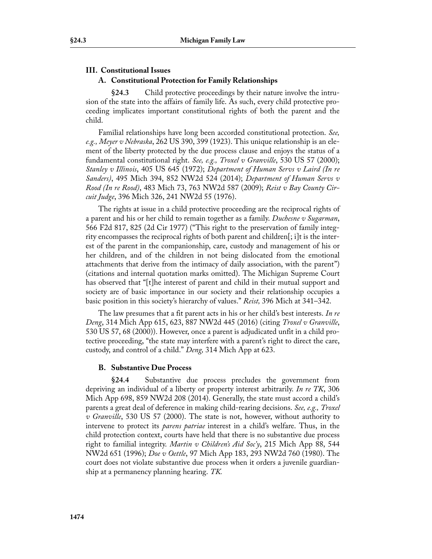## **III. Constitutional Issues A. Constitutional Protection for Family Relationships**

**§24.3** Child protective proceedings by their nature involve the intrusion of the state into the affairs of family life. As such, every child protective proceeding implicates important constitutional rights of both the parent and the child.

Familial relationships have long been accorded constitutional protection. *See, e.g., Meyer v Nebraska*, 262 US 390, 399 (1923). This unique relationship is an element of the liberty protected by the due process clause and enjoys the status of a fundamental constitutional right. *See, e.g., Troxel v Granville*, 530 US 57 (2000); *Stanley v Illinois*, 405 US 645 (1972); *Department of Human Servs v Laird (In re Sanders)*, 495 Mich 394, 852 NW2d 524 (2014); *Department of Human Servs v Rood (In re Rood)*, 483 Mich 73, 763 NW2d 587 (2009); *Reist v Bay County Circuit Judge*, 396 Mich 326, 241 NW2d 55 (1976).

The rights at issue in a child protective proceeding are the reciprocal rights of a parent and his or her child to remain together as a family. *Duchesne v Sugarman*, 566 F2d 817, 825 (2d Cir 1977) ("This right to the preservation of family integrity encompasses the reciprocal rights of both parent and children[; i]t is the interest of the parent in the companionship, care, custody and management of his or her children, and of the children in not being dislocated from the emotional attachments that derive from the intimacy of daily association, with the parent") (citations and internal quotation marks omitted). The Michigan Supreme Court has observed that "[t]he interest of parent and child in their mutual support and society are of basic importance in our society and their relationship occupies a basic position in this society's hierarchy of values." *Reist,* 396 Mich at 341–342.

The law presumes that a fit parent acts in his or her child's best interests. *In re Deng*, 314 Mich App 615, 623, 887 NW2d 445 (2016) (citing *Troxel v Granville*, 530 US 57, 68 (2000)). However, once a parent is adjudicated unfit in a child protective proceeding, "the state may interfere with a parent's right to direct the care, custody, and control of a child." *Deng,* 314 Mich App at 623.

### **B. Substantive Due Process**

**§24.4** Substantive due process precludes the government from depriving an individual of a liberty or property interest arbitrarily. *In re TK*, 306 Mich App 698, 859 NW2d 208 (2014). Generally, the state must accord a child's parents a great deal of deference in making child-rearing decisions. *See, e.g., Troxel v Granville*, 530 US 57 (2000). The state is not, however, without authority to intervene to protect its *parens patriae* interest in a child's welfare. Thus, in the child protection context, courts have held that there is no substantive due process right to familial integrity. *Martin v Children's Aid Soc'y*, 215 Mich App 88, 544 NW2d 651 (1996); *Doe v Oettle*, 97 Mich App 183, 293 NW2d 760 (1980). The court does not violate substantive due process when it orders a juvenile guardianship at a permanency planning hearing. *TK.*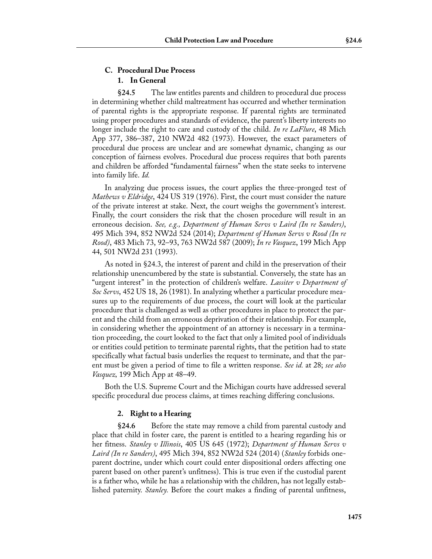### **C. Procedural Due Process 1. In General**

**§24.5** The law entitles parents and children to procedural due process in determining whether child maltreatment has occurred and whether termination of parental rights is the appropriate response. If parental rights are terminated using proper procedures and standards of evidence, the parent's liberty interests no longer include the right to care and custody of the child. *In re LaFlure*, 48 Mich App 377, 386–387, 210 NW2d 482 (1973). However, the exact parameters of procedural due process are unclear and are somewhat dynamic, changing as our conception of fairness evolves. Procedural due process requires that both parents and children be afforded "fundamental fairness" when the state seeks to intervene into family life. *Id.*

In analyzing due process issues, the court applies the three-pronged test of *Mathews v Eldridge*, 424 US 319 (1976). First, the court must consider the nature of the private interest at stake. Next, the court weighs the government's interest. Finally, the court considers the risk that the chosen procedure will result in an erroneous decision. *See, e.g., Department of Human Servs v Laird (In re Sanders)*, 495 Mich 394, 852 NW2d 524 (2014); *Department of Human Servs v Rood (In re Rood)*, 483 Mich 73, 92–93, 763 NW2d 587 (2009); *In re Vasquez*, 199 Mich App 44, 501 NW2d 231 (1993).

As noted in §24.3, the interest of parent and child in the preservation of their relationship unencumbered by the state is substantial. Conversely, the state has an "urgent interest" in the protection of children's welfare. *Lassiter v Department of Soc Servs*, 452 US 18, 26 (1981). In analyzing whether a particular procedure measures up to the requirements of due process, the court will look at the particular procedure that is challenged as well as other procedures in place to protect the parent and the child from an erroneous deprivation of their relationship. For example, in considering whether the appointment of an attorney is necessary in a termination proceeding, the court looked to the fact that only a limited pool of individuals or entities could petition to terminate parental rights, that the petition had to state specifically what factual basis underlies the request to terminate, and that the parent must be given a period of time to file a written response. *See id.* at 28; *see also Vasquez,* 199 Mich App at 48–49.

Both the U.S. Supreme Court and the Michigan courts have addressed several specific procedural due process claims, at times reaching differing conclusions.

### **2. Right to a Hearing**

**§24.6** Before the state may remove a child from parental custody and place that child in foster care, the parent is entitled to a hearing regarding his or her fitness. *Stanley v Illinois*, 405 US 645 (1972); *Department of Human Servs v Laird (In re Sanders)*, 495 Mich 394, 852 NW2d 524 (2014) (*Stanley* forbids oneparent doctrine, under which court could enter dispositional orders affecting one parent based on other parent's unfitness). This is true even if the custodial parent is a father who, while he has a relationship with the children, has not legally established paternity. *Stanley.* Before the court makes a finding of parental unfitness,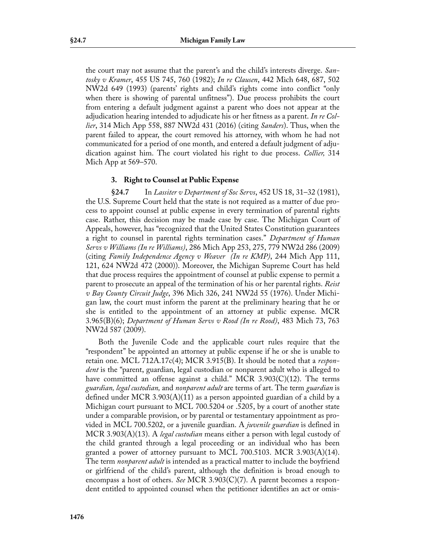the court may not assume that the parent's and the child's interests diverge. *Santosky v Kramer*, 455 US 745, 760 (1982); *In re Clausen*, 442 Mich 648, 687, 502 NW2d 649 (1993) (parents' rights and child's rights come into conflict "only when there is showing of parental unfitness"). Due process prohibits the court from entering a default judgment against a parent who does not appear at the adjudication hearing intended to adjudicate his or her fitness as a parent. *In re Collier*, 314 Mich App 558, 887 NW2d 431 (2016) (citing *Sanders*). Thus, when the parent failed to appear, the court removed his attorney, with whom he had not communicated for a period of one month, and entered a default judgment of adjudication against him. The court violated his right to due process. *Collier,* 314 Mich App at 569–570.

### **3. Right to Counsel at Public Expense**

**§24.7** In *Lassiter v Department of Soc Servs*, 452 US 18, 31–32 (1981), the U.S. Supreme Court held that the state is not required as a matter of due process to appoint counsel at public expense in every termination of parental rights case. Rather, this decision may be made case by case. The Michigan Court of Appeals, however, has "recognized that the United States Constitution guarantees a right to counsel in parental rights termination cases." *Department of Human Servs v Williams (In re Williams)*, 286 Mich App 253, 275, 779 NW2d 286 (2009) (citing *Family Independence Agency v Weaver (In re KMP)*, 244 Mich App 111, 121, 624 NW2d 472 (2000)). Moreover, the Michigan Supreme Court has held that due process requires the appointment of counsel at public expense to permit a parent to prosecute an appeal of the termination of his or her parental rights. *Reist v Bay County Circuit Judge*, 396 Mich 326, 241 NW2d 55 (1976). Under Michigan law, the court must inform the parent at the preliminary hearing that he or she is entitled to the appointment of an attorney at public expense. MCR 3.965(B)(6); *Department of Human Servs v Rood (In re Rood)*, 483 Mich 73, 763 NW2d 587 (2009).

Both the Juvenile Code and the applicable court rules require that the "respondent" be appointed an attorney at public expense if he or she is unable to retain one. MCL 712A.17c(4); MCR 3.915(B). It should be noted that a *respondent* is the "parent, guardian, legal custodian or nonparent adult who is alleged to have committed an offense against a child." MCR 3.903(C)(12). The terms *guardian, legal custodian,* and *nonparent adult* are terms of art. The term *guardian* is defined under MCR 3.903(A)(11) as a person appointed guardian of a child by a Michigan court pursuant to MCL 700.5204 or .5205, by a court of another state under a comparable provision, or by parental or testamentary appointment as provided in MCL 700.5202, or a juvenile guardian. A *juvenile guardian* is defined in MCR 3.903(A)(13). A *legal custodian* means either a person with legal custody of the child granted through a legal proceeding or an individual who has been granted a power of attorney pursuant to MCL 700.5103. MCR 3.903(A)(14). The term *nonparent adult* is intended as a practical matter to include the boyfriend or girlfriend of the child's parent, although the definition is broad enough to encompass a host of others. *See* MCR 3.903(C)(7). A parent becomes a respondent entitled to appointed counsel when the petitioner identifies an act or omis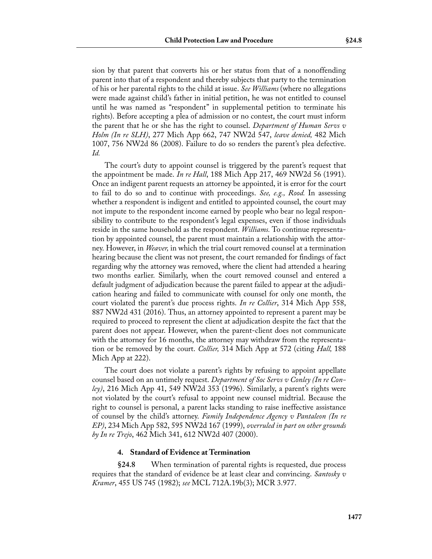sion by that parent that converts his or her status from that of a nonoffending parent into that of a respondent and thereby subjects that party to the termination of his or her parental rights to the child at issue. *See Williams* (where no allegations were made against child's father in initial petition, he was not entitled to counsel until he was named as "respondent" in supplemental petition to terminate his rights). Before accepting a plea of admission or no contest, the court must inform the parent that he or she has the right to counsel. *Department of Human Servs v Holm (In re SLH)*, 277 Mich App 662, 747 NW2d 547, *leave denied,* 482 Mich 1007, 756 NW2d 86 (2008). Failure to do so renders the parent's plea defective. *Id.*

The court's duty to appoint counsel is triggered by the parent's request that the appointment be made. *In re Hall*, 188 Mich App 217, 469 NW2d 56 (1991). Once an indigent parent requests an attorney be appointed, it is error for the court to fail to do so and to continue with proceedings. *See, e.g., Rood.* In assessing whether a respondent is indigent and entitled to appointed counsel, the court may not impute to the respondent income earned by people who bear no legal responsibility to contribute to the respondent's legal expenses, even if those individuals reside in the same household as the respondent. *Williams.* To continue representation by appointed counsel, the parent must maintain a relationship with the attorney. However, in *Weaver,* in which the trial court removed counsel at a termination hearing because the client was not present, the court remanded for findings of fact regarding why the attorney was removed, where the client had attended a hearing two months earlier. Similarly, when the court removed counsel and entered a default judgment of adjudication because the parent failed to appear at the adjudication hearing and failed to communicate with counsel for only one month, the court violated the parent's due process rights. *In re Collier*, 314 Mich App 558, 887 NW2d 431 (2016). Thus, an attorney appointed to represent a parent may be required to proceed to represent the client at adjudication despite the fact that the parent does not appear. However, when the parent-client does not communicate with the attorney for 16 months, the attorney may withdraw from the representation or be removed by the court. *Collier,* 314 Mich App at 572 (citing *Hall,* 188 Mich App at 222).

The court does not violate a parent's rights by refusing to appoint appellate counsel based on an untimely request. *Department of Soc Servs v Conley (In re Conley)*, 216 Mich App 41, 549 NW2d 353 (1996). Similarly, a parent's rights were not violated by the court's refusal to appoint new counsel midtrial. Because the right to counsel is personal, a parent lacks standing to raise ineffective assistance of counsel by the child's attorney. *Family Independence Agency v Pantaleon (In re EP)*, 234 Mich App 582, 595 NW2d 167 (1999), *overruled in part on other grounds by In re Trejo*, 462 Mich 341, 612 NW2d 407 (2000).

#### **4. Standard of Evidence at Termination**

**§24.8** When termination of parental rights is requested, due process requires that the standard of evidence be at least clear and convincing. *Santosky v Kramer*, 455 US 745 (1982); *see* MCL 712A.19b(3); MCR 3.977.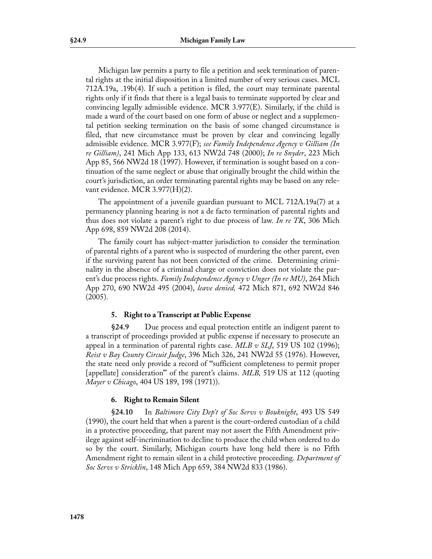Michigan law permits a party to file a petition and seek termination of parental rights at the initial disposition in a limited number of very serious cases. MCL 712A.19a, .19b(4). If such a petition is filed, the court may terminate parental rights only if it finds that there is a legal basis to terminate supported by clear and convincing legally admissible evidence. MCR 3.977(E). Similarly, if the child is made a ward of the court based on one form of abuse or neglect and a supplemental petition seeking termination on the basis of some changed circumstance is filed, that new circumstance must be proven by clear and convincing legally admissible evidence. MCR 3.977(F); *see Family Independence Agency v Gilliam (In re Gilliam)*, 241 Mich App 133, 613 NW2d 748 (2000); *In re Snyder*, 223 Mich App 85, 566 NW2d 18 (1997). However, if termination is sought based on a continuation of the same neglect or abuse that originally brought the child within the court's jurisdiction, an order terminating parental rights may be based on any relevant evidence. MCR 3.977(H)(2).

The appointment of a juvenile guardian pursuant to MCL 712A.19a(7) at a permanency planning hearing is not a de facto termination of parental rights and thus does not violate a parent's right to due process of law. *In re TK*, 306 Mich App 698, 859 NW2d 208 (2014).

The family court has subject-matter jurisdiction to consider the termination of parental rights of a parent who is suspected of murdering the other parent, even if the surviving parent has not been convicted of the crime. Determining criminality in the absence of a criminal charge or conviction does not violate the parent's due process rights. *Family Independence Agency v Unger (In re MU)*, 264 Mich App 270, 690 NW2d 495 (2004), *leave denied,* 472 Mich 871, 692 NW2d 846 (2005).

### **5. Right to a Transcript at Public Expense**

**§24.9** Due process and equal protection entitle an indigent parent to a transcript of proceedings provided at public expense if necessary to prosecute an appeal in a termination of parental rights case. *MLB v SLJ*, 519 US 102 (1996); *Reist v Bay County Circuit Judge*, 396 Mich 326, 241 NW2d 55 (1976). However, the state need only provide a record of "'sufficient completeness to permit proper [appellate] consideration'" of the parent's claims. *MLB,* 519 US at 112 (quoting *Mayer v Chicago*, 404 US 189, 198 (1971)).

### **6. Right to Remain Silent**

**§24.10** In *Baltimore City Dep't of Soc Servs v Bouknight*, 493 US 549 (1990), the court held that when a parent is the court-ordered custodian of a child in a protective proceeding, that parent may not assert the Fifth Amendment privilege against self-incrimination to decline to produce the child when ordered to do so by the court. Similarly, Michigan courts have long held there is no Fifth Amendment right to remain silent in a child protective proceeding. *Department of Soc Servs v Stricklin*, 148 Mich App 659, 384 NW2d 833 (1986).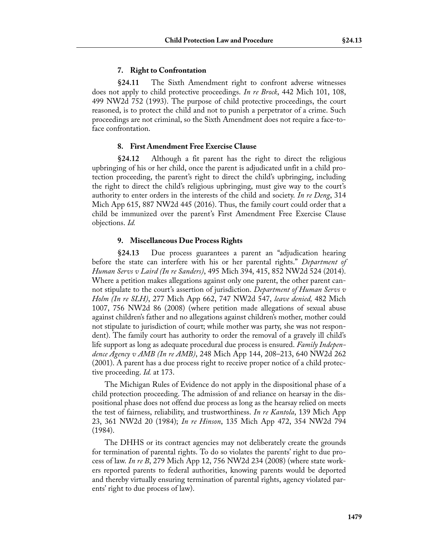### **7. Right to Confrontation**

**§24.11** The Sixth Amendment right to confront adverse witnesses does not apply to child protective proceedings. *In re Brock*, 442 Mich 101, 108, 499 NW2d 752 (1993). The purpose of child protective proceedings, the court reasoned, is to protect the child and not to punish a perpetrator of a crime. Such proceedings are not criminal, so the Sixth Amendment does not require a face-toface confrontation.

### **8. First Amendment Free Exercise Clause**

**§24.12** Although a fit parent has the right to direct the religious upbringing of his or her child, once the parent is adjudicated unfit in a child protection proceeding, the parent's right to direct the child's upbringing, including the right to direct the child's religious upbringing, must give way to the court's authority to enter orders in the interests of the child and society. *In re Deng*, 314 Mich App 615, 887 NW2d 445 (2016). Thus, the family court could order that a child be immunized over the parent's First Amendment Free Exercise Clause objections. *Id.*

### **9. Miscellaneous Due Process Rights**

**§24.13** Due process guarantees a parent an "adjudication hearing before the state can interfere with his or her parental rights." *Department of Human Servs v Laird (In re Sanders)*, 495 Mich 394, 415, 852 NW2d 524 (2014). Where a petition makes allegations against only one parent, the other parent cannot stipulate to the court's assertion of jurisdiction. *Department of Human Servs v Holm (In re SLH)*, 277 Mich App 662, 747 NW2d 547, *leave denied,* 482 Mich 1007, 756 NW2d 86 (2008) (where petition made allegations of sexual abuse against children's father and no allegations against children's mother, mother could not stipulate to jurisdiction of court; while mother was party, she was not respondent). The family court has authority to order the removal of a gravely ill child's life support as long as adequate procedural due process is ensured. *Family Independence Agency v AMB (In re AMB)*, 248 Mich App 144, 208–213, 640 NW2d 262 (2001). A parent has a due process right to receive proper notice of a child protective proceeding. *Id.* at 173.

The Michigan Rules of Evidence do not apply in the dispositional phase of a child protection proceeding. The admission of and reliance on hearsay in the dispositional phase does not offend due process as long as the hearsay relied on meets the test of fairness, reliability, and trustworthiness. *In re Kantola*, 139 Mich App 23, 361 NW2d 20 (1984); *In re Hinson*, 135 Mich App 472, 354 NW2d 794 (1984).

The DHHS or its contract agencies may not deliberately create the grounds for termination of parental rights. To do so violates the parents' right to due process of law. *In re B*, 279 Mich App 12, 756 NW2d 234 (2008) (where state workers reported parents to federal authorities, knowing parents would be deported and thereby virtually ensuring termination of parental rights, agency violated parents' right to due process of law).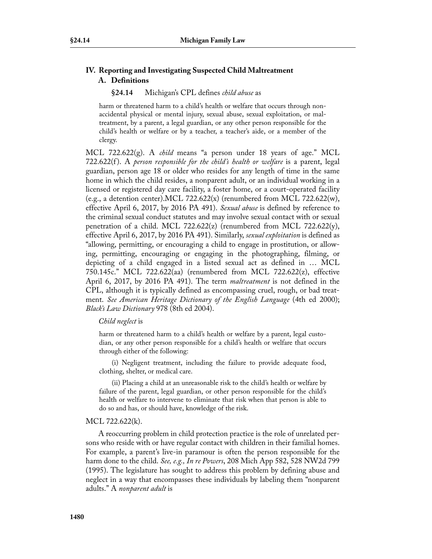### **IV. Reporting and Investigating Suspected Child Maltreatment A. Definitions**

#### **§24.14** Michigan's CPL defines *child abuse* as

harm or threatened harm to a child's health or welfare that occurs through nonaccidental physical or mental injury, sexual abuse, sexual exploitation, or maltreatment, by a parent, a legal guardian, or any other person responsible for the child's health or welfare or by a teacher, a teacher's aide, or a member of the clergy.

MCL 722.622(g). A *child* means "a person under 18 years of age." MCL 722.622(f ). A *person responsible for the child's health or welfare* is a parent, legal guardian, person age 18 or older who resides for any length of time in the same home in which the child resides, a nonparent adult, or an individual working in a licensed or registered day care facility, a foster home, or a court-operated facility (e.g., a detention center). MCL 722.622(x) (renumbered from MCL 722.622(w), effective April 6, 2017, by 2016 PA 491). *Sexual abuse* is defined by reference to the criminal sexual conduct statutes and may involve sexual contact with or sexual penetration of a child. MCL 722.622(z) (renumbered from MCL 722.622(y), effective April 6, 2017, by 2016 PA 491). Similarly, *sexual exploitation* is defined as "allowing, permitting, or encouraging a child to engage in prostitution, or allowing, permitting, encouraging or engaging in the photographing, filming, or depicting of a child engaged in a listed sexual act as defined in … MCL 750.145c." MCL 722.622(aa) (renumbered from MCL 722.622(z), effective April 6, 2017, by 2016 PA 491). The term *maltreatment* is not defined in the CPL, although it is typically defined as encompassing cruel, rough, or bad treatment. *See American Heritage Dictionary of the English Language* (4th ed 2000); *Black's Law Dictionary* 978 (8th ed 2004).

#### *Child neglect* is

harm or threatened harm to a child's health or welfare by a parent, legal custodian, or any other person responsible for a child's health or welfare that occurs through either of the following:

(i) Negligent treatment, including the failure to provide adequate food, clothing, shelter, or medical care.

(ii) Placing a child at an unreasonable risk to the child's health or welfare by failure of the parent, legal guardian, or other person responsible for the child's health or welfare to intervene to eliminate that risk when that person is able to do so and has, or should have, knowledge of the risk.

#### MCL 722.622(k).

A reoccurring problem in child protection practice is the role of unrelated persons who reside with or have regular contact with children in their familial homes. For example, a parent's live-in paramour is often the person responsible for the harm done to the child. *See, e.g., In re Powers*, 208 Mich App 582, 528 NW2d 799 (1995). The legislature has sought to address this problem by defining abuse and neglect in a way that encompasses these individuals by labeling them "nonparent adults." A *nonparent adult* is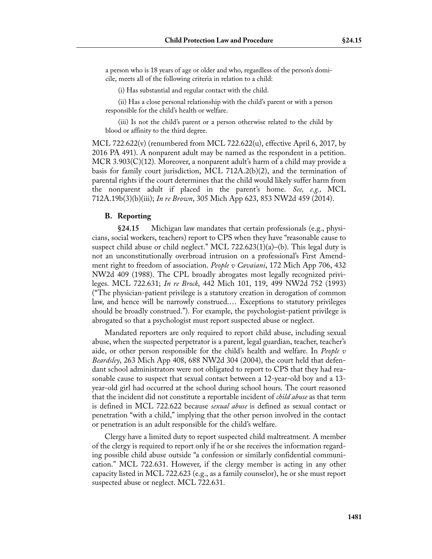a person who is 18 years of age or older and who, regardless of the person's domicile, meets all of the following criteria in relation to a child:

(i) Has substantial and regular contact with the child.

(ii) Has a close personal relationship with the child's parent or with a person responsible for the child's health or welfare.

(iii) Is not the child's parent or a person otherwise related to the child by blood or affinity to the third degree.

MCL 722.622(v) (renumbered from MCL 722.622(u), effective April 6, 2017, by 2016 PA 491). A nonparent adult may be named as the respondent in a petition. MCR 3.903(C)(12). Moreover, a nonparent adult's harm of a child may provide a basis for family court jurisdiction, MCL 712A.2(b)(2), and the termination of parental rights if the court determines that the child would likely suffer harm from the nonparent adult if placed in the parent's home. *See, e.g.,* MCL 712A.19b(3)(b)(iii); *In re Brown*, 305 Mich App 623, 853 NW2d 459 (2014).

### **B. Reporting**

**§24.15** Michigan law mandates that certain professionals (e.g., physicians, social workers, teachers) report to CPS when they have "reasonable cause to suspect child abuse or child neglect." MCL 722.623(1)(a)–(b). This legal duty is not an unconstitutionally overbroad intrusion on a professional's First Amendment right to freedom of association. *People v Cavaiani*, 172 Mich App 706, 432 NW2d 409 (1988). The CPL broadly abrogates most legally recognized privileges. MCL 722.631; *In re Brock*, 442 Mich 101, 119, 499 NW2d 752 (1993) ("The physician-patient privilege is a statutory creation in derogation of common law, and hence will be narrowly construed.… Exceptions to statutory privileges should be broadly construed."). For example, the psychologist-patient privilege is abrogated so that a psychologist must report suspected abuse or neglect.

Mandated reporters are only required to report child abuse, including sexual abuse, when the suspected perpetrator is a parent, legal guardian, teacher, teacher's aide, or other person responsible for the child's health and welfare. In *People v Beardsley*, 263 Mich App 408, 688 NW2d 304 (2004), the court held that defendant school administrators were not obligated to report to CPS that they had reasonable cause to suspect that sexual contact between a 12-year-old boy and a 13 year-old girl had occurred at the school during school hours. The court reasoned that the incident did not constitute a reportable incident of *child abuse* as that term is defined in MCL 722.622 because *sexual abuse* is defined as sexual contact or penetration "with a child," implying that the other person involved in the contact or penetration is an adult responsible for the child's welfare.

Clergy have a limited duty to report suspected child maltreatment. A member of the clergy is required to report only if he or she receives the information regarding possible child abuse outside "a confession or similarly confidential communication." MCL 722.631. However, if the clergy member is acting in any other capacity listed in MCL 722.623 (e.g., as a family counselor), he or she must report suspected abuse or neglect. MCL 722.631.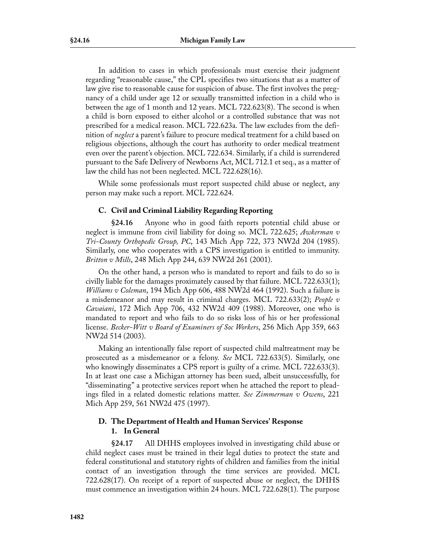In addition to cases in which professionals must exercise their judgment regarding "reasonable cause," the CPL specifies two situations that as a matter of law give rise to reasonable cause for suspicion of abuse. The first involves the pregnancy of a child under age 12 or sexually transmitted infection in a child who is between the age of 1 month and 12 years. MCL 722.623(8). The second is when a child is born exposed to either alcohol or a controlled substance that was not prescribed for a medical reason. MCL 722.623a. The law excludes from the definition of *neglect* a parent's failure to procure medical treatment for a child based on religious objections, although the court has authority to order medical treatment even over the parent's objection. MCL 722.634. Similarly, if a child is surrendered pursuant to the Safe Delivery of Newborns Act, MCL 712.1 et seq., as a matter of law the child has not been neglected. MCL 722.628(16).

While some professionals must report suspected child abuse or neglect, any person may make such a report. MCL 722.624.

### **C. Civil and Criminal Liability Regarding Reporting**

**§24.16** Anyone who in good faith reports potential child abuse or neglect is immune from civil liability for doing so. MCL 722.625; *Awkerman v Tri-County Orthopedic Group, PC*, 143 Mich App 722, 373 NW2d 204 (1985). Similarly, one who cooperates with a CPS investigation is entitled to immunity. *Britton v Mills*, 248 Mich App 244, 639 NW2d 261 (2001).

On the other hand, a person who is mandated to report and fails to do so is civilly liable for the damages proximately caused by that failure. MCL 722.633(1); *Williams v Coleman*, 194 Mich App 606, 488 NW2d 464 (1992). Such a failure is a misdemeanor and may result in criminal charges. MCL 722.633(2); *People v Cavaiani*, 172 Mich App 706, 432 NW2d 409 (1988). Moreover, one who is mandated to report and who fails to do so risks loss of his or her professional license. *Becker-Witt v Board of Examiners of Soc Workers*, 256 Mich App 359, 663 NW2d 514 (2003).

Making an intentionally false report of suspected child maltreatment may be prosecuted as a misdemeanor or a felony. *See* MCL 722.633(5). Similarly, one who knowingly disseminates a CPS report is guilty of a crime. MCL 722.633(3). In at least one case a Michigan attorney has been sued, albeit unsuccessfully, for "disseminating" a protective services report when he attached the report to pleadings filed in a related domestic relations matter. *See Zimmerman v Owens*, 221 Mich App 259, 561 NW2d 475 (1997).

### **D. The Department of Health and Human Services' Response 1. In General**

**§24.17** All DHHS employees involved in investigating child abuse or child neglect cases must be trained in their legal duties to protect the state and federal constitutional and statutory rights of children and families from the initial contact of an investigation through the time services are provided. MCL 722.628(17). On receipt of a report of suspected abuse or neglect, the DHHS must commence an investigation within 24 hours. MCL 722.628(1). The purpose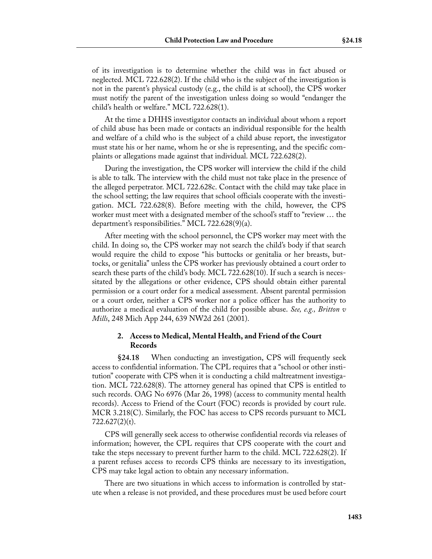of its investigation is to determine whether the child was in fact abused or neglected. MCL 722.628(2). If the child who is the subject of the investigation is not in the parent's physical custody (e.g., the child is at school), the CPS worker must notify the parent of the investigation unless doing so would "endanger the child's health or welfare." MCL 722.628(1).

At the time a DHHS investigator contacts an individual about whom a report of child abuse has been made or contacts an individual responsible for the health and welfare of a child who is the subject of a child abuse report, the investigator must state his or her name, whom he or she is representing, and the specific complaints or allegations made against that individual. MCL 722.628(2).

During the investigation, the CPS worker will interview the child if the child is able to talk. The interview with the child must not take place in the presence of the alleged perpetrator. MCL 722.628c. Contact with the child may take place in the school setting; the law requires that school officials cooperate with the investigation. MCL 722.628(8). Before meeting with the child, however, the CPS worker must meet with a designated member of the school's staff to "review ... the department's responsibilities." MCL 722.628(9)(a).

After meeting with the school personnel, the CPS worker may meet with the child. In doing so, the CPS worker may not search the child's body if that search would require the child to expose "his buttocks or genitalia or her breasts, buttocks, or genitalia" unless the CPS worker has previously obtained a court order to search these parts of the child's body. MCL 722.628(10). If such a search is necessitated by the allegations or other evidence, CPS should obtain either parental permission or a court order for a medical assessment. Absent parental permission or a court order, neither a CPS worker nor a police officer has the authority to authorize a medical evaluation of the child for possible abuse. *See, e.g., Britton v Mills*, 248 Mich App 244, 639 NW2d 261 (2001).

### **2. Access to Medical, Mental Health, and Friend of the Court Records**

**§24.18** When conducting an investigation, CPS will frequently seek access to confidential information. The CPL requires that a "school or other institution" cooperate with CPS when it is conducting a child maltreatment investigation. MCL 722.628(8). The attorney general has opined that CPS is entitled to such records. OAG No 6976 (Mar 26, 1998) (access to community mental health records). Access to Friend of the Court (FOC) records is provided by court rule. MCR 3.218(C). Similarly, the FOC has access to CPS records pursuant to MCL  $722.627(2)(t)$ .

CPS will generally seek access to otherwise confidential records via releases of information; however, the CPL requires that CPS cooperate with the court and take the steps necessary to prevent further harm to the child. MCL 722.628(2). If a parent refuses access to records CPS thinks are necessary to its investigation, CPS may take legal action to obtain any necessary information.

There are two situations in which access to information is controlled by statute when a release is not provided, and these procedures must be used before court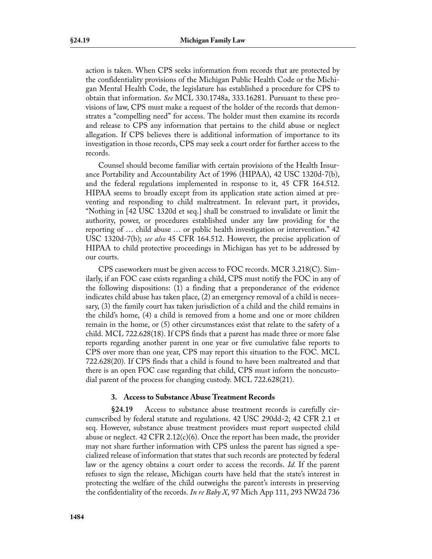action is taken. When CPS seeks information from records that are protected by the confidentiality provisions of the Michigan Public Health Code or the Michigan Mental Health Code, the legislature has established a procedure for CPS to obtain that information. *See* MCL 330.1748a, 333.16281. Pursuant to these provisions of law, CPS must make a request of the holder of the records that demonstrates a "compelling need" for access. The holder must then examine its records and release to CPS any information that pertains to the child abuse or neglect allegation. If CPS believes there is additional information of importance to its investigation in those records, CPS may seek a court order for further access to the records.

Counsel should become familiar with certain provisions of the Health Insurance Portability and Accountability Act of 1996 (HIPAA), 42 USC 1320d-7(b), and the federal regulations implemented in response to it, 45 CFR 164.512. HIPAA seems to broadly except from its application state action aimed at preventing and responding to child maltreatment. In relevant part, it provides, "Nothing in [42 USC 1320d et seq.] shall be construed to invalidate or limit the authority, power, or procedures established under any law providing for the reporting of … child abuse … or public health investigation or intervention." 42 USC 1320d-7(b); *see also* 45 CFR 164.512. However, the precise application of HIPAA to child protective proceedings in Michigan has yet to be addressed by our courts.

CPS caseworkers must be given access to FOC records. MCR 3.218(C). Similarly, if an FOC case exists regarding a child, CPS must notify the FOC in any of the following dispositions: (1) a finding that a preponderance of the evidence indicates child abuse has taken place, (2) an emergency removal of a child is necessary, (3) the family court has taken jurisdiction of a child and the child remains in the child's home, (4) a child is removed from a home and one or more children remain in the home, or (5) other circumstances exist that relate to the safety of a child. MCL 722.628(18). If CPS finds that a parent has made three or more false reports regarding another parent in one year or five cumulative false reports to CPS over more than one year, CPS may report this situation to the FOC. MCL 722.628(20). If CPS finds that a child is found to have been maltreated and that there is an open FOC case regarding that child, CPS must inform the noncustodial parent of the process for changing custody. MCL 722.628(21).

#### **3. Access to Substance Abuse Treatment Records**

**§24.19** Access to substance abuse treatment records is carefully circumscribed by federal statute and regulations. 42 USC 290dd-2; 42 CFR 2.1 et seq. However, substance abuse treatment providers must report suspected child abuse or neglect. 42 CFR  $2.12(c)(6)$ . Once the report has been made, the provider may not share further information with CPS unless the parent has signed a specialized release of information that states that such records are protected by federal law or the agency obtains a court order to access the records. *Id.* If the parent refuses to sign the release, Michigan courts have held that the state's interest in protecting the welfare of the child outweighs the parent's interests in preserving the confidentiality of the records. *In re Baby X*, 97 Mich App 111, 293 NW2d 736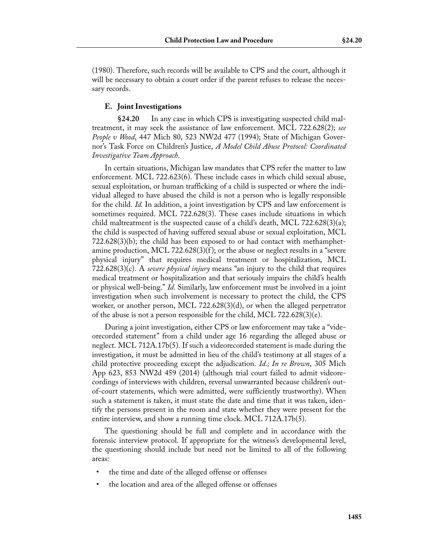(1980). Therefore, such records will be available to CPS and the court, although it will be necessary to obtain a court order if the parent refuses to release the necessary records.

#### **E. Joint Investigations**

**§24.20** In any case in which CPS is investigating suspected child maltreatment, it may seek the assistance of law enforcement. MCL 722.628(2); *see People v Wood*, 447 Mich 80, 523 NW2d 477 (1994); State of Michigan Governor's Task Force on Children's Justice, *A Model Child Abuse Protocol: Coordinated Investigative Team Approach*.

In certain situations, Michigan law mandates that CPS refer the matter to law enforcement. MCL 722.623(6). These include cases in which child sexual abuse, sexual exploitation, or human trafficking of a child is suspected or where the individual alleged to have abused the child is not a person who is legally responsible for the child. *Id.* In addition, a joint investigation by CPS and law enforcement is sometimes required. MCL 722.628(3). These cases include situations in which child maltreatment is the suspected cause of a child's death, MCL 722.628(3)(a); the child is suspected of having suffered sexual abuse or sexual exploitation, MCL 722.628(3)(b); the child has been exposed to or had contact with methamphetamine production, MCL 722.628 $(3)(f)$ ; or the abuse or neglect results in a "severe" physical injury" that requires medical treatment or hospitalization, MCL 722.628(3)(c). A *severe physical injury* means "an injury to the child that requires medical treatment or hospitalization and that seriously impairs the child's health or physical well-being." *Id.* Similarly, law enforcement must be involved in a joint investigation when such involvement is necessary to protect the child, the CPS worker, or another person, MCL 722.628(3)(d), or when the alleged perpetrator of the abuse is not a person responsible for the child, MCL  $722.628(3)(e)$ .

During a joint investigation, either CPS or law enforcement may take a "videorecorded statement" from a child under age 16 regarding the alleged abuse or neglect. MCL 712A.17b(5). If such a videorecorded statement is made during the investigation, it must be admitted in lieu of the child's testimony at all stages of a child protective proceeding except the adjudication. *Id.; In re Brown*, 305 Mich App 623, 853 NW2d 459 (2014) (although trial court failed to admit videorecordings of interviews with children, reversal unwarranted because children's outof-court statements, which were admitted, were sufficiently trustworthy). When such a statement is taken, it must state the date and time that it was taken, identify the persons present in the room and state whether they were present for the entire interview, and show a running time clock. MCL 712A.17b(5).

The questioning should be full and complete and in accordance with the forensic interview protocol. If appropriate for the witness's developmental level, the questioning should include but need not be limited to all of the following areas:

- the time and date of the alleged offense or offenses
- the location and area of the alleged offense or offenses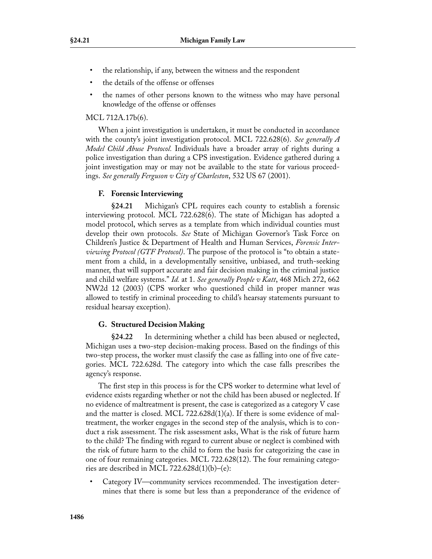- the relationship, if any, between the witness and the respondent
- the details of the offense or offenses
- the names of other persons known to the witness who may have personal knowledge of the offense or offenses

### MCL 712A.17b(6).

When a joint investigation is undertaken, it must be conducted in accordance with the county's joint investigation protocol. MCL 722.628(6). *See generally A Model Child Abuse Protocol.* Individuals have a broader array of rights during a police investigation than during a CPS investigation. Evidence gathered during a joint investigation may or may not be available to the state for various proceedings. *See generally Ferguson v City of Charleston*, 532 US 67 (2001).

### **F. Forensic Interviewing**

**§24.21** Michigan's CPL requires each county to establish a forensic interviewing protocol. MCL 722.628(6). The state of Michigan has adopted a model protocol, which serves as a template from which individual counties must develop their own protocols. *See* State of Michigan Governor's Task Force on Children's Justice & Department of Health and Human Services, *Forensic Interviewing Protocol (GTF Protocol)*. The purpose of the protocol is "to obtain a statement from a child, in a developmentally sensitive, unbiased, and truth-seeking manner, that will support accurate and fair decision making in the criminal justice and child welfare systems." *Id.* at 1. *See generally People v Katt*, 468 Mich 272, 662 NW2d 12 (2003) (CPS worker who questioned child in proper manner was allowed to testify in criminal proceeding to child's hearsay statements pursuant to residual hearsay exception).

### **G. Structured Decision Making**

**§24.22** In determining whether a child has been abused or neglected, Michigan uses a two-step decision-making process. Based on the findings of this two-step process, the worker must classify the case as falling into one of five categories. MCL 722.628d. The category into which the case falls prescribes the agency's response.

The first step in this process is for the CPS worker to determine what level of evidence exists regarding whether or not the child has been abused or neglected. If no evidence of maltreatment is present, the case is categorized as a category V case and the matter is closed. MCL 722.628d(1)(a). If there is some evidence of maltreatment, the worker engages in the second step of the analysis, which is to conduct a risk assessment. The risk assessment asks, What is the risk of future harm to the child? The finding with regard to current abuse or neglect is combined with the risk of future harm to the child to form the basis for categorizing the case in one of four remaining categories. MCL 722.628(12). The four remaining categories are described in MCL 722.628d(1)(b)–(e):

• Category IV—community services recommended. The investigation determines that there is some but less than a preponderance of the evidence of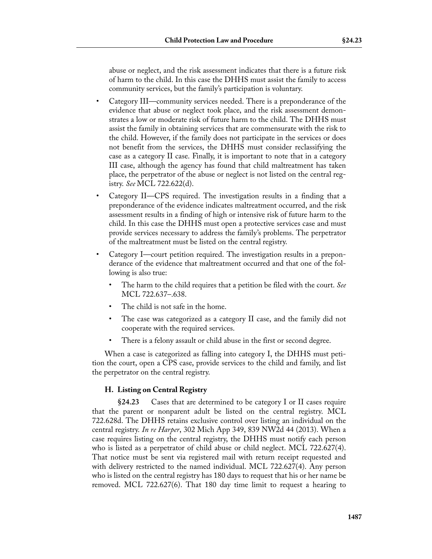abuse or neglect, and the risk assessment indicates that there is a future risk of harm to the child. In this case the DHHS must assist the family to access community services, but the family's participation is voluntary.

- Category III—community services needed. There is a preponderance of the evidence that abuse or neglect took place, and the risk assessment demonstrates a low or moderate risk of future harm to the child. The DHHS must assist the family in obtaining services that are commensurate with the risk to the child. However, if the family does not participate in the services or does not benefit from the services, the DHHS must consider reclassifying the case as a category II case. Finally, it is important to note that in a category III case, although the agency has found that child maltreatment has taken place, the perpetrator of the abuse or neglect is not listed on the central registry. *See* MCL 722.622(d).
- Category II—CPS required. The investigation results in a finding that a preponderance of the evidence indicates maltreatment occurred, and the risk assessment results in a finding of high or intensive risk of future harm to the child. In this case the DHHS must open a protective services case and must provide services necessary to address the family's problems. The perpetrator of the maltreatment must be listed on the central registry.
- Category I—court petition required. The investigation results in a preponderance of the evidence that maltreatment occurred and that one of the following is also true:
	- The harm to the child requires that a petition be filed with the court. *See* MCL 722.637–.638.
	- The child is not safe in the home.
	- The case was categorized as a category II case, and the family did not cooperate with the required services.
	- There is a felony assault or child abuse in the first or second degree.

When a case is categorized as falling into category I, the DHHS must petition the court, open a CPS case, provide services to the child and family, and list the perpetrator on the central registry.

### **H. Listing on Central Registry**

**§24.23** Cases that are determined to be category I or II cases require that the parent or nonparent adult be listed on the central registry. MCL 722.628d. The DHHS retains exclusive control over listing an individual on the central registry. *In re Harper*, 302 Mich App 349, 839 NW2d 44 (2013). When a case requires listing on the central registry, the DHHS must notify each person who is listed as a perpetrator of child abuse or child neglect. MCL 722.627(4). That notice must be sent via registered mail with return receipt requested and with delivery restricted to the named individual. MCL 722.627(4). Any person who is listed on the central registry has 180 days to request that his or her name be removed. MCL 722.627(6). That 180 day time limit to request a hearing to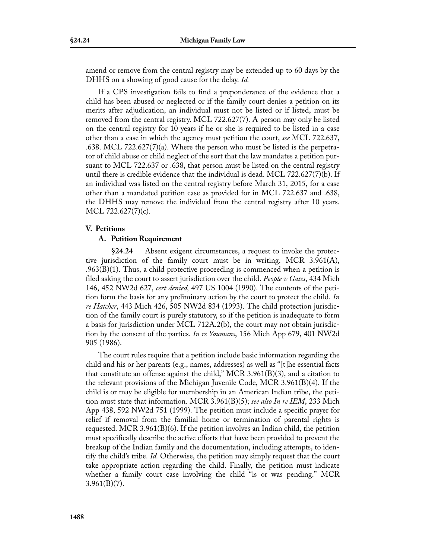amend or remove from the central registry may be extended up to 60 days by the DHHS on a showing of good cause for the delay. *Id.* 

If a CPS investigation fails to find a preponderance of the evidence that a child has been abused or neglected or if the family court denies a petition on its merits after adjudication, an individual must not be listed or if listed, must be removed from the central registry. MCL 722.627(7). A person may only be listed on the central registry for 10 years if he or she is required to be listed in a case other than a case in which the agency must petition the court, *see* MCL 722.637, .638. MCL 722.627(7)(a). Where the person who must be listed is the perpetrator of child abuse or child neglect of the sort that the law mandates a petition pursuant to MCL 722.637 or .638, that person must be listed on the central registry until there is credible evidence that the individual is dead. MCL 722.627(7)(b). If an individual was listed on the central registry before March 31, 2015, for a case other than a mandated petition case as provided for in MCL 722.637 and .638, the DHHS may remove the individual from the central registry after 10 years. MCL 722.627(7)(c).

#### **V. Petitions**

#### **A. Petition Requirement**

**§24.24** Absent exigent circumstances, a request to invoke the protective jurisdiction of the family court must be in writing. MCR 3.961(A),  $.963(B)(1)$ . Thus, a child protective proceeding is commenced when a petition is filed asking the court to assert jurisdiction over the child. *People v Gates*, 434 Mich 146, 452 NW2d 627, *cert denied,* 497 US 1004 (1990). The contents of the petition form the basis for any preliminary action by the court to protect the child. *In re Hatcher*, 443 Mich 426, 505 NW2d 834 (1993). The child protection jurisdiction of the family court is purely statutory, so if the petition is inadequate to form a basis for jurisdiction under MCL 712A.2(b), the court may not obtain jurisdiction by the consent of the parties. *In re Youmans*, 156 Mich App 679, 401 NW2d 905 (1986).

The court rules require that a petition include basic information regarding the child and his or her parents (e.g., names, addresses) as well as "[t]he essential facts that constitute an offense against the child," MCR 3.961(B)(3), and a citation to the relevant provisions of the Michigan Juvenile Code, MCR 3.961(B)(4). If the child is or may be eligible for membership in an American Indian tribe, the petition must state that information. MCR 3.961(B)(5); *see also In re IEM*, 233 Mich App 438, 592 NW2d 751 (1999). The petition must include a specific prayer for relief if removal from the familial home or termination of parental rights is requested. MCR 3.961 $(B)(6)$ . If the petition involves an Indian child, the petition must specifically describe the active efforts that have been provided to prevent the breakup of the Indian family and the documentation, including attempts, to identify the child's tribe. *Id.* Otherwise, the petition may simply request that the court take appropriate action regarding the child. Finally, the petition must indicate whether a family court case involving the child "is or was pending." MCR  $3.961(B)(7)$ .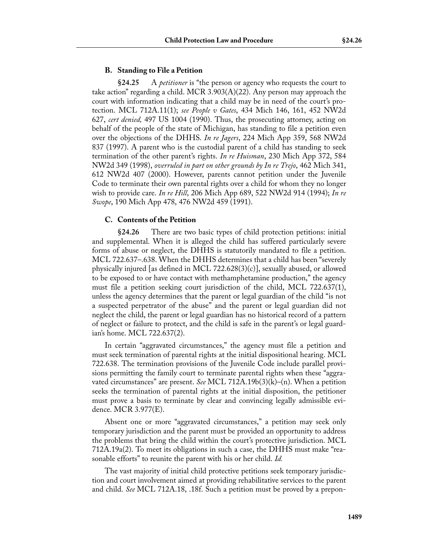#### **B. Standing to File a Petition**

**§24.25** A *petitioner* is "the person or agency who requests the court to take action" regarding a child. MCR 3.903(A)(22). Any person may approach the court with information indicating that a child may be in need of the court's protection. MCL 712A.11(1); *see People v Gates*, 434 Mich 146, 161, 452 NW2d 627, *cert denied,* 497 US 1004 (1990). Thus, the prosecuting attorney, acting on behalf of the people of the state of Michigan, has standing to file a petition even over the objections of the DHHS. *In re Jagers*, 224 Mich App 359, 568 NW2d 837 (1997). A parent who is the custodial parent of a child has standing to seek termination of the other parent's rights. *In re Huisman*, 230 Mich App 372, 584 NW2d 349 (1998), *overruled in part on other grounds by In re Trejo*, 462 Mich 341, 612 NW2d 407 (2000). However, parents cannot petition under the Juvenile Code to terminate their own parental rights over a child for whom they no longer wish to provide care. *In re Hill*, 206 Mich App 689, 522 NW2d 914 (1994); *In re Swope*, 190 Mich App 478, 476 NW2d 459 (1991).

#### **C. Contents of the Petition**

**§24.26** There are two basic types of child protection petitions: initial and supplemental. When it is alleged the child has suffered particularly severe forms of abuse or neglect, the DHHS is statutorily mandated to file a petition. MCL 722.637–.638. When the DHHS determines that a child has been "severely physically injured [as defined in MCL 722.628(3)(c)], sexually abused, or allowed to be exposed to or have contact with methamphetamine production," the agency must file a petition seeking court jurisdiction of the child, MCL 722.637(1), unless the agency determines that the parent or legal guardian of the child "is not a suspected perpetrator of the abuse" and the parent or legal guardian did not neglect the child, the parent or legal guardian has no historical record of a pattern of neglect or failure to protect, and the child is safe in the parent's or legal guardian's home. MCL 722.637(2).

In certain "aggravated circumstances," the agency must file a petition and must seek termination of parental rights at the initial dispositional hearing. MCL 722.638. The termination provisions of the Juvenile Code include parallel provisions permitting the family court to terminate parental rights when these "aggravated circumstances" are present. *See* MCL 712A.19b(3)(k)–(n). When a petition seeks the termination of parental rights at the initial disposition, the petitioner must prove a basis to terminate by clear and convincing legally admissible evidence. MCR 3.977(E).

Absent one or more "aggravated circumstances," a petition may seek only temporary jurisdiction and the parent must be provided an opportunity to address the problems that bring the child within the court's protective jurisdiction. MCL 712A.19a(2). To meet its obligations in such a case, the DHHS must make "reasonable efforts" to reunite the parent with his or her child. *Id.*

The vast majority of initial child protective petitions seek temporary jurisdiction and court involvement aimed at providing rehabilitative services to the parent and child. *See* MCL 712A.18, .18f. Such a petition must be proved by a prepon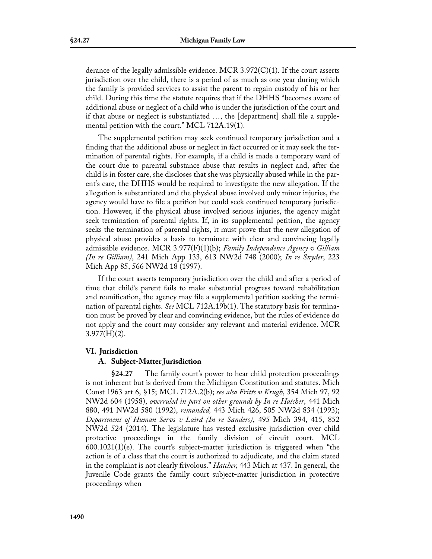derance of the legally admissible evidence. MCR  $3.972(C)(1)$ . If the court asserts jurisdiction over the child, there is a period of as much as one year during which the family is provided services to assist the parent to regain custody of his or her child. During this time the statute requires that if the DHHS "becomes aware of additional abuse or neglect of a child who is under the jurisdiction of the court and if that abuse or neglect is substantiated …, the [department] shall file a supplemental petition with the court." MCL 712A.19(1).

The supplemental petition may seek continued temporary jurisdiction and a finding that the additional abuse or neglect in fact occurred or it may seek the termination of parental rights. For example, if a child is made a temporary ward of the court due to parental substance abuse that results in neglect and, after the child is in foster care, she discloses that she was physically abused while in the parent's care, the DHHS would be required to investigate the new allegation. If the allegation is substantiated and the physical abuse involved only minor injuries, the agency would have to file a petition but could seek continued temporary jurisdiction. However, if the physical abuse involved serious injuries, the agency might seek termination of parental rights. If, in its supplemental petition, the agency seeks the termination of parental rights, it must prove that the new allegation of physical abuse provides a basis to terminate with clear and convincing legally admissible evidence. MCR 3.977(F)(1)(b); *Family Independence Agency v Gilliam (In re Gilliam)*, 241 Mich App 133, 613 NW2d 748 (2000); *In re Snyder*, 223 Mich App 85, 566 NW2d 18 (1997).

If the court asserts temporary jurisdiction over the child and after a period of time that child's parent fails to make substantial progress toward rehabilitation and reunification, the agency may file a supplemental petition seeking the termination of parental rights. *See* MCL 712A.19b(1). The statutory basis for termination must be proved by clear and convincing evidence, but the rules of evidence do not apply and the court may consider any relevant and material evidence. MCR  $3.977(H)(2)$ .

### **VI. Jurisdiction**

### **A. Subject-Matter Jurisdiction**

**§24.27** The family court's power to hear child protection proceedings is not inherent but is derived from the Michigan Constitution and statutes. Mich Const 1963 art 6, §15; MCL 712A.2(b); *see also Fritts v Krugh*, 354 Mich 97, 92 NW2d 604 (1958), *overruled in part on other grounds by In re Hatcher*, 441 Mich 880, 491 NW2d 580 (1992), *remanded,* 443 Mich 426, 505 NW2d 834 (1993); *Department of Human Servs v Laird (In re Sanders)*, 495 Mich 394, 415, 852 NW2d 524 (2014). The legislature has vested exclusive jurisdiction over child protective proceedings in the family division of circuit court. MCL 600.1021(1)(e). The court's subject-matter jurisdiction is triggered when "the action is of a class that the court is authorized to adjudicate, and the claim stated in the complaint is not clearly frivolous." *Hatcher,* 443 Mich at 437. In general, the Juvenile Code grants the family court subject-matter jurisdiction in protective proceedings when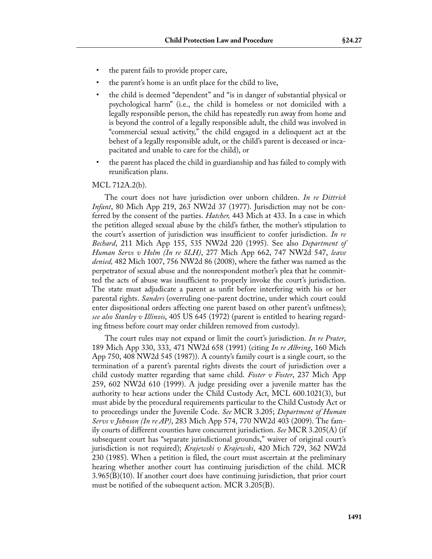- the parent fails to provide proper care,
- the parent's home is an unfit place for the child to live,
- the child is deemed "dependent" and "is in danger of substantial physical or psychological harm" (i.e., the child is homeless or not domiciled with a legally responsible person, the child has repeatedly run away from home and is beyond the control of a legally responsible adult, the child was involved in "commercial sexual activity," the child engaged in a delinquent act at the behest of a legally responsible adult, or the child's parent is deceased or incapacitated and unable to care for the child), or
- the parent has placed the child in guardianship and has failed to comply with reunification plans.

#### MCL 712A.2(b).

The court does not have jurisdiction over unborn children. *In re Dittrick Infant*, 80 Mich App 219, 263 NW2d 37 (1977). Jurisdiction may not be conferred by the consent of the parties. *Hatcher,* 443 Mich at 433. In a case in which the petition alleged sexual abuse by the child's father, the mother's stipulation to the court's assertion of jurisdiction was insufficient to confer jurisdiction. *In re Bechard*, 211 Mich App 155, 535 NW2d 220 (1995). See also *Department of Human Servs v Holm (In re SLH)*, 277 Mich App 662, 747 NW2d 547, *leave denied,* 482 Mich 1007, 756 NW2d 86 (2008), where the father was named as the perpetrator of sexual abuse and the nonrespondent mother's plea that he committed the acts of abuse was insufficient to properly invoke the court's jurisdiction. The state must adjudicate a parent as unfit before interfering with his or her parental rights. *Sanders* (overruling one-parent doctrine, under which court could enter dispositional orders affecting one parent based on other parent's unfitness); *see also Stanley v Illinois*, 405 US 645 (1972) (parent is entitled to hearing regarding fitness before court may order children removed from custody).

The court rules may not expand or limit the court's jurisdiction. *In re Prater*, 189 Mich App 330, 333, 471 NW2d 658 (1991) (citing *In re Albring*, 160 Mich App 750, 408 NW2d 545 (1987)). A county's family court is a single court, so the termination of a parent's parental rights divests the court of jurisdiction over a child custody matter regarding that same child. *Foster v Foster*, 237 Mich App 259, 602 NW2d 610 (1999). A judge presiding over a juvenile matter has the authority to hear actions under the Child Custody Act, MCL 600.1021(3), but must abide by the procedural requirements particular to the Child Custody Act or to proceedings under the Juvenile Code. *See* MCR 3.205; *Department of Human Servs v Johnson (In re AP)*, 283 Mich App 574, 770 NW2d 403 (2009). The family courts of different counties have concurrent jurisdiction. *See* MCR 3.205(A) (if subsequent court has "separate jurisdictional grounds," waiver of original court's jurisdiction is not required); *Krajewski v Krajewski*, 420 Mich 729, 362 NW2d 230 (1985). When a petition is filed, the court must ascertain at the preliminary hearing whether another court has continuing jurisdiction of the child. MCR  $3.965(B)(10)$ . If another court does have continuing jurisdiction, that prior court must be notified of the subsequent action. MCR 3.205(B).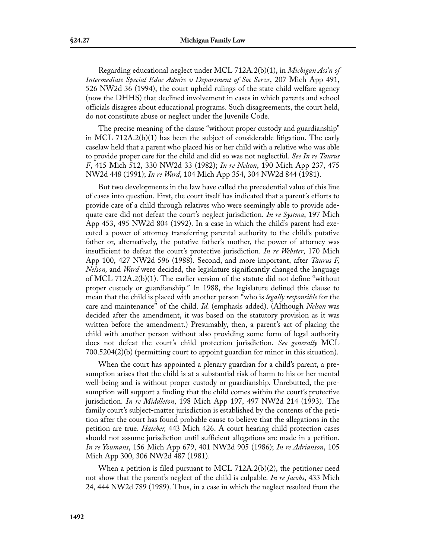Regarding educational neglect under MCL 712A.2(b)(1), in *Michigan Ass'n of Intermediate Special Educ Adm'rs v Department of Soc Servs*, 207 Mich App 491, 526 NW2d 36 (1994), the court upheld rulings of the state child welfare agency (now the DHHS) that declined involvement in cases in which parents and school officials disagree about educational programs. Such disagreements, the court held, do not constitute abuse or neglect under the Juvenile Code.

The precise meaning of the clause "without proper custody and guardianship" in MCL 712A.2(b)(1) has been the subject of considerable litigation. The early caselaw held that a parent who placed his or her child with a relative who was able to provide proper care for the child and did so was not neglectful. *See In re Taurus F*, 415 Mich 512, 330 NW2d 33 (1982); *In re Nelson*, 190 Mich App 237, 475 NW2d 448 (1991); *In re Ward*, 104 Mich App 354, 304 NW2d 844 (1981).

But two developments in the law have called the precedential value of this line of cases into question. First, the court itself has indicated that a parent's efforts to provide care of a child through relatives who were seemingly able to provide adequate care did not defeat the court's neglect jurisdiction. *In re Systma*, 197 Mich App 453, 495 NW2d 804 (1992). In a case in which the child's parent had executed a power of attorney transferring parental authority to the child's putative father or, alternatively, the putative father's mother, the power of attorney was insufficient to defeat the court's protective jurisdiction. *In re Webster*, 170 Mich App 100, 427 NW2d 596 (1988). Second, and more important, after *Taurus F, Nelson,* and *Ward* were decided, the legislature significantly changed the language of MCL 712A.2(b)(1). The earlier version of the statute did not define "without proper custody or guardianship." In 1988, the legislature defined this clause to mean that the child is placed with another person "who is *legally responsible* for the care and maintenance" of the child. *Id.* (emphasis added). (Although *Nelson* was decided after the amendment, it was based on the statutory provision as it was written before the amendment.) Presumably, then, a parent's act of placing the child with another person without also providing some form of legal authority does not defeat the court's child protection jurisdiction. *See generally* MCL 700.5204(2)(b) (permitting court to appoint guardian for minor in this situation).

When the court has appointed a plenary guardian for a child's parent, a presumption arises that the child is at a substantial risk of harm to his or her mental well-being and is without proper custody or guardianship. Unrebutted, the presumption will support a finding that the child comes within the court's protective jurisdiction. *In re Middleton*, 198 Mich App 197, 497 NW2d 214 (1993). The family court's subject-matter jurisdiction is established by the contents of the petition after the court has found probable cause to believe that the allegations in the petition are true. *Hatcher,* 443 Mich 426. A court hearing child protection cases should not assume jurisdiction until sufficient allegations are made in a petition. *In re Youmans*, 156 Mich App 679, 401 NW2d 905 (1986); *In re Adrianson*, 105 Mich App 300, 306 NW2d 487 (1981).

When a petition is filed pursuant to MCL 712A.2(b)(2), the petitioner need not show that the parent's neglect of the child is culpable. *In re Jacobs*, 433 Mich 24, 444 NW2d 789 (1989). Thus, in a case in which the neglect resulted from the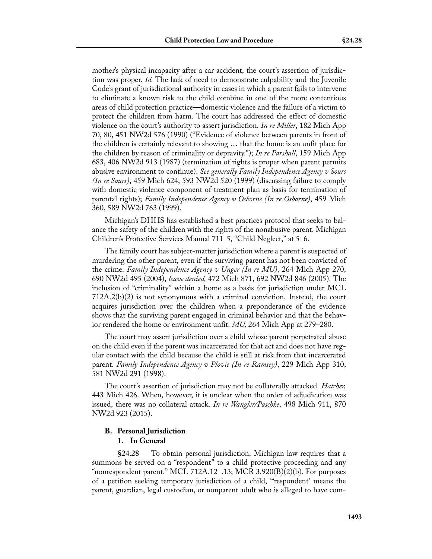mother's physical incapacity after a car accident, the court's assertion of jurisdiction was proper. *Id.* The lack of need to demonstrate culpability and the Juvenile Code's grant of jurisdictional authority in cases in which a parent fails to intervene to eliminate a known risk to the child combine in one of the more contentious areas of child protection practice—domestic violence and the failure of a victim to protect the children from harm. The court has addressed the effect of domestic violence on the court's authority to assert jurisdiction. *In re Miller*, 182 Mich App 70, 80, 451 NW2d 576 (1990) ("Evidence of violence between parents in front of the children is certainly relevant to showing … that the home is an unfit place for the children by reason of criminality or depravity."); *In re Parshall*, 159 Mich App 683, 406 NW2d 913 (1987) (termination of rights is proper when parent permits abusive environment to continue). *See generally Family Independence Agency v Sours (In re Sours)*, 459 Mich 624, 593 NW2d 520 (1999) (discussing failure to comply with domestic violence component of treatment plan as basis for termination of parental rights); *Family Independence Agency v Osborne (In re Osborne)*, 459 Mich 360, 589 NW2d 763 (1999).

Michigan's DHHS has established a best practices protocol that seeks to balance the safety of the children with the rights of the nonabusive parent. Michigan Children's Protective Services Manual 711-5, "Child Neglect," at 5–6.

The family court has subject-matter jurisdiction where a parent is suspected of murdering the other parent, even if the surviving parent has not been convicted of the crime. *Family Independence Agency v Unger (In re MU)*, 264 Mich App 270, 690 NW2d 495 (2004), *leave denied,* 472 Mich 871, 692 NW2d 846 (2005). The inclusion of "criminality" within a home as a basis for jurisdiction under MCL 712A.2(b)(2) is not synonymous with a criminal conviction. Instead, the court acquires jurisdiction over the children when a preponderance of the evidence shows that the surviving parent engaged in criminal behavior and that the behavior rendered the home or environment unfit. *MU,* 264 Mich App at 279–280.

The court may assert jurisdiction over a child whose parent perpetrated abuse on the child even if the parent was incarcerated for that act and does not have regular contact with the child because the child is still at risk from that incarcerated parent. *Family Independence Agency v Plovie (In re Ramsey)*, 229 Mich App 310, 581 NW2d 291 (1998).

The court's assertion of jurisdiction may not be collaterally attacked. *Hatcher,* 443 Mich 426. When, however, it is unclear when the order of adjudication was issued, there was no collateral attack. *In re Wangler/Paschke*, 498 Mich 911, 870 NW2d 923 (2015).

# **B. Personal Jurisdiction**

### **1. In General**

**§24.28** To obtain personal jurisdiction, Michigan law requires that a summons be served on a "respondent" to a child protective proceeding and any "nonrespondent parent." MCL 712A.12–.13; MCR 3.920 $(B)(2)(b)$ . For purposes of a petition seeking temporary jurisdiction of a child, "'respondent' means the parent, guardian, legal custodian, or nonparent adult who is alleged to have com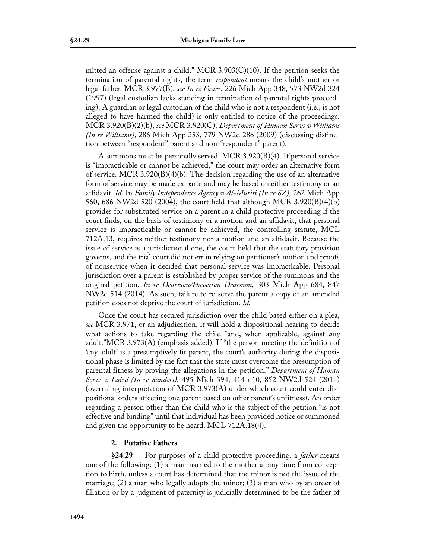mitted an offense against a child." MCR 3.903(C)(10). If the petition seeks the termination of parental rights, the term *respondent* means the child's mother or legal father. MCR 3.977(B); *see In re Foster*, 226 Mich App 348, 573 NW2d 324 (1997) (legal custodian lacks standing in termination of parental rights proceeding). A guardian or legal custodian of the child who is not a respondent (i.e., is not alleged to have harmed the child) is only entitled to notice of the proceedings. MCR 3.920(B)(2)(b); *see* MCR 3.920(C); *Department of Human Servs v Williams (In re Williams)*, 286 Mich App 253, 779 NW2d 286 (2009) (discussing distinction between "respondent" parent and non-"respondent" parent).

A summons must be personally served. MCR 3.920(B)(4). If personal service is "impracticable or cannot be achieved," the court may order an alternative form of service. MCR 3.920(B)(4)(b). The decision regarding the use of an alternative form of service may be made ex parte and may be based on either testimony or an affidavit. *Id.* In *Family Independence Agency v Al-Murisi (In re SZ)*, 262 Mich App 560, 686 NW2d 520 (2004), the court held that although MCR 3.920(B)(4)(b) provides for substituted service on a parent in a child protective proceeding if the court finds, on the basis of testimony or a motion and an affidavit, that personal service is impracticable or cannot be achieved, the controlling statute, MCL 712A.13, requires neither testimony nor a motion and an affidavit. Because the issue of service is a jurisdictional one, the court held that the statutory provision governs, and the trial court did not err in relying on petitioner's motion and proofs of nonservice when it decided that personal service was impracticable. Personal jurisdiction over a parent is established by proper service of the summons and the original petition. *In re Dearmon/Haverson-Dearmon*, 303 Mich App 684, 847 NW2d 514 (2014). As such, failure to re-serve the parent a copy of an amended petition does not deprive the court of jurisdiction. *Id.*

Once the court has secured jurisdiction over the child based either on a plea, *see* MCR 3.971, or an adjudication, it will hold a dispositional hearing to decide what actions to take regarding the child "and, when applicable, against *any* adult."MCR 3.973(A) (emphasis added). If "the person meeting the definition of 'any adult' is a presumptively fit parent, the court's authority during the dispositional phase is limited by the fact that the state must overcome the presumption of parental fitness by proving the allegations in the petition." *Department of Human Servs v Laird (In re Sanders)*, 495 Mich 394, 414 n10, 852 NW2d 524 (2014) (overruling interpretation of MCR 3.973(A) under which court could enter dispositional orders affecting one parent based on other parent's unfitness). An order regarding a person other than the child who is the subject of the petition "is not effective and binding" until that individual has been provided notice or summoned and given the opportunity to be heard. MCL 712A.18(4).

### **2. Putative Fathers**

**§24.29** For purposes of a child protective proceeding, a *father* means one of the following: (1) a man married to the mother at any time from conception to birth, unless a court has determined that the minor is not the issue of the marriage; (2) a man who legally adopts the minor; (3) a man who by an order of filiation or by a judgment of paternity is judicially determined to be the father of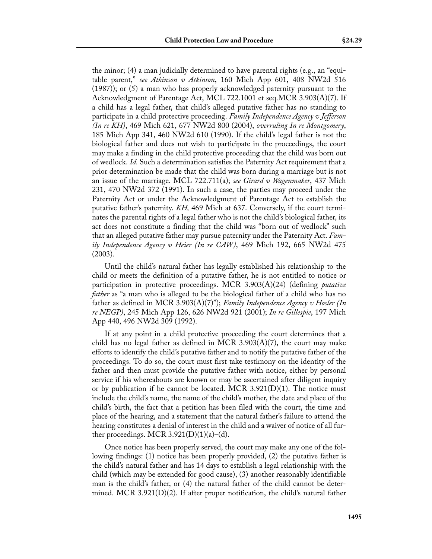the minor; (4) a man judicially determined to have parental rights (e.g., an "equitable parent," *see Atkinson v Atkinson*, 160 Mich App 601, 408 NW2d 516 (1987)); or (5) a man who has properly acknowledged paternity pursuant to the Acknowledgment of Parentage Act, MCL 722.1001 et seq.MCR 3.903(A)(7). If a child has a legal father, that child's alleged putative father has no standing to participate in a child protective proceeding. *Family Independence Agency v Jefferson (In re KH)*, 469 Mich 621, 677 NW2d 800 (2004), *overruling In re Montgomery*, 185 Mich App 341, 460 NW2d 610 (1990). If the child's legal father is not the biological father and does not wish to participate in the proceedings, the court may make a finding in the child protective proceeding that the child was born out of wedlock. *Id.* Such a determination satisfies the Paternity Act requirement that a prior determination be made that the child was born during a marriage but is not an issue of the marriage. MCL 722.711(a); *see Girard v Wagenmaker*, 437 Mich 231, 470 NW2d 372 (1991). In such a case, the parties may proceed under the Paternity Act or under the Acknowledgment of Parentage Act to establish the putative father's paternity. *KH,* 469 Mich at 637. Conversely, if the court terminates the parental rights of a legal father who is not the child's biological father, its act does not constitute a finding that the child was "born out of wedlock" such that an alleged putative father may pursue paternity under the Paternity Act. *Family Independence Agency v Heier (In re CAW)*, 469 Mich 192, 665 NW2d 475 (2003).

Until the child's natural father has legally established his relationship to the child or meets the definition of a putative father, he is not entitled to notice or participation in protective proceedings. MCR 3.903(A)(24) (defining *putative father* as "a man who is alleged to be the biological father of a child who has no father as defined in MCR 3.903(A)(7)"); *Family Independence Agency v Hosler (In re NEGP)*, 245 Mich App 126, 626 NW2d 921 (2001); *In re Gillespie*, 197 Mich App 440, 496 NW2d 309 (1992).

If at any point in a child protective proceeding the court determines that a child has no legal father as defined in MCR 3.903(A)(7), the court may make efforts to identify the child's putative father and to notify the putative father of the proceedings. To do so, the court must first take testimony on the identity of the father and then must provide the putative father with notice, either by personal service if his whereabouts are known or may be ascertained after diligent inquiry or by publication if he cannot be located. MCR  $3.921(D)(1)$ . The notice must include the child's name, the name of the child's mother, the date and place of the child's birth, the fact that a petition has been filed with the court, the time and place of the hearing, and a statement that the natural father's failure to attend the hearing constitutes a denial of interest in the child and a waiver of notice of all further proceedings. MCR 3.921(D)(1)(a)–(d).

Once notice has been properly served, the court may make any one of the following findings: (1) notice has been properly provided, (2) the putative father is the child's natural father and has 14 days to establish a legal relationship with the child (which may be extended for good cause), (3) another reasonably identifiable man is the child's father, or (4) the natural father of the child cannot be determined. MCR 3.921(D)(2). If after proper notification, the child's natural father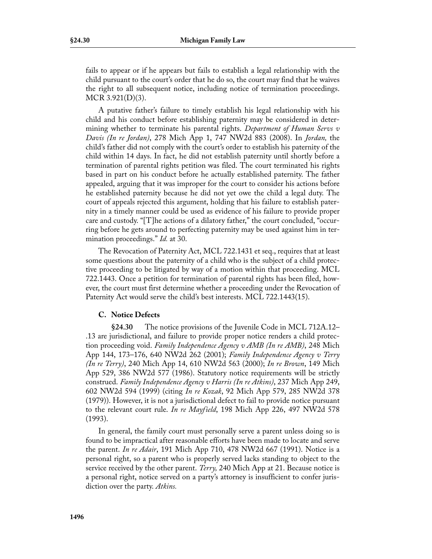fails to appear or if he appears but fails to establish a legal relationship with the child pursuant to the court's order that he do so, the court may find that he waives the right to all subsequent notice, including notice of termination proceedings. MCR 3.921(D)(3).

A putative father's failure to timely establish his legal relationship with his child and his conduct before establishing paternity may be considered in determining whether to terminate his parental rights. *Department of Human Servs v Davis (In re Jordan)*, 278 Mich App 1, 747 NW2d 883 (2008). In *Jordan,* the child's father did not comply with the court's order to establish his paternity of the child within 14 days. In fact, he did not establish paternity until shortly before a termination of parental rights petition was filed. The court terminated his rights based in part on his conduct before he actually established paternity. The father appealed, arguing that it was improper for the court to consider his actions before he established paternity because he did not yet owe the child a legal duty. The court of appeals rejected this argument, holding that his failure to establish paternity in a timely manner could be used as evidence of his failure to provide proper care and custody. "[T]he actions of a dilatory father," the court concluded, "occurring before he gets around to perfecting paternity may be used against him in termination proceedings." *Id.* at 30.

The Revocation of Paternity Act, MCL 722.1431 et seq., requires that at least some questions about the paternity of a child who is the subject of a child protective proceeding to be litigated by way of a motion within that proceeding. MCL 722.1443. Once a petition for termination of parental rights has been filed, however, the court must first determine whether a proceeding under the Revocation of Paternity Act would serve the child's best interests. MCL 722.1443(15).

### **C. Notice Defects**

**§24.30** The notice provisions of the Juvenile Code in MCL 712A.12– .13 are jurisdictional, and failure to provide proper notice renders a child protection proceeding void. *Family Independence Agency v AMB (In re AMB)*, 248 Mich App 144, 173–176, 640 NW2d 262 (2001); *Family Independence Agency v Terry (In re Terry)*, 240 Mich App 14, 610 NW2d 563 (2000); *In re Brown*, 149 Mich App 529, 386 NW2d 577 (1986). Statutory notice requirements will be strictly construed. *Family Independence Agency v Harris (In re Atkins)*, 237 Mich App 249, 602 NW2d 594 (1999) (citing *In re Kozak*, 92 Mich App 579, 285 NW2d 378 (1979)). However, it is not a jurisdictional defect to fail to provide notice pursuant to the relevant court rule. *In re Mayfield*, 198 Mich App 226, 497 NW2d 578 (1993).

In general, the family court must personally serve a parent unless doing so is found to be impractical after reasonable efforts have been made to locate and serve the parent. *In re Adair*, 191 Mich App 710, 478 NW2d 667 (1991). Notice is a personal right, so a parent who is properly served lacks standing to object to the service received by the other parent. *Terry,* 240 Mich App at 21. Because notice is a personal right, notice served on a party's attorney is insufficient to confer jurisdiction over the party. *Atkins.*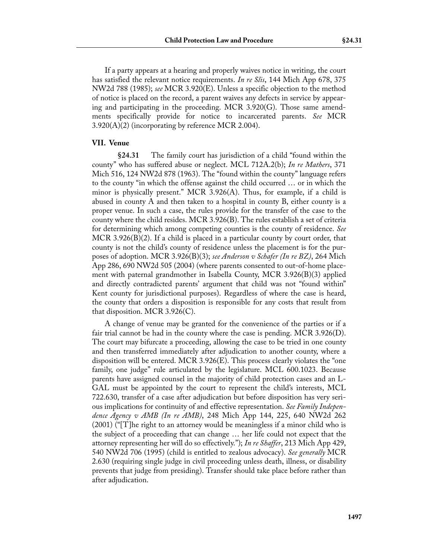If a party appears at a hearing and properly waives notice in writing, the court has satisfied the relevant notice requirements. *In re Slis*, 144 Mich App 678, 375 NW2d 788 (1985); *see* MCR 3.920(E). Unless a specific objection to the method of notice is placed on the record, a parent waives any defects in service by appearing and participating in the proceeding. MCR  $3.920(G)$ . Those same amendments specifically provide for notice to incarcerated parents. *See* MCR  $3.920(A)(2)$  (incorporating by reference MCR 2.004).

### **VII. Venue**

**§24.31** The family court has jurisdiction of a child "found within the county" who has suffered abuse or neglect. MCL 712A.2(b); *In re Mathers*, 371 Mich 516, 124 NW2d 878 (1963). The "found within the county" language refers to the county "in which the offense against the child occurred … or in which the minor is physically present." MCR 3.926(A). Thus, for example, if a child is abused in county A and then taken to a hospital in county B, either county is a proper venue. In such a case, the rules provide for the transfer of the case to the county where the child resides. MCR 3.926(B). The rules establish a set of criteria for determining which among competing counties is the county of residence. *See* MCR 3.926(B)(2). If a child is placed in a particular county by court order, that county is not the child's county of residence unless the placement is for the purposes of adoption. MCR 3.926(B)(3); *see Anderson v Schafer (In re BZ)*, 264 Mich App 286, 690 NW2d 505 (2004) (where parents consented to out-of-home placement with paternal grandmother in Isabella County, MCR 3.926(B)(3) applied and directly contradicted parents' argument that child was not "found within" Kent county for jurisdictional purposes). Regardless of where the case is heard, the county that orders a disposition is responsible for any costs that result from that disposition. MCR 3.926(C).

A change of venue may be granted for the convenience of the parties or if a fair trial cannot be had in the county where the case is pending.  $MCR$  3.926(D). The court may bifurcate a proceeding, allowing the case to be tried in one county and then transferred immediately after adjudication to another county, where a disposition will be entered. MCR 3.926(E). This process clearly violates the "one family, one judge" rule articulated by the legislature. MCL 600.1023. Because parents have assigned counsel in the majority of child protection cases and an L-GAL must be appointed by the court to represent the child's interests, MCL 722.630, transfer of a case after adjudication but before disposition has very serious implications for continuity of and effective representation. *See Family Independence Agency v AMB (In re AMB)*, 248 Mich App 144, 225, 640 NW2d 262 (2001) ("[T]he right to an attorney would be meaningless if a minor child who is the subject of a proceeding that can change … her life could not expect that the attorney representing her will do so effectively."); *In re Shaffer*, 213 Mich App 429, 540 NW2d 706 (1995) (child is entitled to zealous advocacy). *See generally* MCR 2.630 (requiring single judge in civil proceeding unless death, illness, or disability prevents that judge from presiding). Transfer should take place before rather than after adjudication.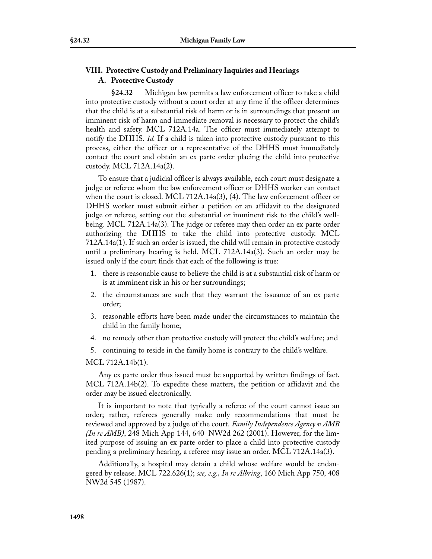### **VIII. Protective Custody and Preliminary Inquiries and Hearings A. Protective Custody**

**§24.32** Michigan law permits a law enforcement officer to take a child into protective custody without a court order at any time if the officer determines that the child is at a substantial risk of harm or is in surroundings that present an imminent risk of harm and immediate removal is necessary to protect the child's health and safety. MCL 712A.14a. The officer must immediately attempt to notify the DHHS. *Id.* If a child is taken into protective custody pursuant to this process, either the officer or a representative of the DHHS must immediately contact the court and obtain an ex parte order placing the child into protective custody. MCL 712A.14a(2).

To ensure that a judicial officer is always available, each court must designate a judge or referee whom the law enforcement officer or DHHS worker can contact when the court is closed. MCL 712A.14a(3), (4). The law enforcement officer or DHHS worker must submit either a petition or an affidavit to the designated judge or referee, setting out the substantial or imminent risk to the child's wellbeing. MCL 712A.14a(3). The judge or referee may then order an ex parte order authorizing the DHHS to take the child into protective custody. MCL 712A.14a(1). If such an order is issued, the child will remain in protective custody until a preliminary hearing is held. MCL 712A.14a(3). Such an order may be issued only if the court finds that each of the following is true:

- 1. there is reasonable cause to believe the child is at a substantial risk of harm or is at imminent risk in his or her surroundings;
- 2. the circumstances are such that they warrant the issuance of an ex parte order;
- 3. reasonable efforts have been made under the circumstances to maintain the child in the family home;
- 4. no remedy other than protective custody will protect the child's welfare; and
- 5. continuing to reside in the family home is contrary to the child's welfare.

MCL 712A.14b(1).

Any ex parte order thus issued must be supported by written findings of fact. MCL 712A.14b(2). To expedite these matters, the petition or affidavit and the order may be issued electronically.

It is important to note that typically a referee of the court cannot issue an order; rather, referees generally make only recommendations that must be reviewed and approved by a judge of the court. *Family Independence Agency v AMB (In re AMB)*, 248 Mich App 144, 640 NW2d 262 (2001). However, for the limited purpose of issuing an ex parte order to place a child into protective custody pending a preliminary hearing, a referee may issue an order. MCL 712A.14a(3).

Additionally, a hospital may detain a child whose welfare would be endangered by release. MCL 722.626(1); *see, e.g., In re Albring*, 160 Mich App 750, 408 NW2d 545 (1987).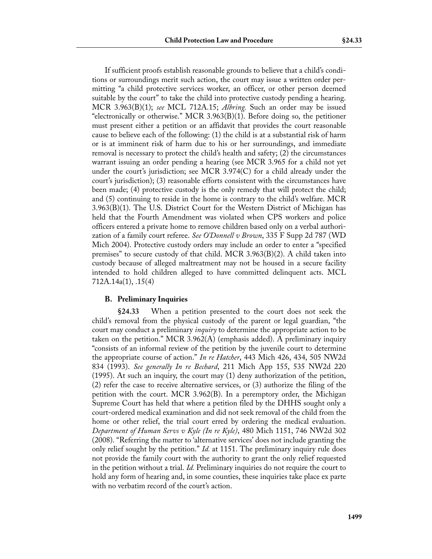If sufficient proofs establish reasonable grounds to believe that a child's conditions or surroundings merit such action, the court may issue a written order permitting "a child protective services worker, an officer, or other person deemed suitable by the court" to take the child into protective custody pending a hearing. MCR 3.963(B)(1); *see* MCL 712A.15; *Albring.* Such an order may be issued "electronically or otherwise." MCR  $3.963(B)(1)$ . Before doing so, the petitioner must present either a petition or an affidavit that provides the court reasonable cause to believe each of the following: (1) the child is at a substantial risk of harm or is at imminent risk of harm due to his or her surroundings, and immediate removal is necessary to protect the child's health and safety; (2) the circumstances warrant issuing an order pending a hearing (see MCR 3.965 for a child not yet under the court's jurisdiction; see MCR 3.974(C) for a child already under the court's jurisdiction); (3) reasonable efforts consistent with the circumstances have been made; (4) protective custody is the only remedy that will protect the child; and (5) continuing to reside in the home is contrary to the child's welfare. MCR 3.963(B)(1). The U.S. District Court for the Western District of Michigan has held that the Fourth Amendment was violated when CPS workers and police officers entered a private home to remove children based only on a verbal authorization of a family court referee. *See O'Donnell v Brown*, 335 F Supp 2d 787 (WD Mich 2004). Protective custody orders may include an order to enter a "specified premises" to secure custody of that child. MCR 3.963(B)(2). A child taken into custody because of alleged maltreatment may not be housed in a secure facility intended to hold children alleged to have committed delinquent acts. MCL 712A.14a(1), .15(4)

#### **B. Preliminary Inquiries**

**§24.33** When a petition presented to the court does not seek the child's removal from the physical custody of the parent or legal guardian, "the court may conduct a preliminary *inquiry* to determine the appropriate action to be taken on the petition." MCR 3.962(A) (emphasis added). A preliminary inquiry "consists of an informal review of the petition by the juvenile court to determine the appropriate course of action." *In re Hatcher*, 443 Mich 426, 434, 505 NW2d 834 (1993). *See generally In re Bechard*, 211 Mich App 155, 535 NW2d 220 (1995). At such an inquiry, the court may (1) deny authorization of the petition, (2) refer the case to receive alternative services, or (3) authorize the filing of the petition with the court. MCR 3.962(B). In a peremptory order, the Michigan Supreme Court has held that where a petition filed by the DHHS sought only a court-ordered medical examination and did not seek removal of the child from the home or other relief, the trial court erred by ordering the medical evaluation. *Department of Human Servs v Kyle (In re Kyle)*, 480 Mich 1151, 746 NW2d 302 (2008). "Referring the matter to 'alternative services' does not include granting the only relief sought by the petition." *Id.* at 1151. The preliminary inquiry rule does not provide the family court with the authority to grant the only relief requested in the petition without a trial. *Id.* Preliminary inquiries do not require the court to hold any form of hearing and, in some counties, these inquiries take place ex parte with no verbatim record of the court's action.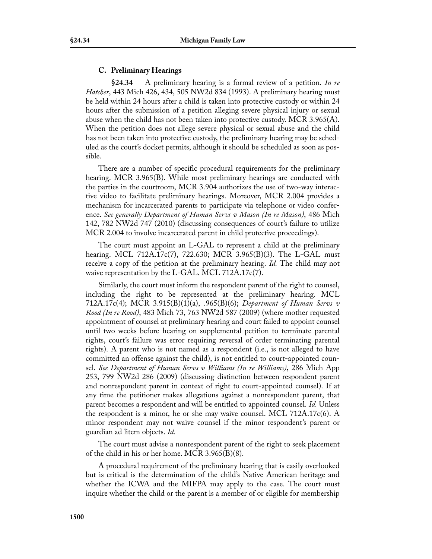### **C. Preliminary Hearings**

**§24.34** A preliminary hearing is a formal review of a petition. *In re Hatcher*, 443 Mich 426, 434, 505 NW2d 834 (1993). A preliminary hearing must be held within 24 hours after a child is taken into protective custody or within 24 hours after the submission of a petition alleging severe physical injury or sexual abuse when the child has not been taken into protective custody. MCR 3.965(A). When the petition does not allege severe physical or sexual abuse and the child has not been taken into protective custody, the preliminary hearing may be scheduled as the court's docket permits, although it should be scheduled as soon as possible.

There are a number of specific procedural requirements for the preliminary hearing. MCR 3.965(B). While most preliminary hearings are conducted with the parties in the courtroom, MCR 3.904 authorizes the use of two-way interactive video to facilitate preliminary hearings. Moreover, MCR 2.004 provides a mechanism for incarcerated parents to participate via telephone or video conference. *See generally Department of Human Servs v Mason (In re Mason)*, 486 Mich 142, 782 NW2d 747 (2010) (discussing consequences of court's failure to utilize MCR 2.004 to involve incarcerated parent in child protective proceedings).

The court must appoint an L-GAL to represent a child at the preliminary hearing. MCL 712A.17c(7), 722.630; MCR 3.965(B)(3). The L-GAL must receive a copy of the petition at the preliminary hearing. *Id.* The child may not waive representation by the L-GAL. MCL 712A.17c(7).

Similarly, the court must inform the respondent parent of the right to counsel, including the right to be represented at the preliminary hearing. MCL 712A.17c(4); MCR 3.915(B)(1)(a), .965(B)(6); *Department of Human Servs v Rood (In re Rood)*, 483 Mich 73, 763 NW2d 587 (2009) (where mother requested appointment of counsel at preliminary hearing and court failed to appoint counsel until two weeks before hearing on supplemental petition to terminate parental rights, court's failure was error requiring reversal of order terminating parental rights). A parent who is not named as a respondent (i.e., is not alleged to have committed an offense against the child), is not entitled to court-appointed counsel. *See Department of Human Servs v Williams (In re Williams)*, 286 Mich App 253, 799 NW2d 286 (2009) (discussing distinction between respondent parent and nonrespondent parent in context of right to court-appointed counsel). If at any time the petitioner makes allegations against a nonrespondent parent, that parent becomes a respondent and will be entitled to appointed counsel. *Id.* Unless the respondent is a minor, he or she may waive counsel. MCL 712A.17c(6). A minor respondent may not waive counsel if the minor respondent's parent or guardian ad litem objects. *Id.*

The court must advise a nonrespondent parent of the right to seek placement of the child in his or her home. MCR 3.965(B)(8).

A procedural requirement of the preliminary hearing that is easily overlooked but is critical is the determination of the child's Native American heritage and whether the ICWA and the MIFPA may apply to the case. The court must inquire whether the child or the parent is a member of or eligible for membership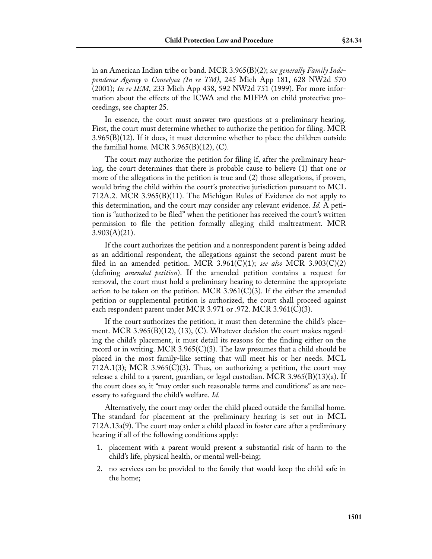in an American Indian tribe or band. MCR 3.965(B)(2); *see generally Family Independence Agency v Conselyea (In re TM)*, 245 Mich App 181, 628 NW2d 570 (2001); *In re IEM*, 233 Mich App 438, 592 NW2d 751 (1999). For more information about the effects of the ICWA and the MIFPA on child protective proceedings, see chapter 25.

In essence, the court must answer two questions at a preliminary hearing. First, the court must determine whether to authorize the petition for filing. MCR  $3.965(B)(12)$ . If it does, it must determine whether to place the children outside the familial home. MCR  $3.965(B)(12)$ , (C).

The court may authorize the petition for filing if, after the preliminary hearing, the court determines that there is probable cause to believe (1) that one or more of the allegations in the petition is true and (2) those allegations, if proven, would bring the child within the court's protective jurisdiction pursuant to MCL 712A.2. MCR 3.965(B)(11). The Michigan Rules of Evidence do not apply to this determination, and the court may consider any relevant evidence. *Id.* A petition is "authorized to be filed" when the petitioner has received the court's written permission to file the petition formally alleging child maltreatment. MCR  $3.903(A)(21)$ .

If the court authorizes the petition and a nonrespondent parent is being added as an additional respondent, the allegations against the second parent must be filed in an amended petition. MCR 3.961(C)(1); *see also* MCR 3.903(C)(2) (defining *amended petition*). If the amended petition contains a request for removal, the court must hold a preliminary hearing to determine the appropriate action to be taken on the petition. MCR 3.961(C)(3). If the either the amended petition or supplemental petition is authorized, the court shall proceed against each respondent parent under MCR 3.971 or .972. MCR 3.961(C)(3).

If the court authorizes the petition, it must then determine the child's placement. MCR 3.965 $(B)(12)$ ,  $(13)$ ,  $(C)$ . Whatever decision the court makes regarding the child's placement, it must detail its reasons for the finding either on the record or in writing. MCR 3.965 $(C)(3)$ . The law presumes that a child should be placed in the most family-like setting that will meet his or her needs. MCL 712A.1(3); MCR 3.965(C)(3). Thus, on authorizing a petition, the court may release a child to a parent, guardian, or legal custodian. MCR  $3.965(B)(13)(a)$ . If the court does so, it "may order such reasonable terms and conditions" as are necessary to safeguard the child's welfare. *Id.*

Alternatively, the court may order the child placed outside the familial home. The standard for placement at the preliminary hearing is set out in MCL 712A.13a(9). The court may order a child placed in foster care after a preliminary hearing if all of the following conditions apply:

- 1. placement with a parent would present a substantial risk of harm to the child's life, physical health, or mental well-being;
- 2. no services can be provided to the family that would keep the child safe in the home;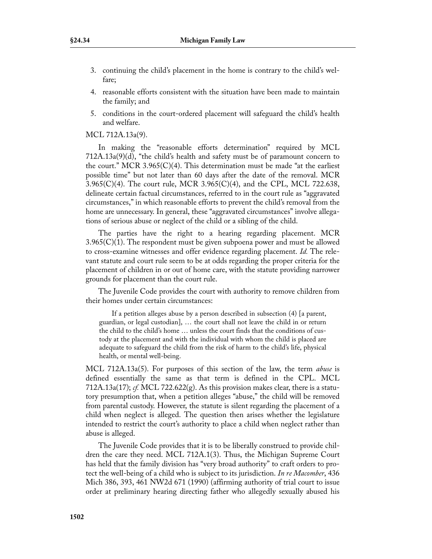- 3. continuing the child's placement in the home is contrary to the child's welfare;
- 4. reasonable efforts consistent with the situation have been made to maintain the family; and
- 5. conditions in the court-ordered placement will safeguard the child's health and welfare.

## MCL 712A.13a(9).

In making the "reasonable efforts determination" required by MCL 712A.13a(9)(d), "the child's health and safety must be of paramount concern to the court." MCR 3.965(C)(4). This determination must be made "at the earliest" possible time" but not later than 60 days after the date of the removal. MCR  $3.965(C)(4)$ . The court rule, MCR  $3.965(C)(4)$ , and the CPL, MCL 722.638, delineate certain factual circumstances, referred to in the court rule as "aggravated circumstances," in which reasonable efforts to prevent the child's removal from the home are unnecessary. In general, these "aggravated circumstances" involve allegations of serious abuse or neglect of the child or a sibling of the child.

The parties have the right to a hearing regarding placement. MCR 3.965(C)(1). The respondent must be given subpoena power and must be allowed to cross-examine witnesses and offer evidence regarding placement. *Id.* The relevant statute and court rule seem to be at odds regarding the proper criteria for the placement of children in or out of home care, with the statute providing narrower grounds for placement than the court rule.

The Juvenile Code provides the court with authority to remove children from their homes under certain circumstances:

If a petition alleges abuse by a person described in subsection (4) [a parent, guardian, or legal custodian], … the court shall not leave the child in or return the child to the child's home … unless the court finds that the conditions of custody at the placement and with the individual with whom the child is placed are adequate to safeguard the child from the risk of harm to the child's life, physical health, or mental well-being.

MCL 712A.13a(5). For purposes of this section of the law, the term *abuse* is defined essentially the same as that term is defined in the CPL. MCL 712A.13a(17); *cf.* MCL 722.622(g). As this provision makes clear, there is a statutory presumption that, when a petition alleges "abuse," the child will be removed from parental custody. However, the statute is silent regarding the placement of a child when neglect is alleged. The question then arises whether the legislature intended to restrict the court's authority to place a child when neglect rather than abuse is alleged.

The Juvenile Code provides that it is to be liberally construed to provide children the care they need. MCL 712A.1(3). Thus, the Michigan Supreme Court has held that the family division has "very broad authority" to craft orders to protect the well-being of a child who is subject to its jurisdiction. *In re Macomber*, 436 Mich 386, 393, 461 NW2d 671 (1990) (affirming authority of trial court to issue order at preliminary hearing directing father who allegedly sexually abused his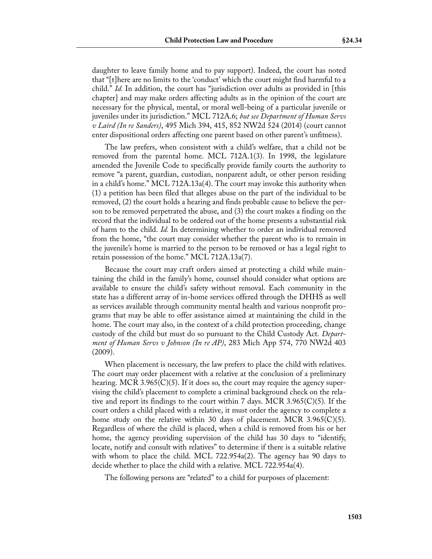daughter to leave family home and to pay support). Indeed, the court has noted that "[t]here are no limits to the 'conduct' which the court might find harmful to a child." *Id.* In addition, the court has "jurisdiction over adults as provided in [this chapter] and may make orders affecting adults as in the opinion of the court are necessary for the physical, mental, or moral well-being of a particular juvenile or juveniles under its jurisdiction." MCL 712A.6; *but see Department of Human Servs v Laird (In re Sanders)*, 495 Mich 394, 415, 852 NW2d 524 (2014) (court cannot enter dispositional orders affecting one parent based on other parent's unfitness).

The law prefers, when consistent with a child's welfare, that a child not be removed from the parental home. MCL 712A.1(3). In 1998, the legislature amended the Juvenile Code to specifically provide family courts the authority to remove "a parent, guardian, custodian, nonparent adult, or other person residing in a child's home." MCL 712A.13a(4). The court may invoke this authority when (1) a petition has been filed that alleges abuse on the part of the individual to be removed, (2) the court holds a hearing and finds probable cause to believe the person to be removed perpetrated the abuse, and (3) the court makes a finding on the record that the individual to be ordered out of the home presents a substantial risk of harm to the child. *Id.* In determining whether to order an individual removed from the home, "the court may consider whether the parent who is to remain in the juvenile's home is married to the person to be removed or has a legal right to retain possession of the home." MCL 712A.13a(7).

Because the court may craft orders aimed at protecting a child while maintaining the child in the family's home, counsel should consider what options are available to ensure the child's safety without removal. Each community in the state has a different array of in-home services offered through the DHHS as well as services available through community mental health and various nonprofit programs that may be able to offer assistance aimed at maintaining the child in the home. The court may also, in the context of a child protection proceeding, change custody of the child but must do so pursuant to the Child Custody Act. *Department of Human Servs v Johnson (In re AP)*, 283 Mich App 574, 770 NW2d 403 (2009).

When placement is necessary, the law prefers to place the child with relatives. The court may order placement with a relative at the conclusion of a preliminary hearing. MCR 3.965(C)(5). If it does so, the court may require the agency supervising the child's placement to complete a criminal background check on the relative and report its findings to the court within 7 days. MCR 3.965(C)(5). If the court orders a child placed with a relative, it must order the agency to complete a home study on the relative within 30 days of placement. MCR 3.965(C)(5). Regardless of where the child is placed, when a child is removed from his or her home, the agency providing supervision of the child has 30 days to "identify, locate, notify and consult with relatives" to determine if there is a suitable relative with whom to place the child. MCL 722.954a(2). The agency has 90 days to decide whether to place the child with a relative. MCL 722.954a(4).

The following persons are "related" to a child for purposes of placement: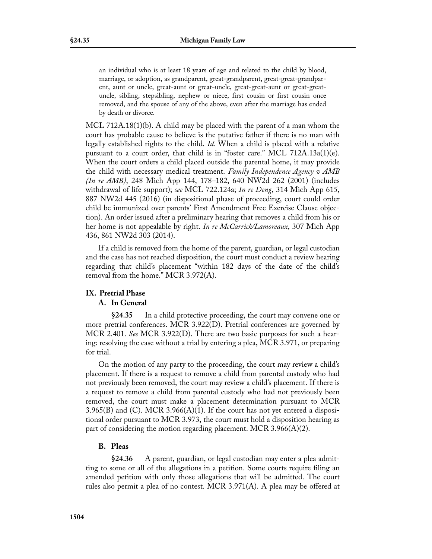an individual who is at least 18 years of age and related to the child by blood, marriage, or adoption, as grandparent, great-grandparent, great-great-grandparent, aunt or uncle, great-aunt or great-uncle, great-great-aunt or great-greatuncle, sibling, stepsibling, nephew or niece, first cousin or first cousin once removed, and the spouse of any of the above, even after the marriage has ended by death or divorce.

MCL 712A.18(1)(b). A child may be placed with the parent of a man whom the court has probable cause to believe is the putative father if there is no man with legally established rights to the child. *Id.* When a child is placed with a relative pursuant to a court order, that child is in "foster care." MCL  $712A.13a(1)(e)$ . When the court orders a child placed outside the parental home, it may provide the child with necessary medical treatment. *Family Independence Agency v AMB (In re AMB)*, 248 Mich App 144, 178–182, 640 NW2d 262 (2001) (includes withdrawal of life support); *see* MCL 722.124a; *In re Deng*, 314 Mich App 615, 887 NW2d 445 (2016) (in dispositional phase of proceeding, court could order child be immunized over parents' First Amendment Free Exercise Clause objection). An order issued after a preliminary hearing that removes a child from his or her home is not appealable by right. *In re McCarrick/Lamoreaux*, 307 Mich App 436, 861 NW2d 303 (2014).

If a child is removed from the home of the parent, guardian, or legal custodian and the case has not reached disposition, the court must conduct a review hearing regarding that child's placement "within 182 days of the date of the child's removal from the home." MCR 3.972(A).

# **IX. Pretrial Phase**

## **A. In General**

**§24.35** In a child protective proceeding, the court may convene one or more pretrial conferences. MCR 3.922(D). Pretrial conferences are governed by MCR 2.401. *See* MCR 3.922(D). There are two basic purposes for such a hearing: resolving the case without a trial by entering a plea, MCR 3.971, or preparing for trial.

On the motion of any party to the proceeding, the court may review a child's placement. If there is a request to remove a child from parental custody who had not previously been removed, the court may review a child's placement. If there is a request to remove a child from parental custody who had not previously been removed, the court must make a placement determination pursuant to MCR  $3.965(B)$  and (C). MCR  $3.966(A)(1)$ . If the court has not yet entered a dispositional order pursuant to MCR 3.973, the court must hold a disposition hearing as part of considering the motion regarding placement. MCR 3.966(A)(2).

## **B. Pleas**

**§24.36** A parent, guardian, or legal custodian may enter a plea admitting to some or all of the allegations in a petition. Some courts require filing an amended petition with only those allegations that will be admitted. The court rules also permit a plea of no contest. MCR 3.971(A). A plea may be offered at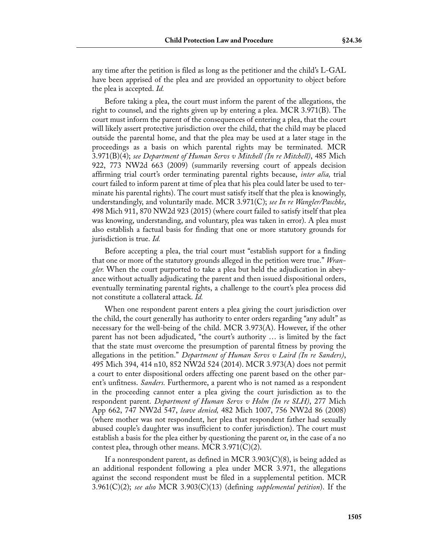any time after the petition is filed as long as the petitioner and the child's L-GAL have been apprised of the plea and are provided an opportunity to object before the plea is accepted. *Id.*

Before taking a plea, the court must inform the parent of the allegations, the right to counsel, and the rights given up by entering a plea. MCR 3.971(B). The court must inform the parent of the consequences of entering a plea, that the court will likely assert protective jurisdiction over the child, that the child may be placed outside the parental home, and that the plea may be used at a later stage in the proceedings as a basis on which parental rights may be terminated. MCR 3.971(B)(4); *see Department of Human Servs v Mitchell (In re Mitchell)*, 485 Mich 922, 773 NW2d 663 (2009) (summarily reversing court of appeals decision affirming trial court's order terminating parental rights because, *inter alia,* trial court failed to inform parent at time of plea that his plea could later be used to terminate his parental rights). The court must satisfy itself that the plea is knowingly, understandingly, and voluntarily made. MCR 3.971(C); *see In re Wangler/Paschke*, 498 Mich 911, 870 NW2d 923 (2015) (where court failed to satisfy itself that plea was knowing, understanding, and voluntary, plea was taken in error). A plea must also establish a factual basis for finding that one or more statutory grounds for jurisdiction is true. *Id.*

Before accepting a plea, the trial court must "establish support for a finding that one or more of the statutory grounds alleged in the petition were true." *Wrangler.* When the court purported to take a plea but held the adjudication in abeyance without actually adjudicating the parent and then issued dispositional orders, eventually terminating parental rights, a challenge to the court's plea process did not constitute a collateral attack. *Id.*

When one respondent parent enters a plea giving the court jurisdiction over the child, the court generally has authority to enter orders regarding "any adult" as necessary for the well-being of the child. MCR 3.973(A). However, if the other parent has not been adjudicated, "the court's authority … is limited by the fact that the state must overcome the presumption of parental fitness by proving the allegations in the petition." *Department of Human Servs v Laird (In re Sanders)*, 495 Mich 394, 414 n10, 852 NW2d 524 (2014). MCR 3.973(A) does not permit a court to enter dispositional orders affecting one parent based on the other parent's unfitness. *Sanders.* Furthermore, a parent who is not named as a respondent in the proceeding cannot enter a plea giving the court jurisdiction as to the respondent parent. *Department of Human Servs v Holm (In re SLH)*, 277 Mich App 662, 747 NW2d 547, *leave denied,* 482 Mich 1007, 756 NW2d 86 (2008) (where mother was not respondent, her plea that respondent father had sexually abused couple's daughter was insufficient to confer jurisdiction). The court must establish a basis for the plea either by questioning the parent or, in the case of a no contest plea, through other means. MCR 3.971(C)(2).

If a nonrespondent parent, as defined in MCR 3.903(C)(8), is being added as an additional respondent following a plea under MCR 3.971, the allegations against the second respondent must be filed in a supplemental petition. MCR 3.961(C)(2); *see also* MCR 3.903(C)(13) (defining *supplemental petition*). If the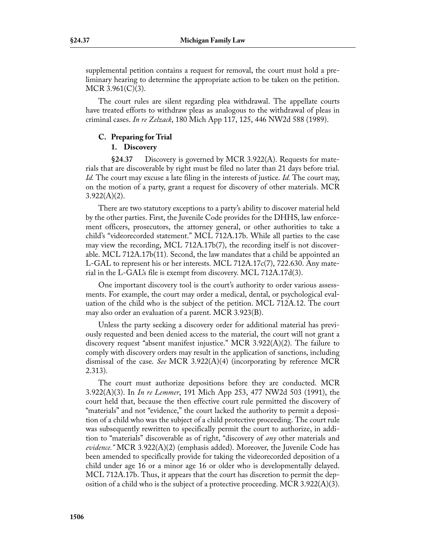supplemental petition contains a request for removal, the court must hold a preliminary hearing to determine the appropriate action to be taken on the petition. MCR 3.961(C)(3).

The court rules are silent regarding plea withdrawal. The appellate courts have treated efforts to withdraw pleas as analogous to the withdrawal of pleas in criminal cases. *In re Zelzack*, 180 Mich App 117, 125, 446 NW2d 588 (1989).

# **C. Preparing for Trial**

# **1. Discovery**

**§24.37** Discovery is governed by MCR 3.922(A). Requests for materials that are discoverable by right must be filed no later than 21 days before trial. *Id.* The court may excuse a late filing in the interests of justice. *Id.* The court may, on the motion of a party, grant a request for discovery of other materials. MCR  $3.922(A)(2)$ .

There are two statutory exceptions to a party's ability to discover material held by the other parties. First, the Juvenile Code provides for the DHHS, law enforcement officers, prosecutors, the attorney general, or other authorities to take a child's "videorecorded statement." MCL 712A.17b. While all parties to the case may view the recording, MCL 712A.17b(7), the recording itself is not discoverable. MCL 712A.17b(11). Second, the law mandates that a child be appointed an L-GAL to represent his or her interests. MCL 712A.17c(7), 722.630. Any material in the L-GAL's file is exempt from discovery. MCL 712A.17d(3).

One important discovery tool is the court's authority to order various assessments. For example, the court may order a medical, dental, or psychological evaluation of the child who is the subject of the petition. MCL 712A.12. The court may also order an evaluation of a parent. MCR 3.923(B).

Unless the party seeking a discovery order for additional material has previously requested and been denied access to the material, the court will not grant a discovery request "absent manifest injustice." MCR 3.922(A)(2). The failure to comply with discovery orders may result in the application of sanctions, including dismissal of the case. *See* MCR 3.922(A)(4) (incorporating by reference MCR 2.313).

The court must authorize depositions before they are conducted. MCR 3.922(A)(3). In *In re Lemmer*, 191 Mich App 253, 477 NW2d 503 (1991), the court held that, because the then effective court rule permitted the discovery of "materials" and not "evidence," the court lacked the authority to permit a deposition of a child who was the subject of a child protective proceeding. The court rule was subsequently rewritten to specifically permit the court to authorize, in addition to "materials" discoverable as of right, "discovery of *any* other materials and *evidence."* MCR 3.922(A)(2) (emphasis added). Moreover, the Juvenile Code has been amended to specifically provide for taking the videorecorded deposition of a child under age 16 or a minor age 16 or older who is developmentally delayed. MCL 712A.17b. Thus, it appears that the court has discretion to permit the deposition of a child who is the subject of a protective proceeding. MCR 3.922(A)(3).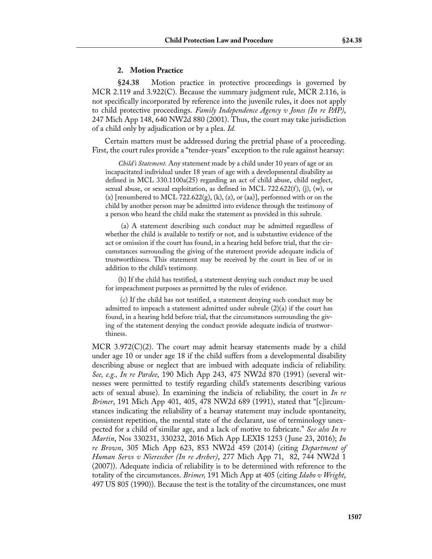#### **2. Motion Practice**

**§24.38** Motion practice in protective proceedings is governed by MCR 2.119 and 3.922(C). Because the summary judgment rule, MCR 2.116, is not specifically incorporated by reference into the juvenile rules, it does not apply to child protective proceedings. *Family Independence Agency v Jones (In re PAP)*, 247 Mich App 148, 640 NW2d 880 (2001). Thus, the court may take jurisdiction of a child only by adjudication or by a plea. *Id.*

Certain matters must be addressed during the pretrial phase of a proceeding. First, the court rules provide a "tender-years" exception to the rule against hearsay:

*Child's Statement.* Any statement made by a child under 10 years of age or an incapacitated individual under 18 years of age with a developmental disability as defined in MCL 330.1100a(25) regarding an act of child abuse, child neglect, sexual abuse, or sexual exploitation, as defined in MCL 722.622(f), (j), (w), or  $(x)$  [renumbered to MCL 722.622 $(g)$ ,  $(k)$ ,  $(z)$ , or  $(aa)$ ], performed with or on the child by another person may be admitted into evidence through the testimony of a person who heard the child make the statement as provided in this subrule.

 (a) A statement describing such conduct may be admitted regardless of whether the child is available to testify or not, and is substantive evidence of the act or omission if the court has found, in a hearing held before trial, that the circumstances surrounding the giving of the statement provide adequate indicia of trustworthiness. This statement may be received by the court in lieu of or in addition to the child's testimony.

(b) If the child has testified, a statement denying such conduct may be used for impeachment purposes as permitted by the rules of evidence.

 (c) If the child has not testified, a statement denying such conduct may be admitted to impeach a statement admitted under subrule  $(2)(a)$  if the court has found, in a hearing held before trial, that the circumstances surrounding the giving of the statement denying the conduct provide adequate indicia of trustworthiness.

MCR 3.972(C)(2). The court may admit hearsay statements made by a child under age 10 or under age 18 if the child suffers from a developmental disability describing abuse or neglect that are imbued with adequate indicia of reliability. *See, e.g., In re Pardee*, 190 Mich App 243, 475 NW2d 870 (1991) (several witnesses were permitted to testify regarding child's statements describing various acts of sexual abuse). In examining the indicia of reliability, the court in *In re Brimer*, 191 Mich App 401, 405, 478 NW2d 689 (1991), stated that "[c]ircumstances indicating the reliability of a hearsay statement may include spontaneity, consistent repetition, the mental state of the declarant, use of terminology unexpected for a child of similar age, and a lack of motive to fabricate." *See also In re Martin*, Nos 330231, 330232, 2016 Mich App LEXIS 1253 ( June 23, 2016); *In re Brown*, 305 Mich App 623, 853 NW2d 459 (2014) (citing *Department of Human Servs v Nierescher (In re Archer)*, 277 Mich App 71, 82, 744 NW2d 1 (2007)). Adequate indicia of reliability is to be determined with reference to the totality of the circumstances. *Brimer,* 191 Mich App at 405 (citing *Idaho v Wright*, 497 US 805 (1990)). Because the test is the totality of the circumstances, one must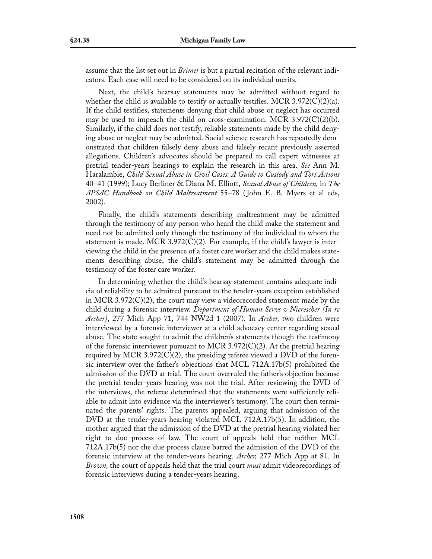assume that the list set out in *Brimer* is but a partial recitation of the relevant indicators. Each case will need to be considered on its individual merits.

Next, the child's hearsay statements may be admitted without regard to whether the child is available to testify or actually testifies. MCR 3.972(C)(2)(a). If the child testifies, statements denying that child abuse or neglect has occurred may be used to impeach the child on cross-examination. MCR  $3.972(C)(2)(b)$ . Similarly, if the child does not testify, reliable statements made by the child denying abuse or neglect may be admitted. Social science research has repeatedly demonstrated that children falsely deny abuse and falsely recant previously asserted allegations. Children's advocates should be prepared to call expert witnesses at pretrial tender-years hearings to explain the research in this area. *See* Ann M. Haralambie, *Child Sexual Abuse in Civil Cases: A Guide to Custody and Tort Actions* 40–41 (1999); Lucy Berliner & Diana M. Elliott, *Sexual Abuse of Children,* in *The APSAC Handbook on Child Maltreatment* 55–78 ( John E. B. Myers et al eds, 2002).

Finally, the child's statements describing maltreatment may be admitted through the testimony of any person who heard the child make the statement and need not be admitted only through the testimony of the individual to whom the statement is made. MCR 3.972 $(C)(2)$ . For example, if the child's lawyer is interviewing the child in the presence of a foster care worker and the child makes statements describing abuse, the child's statement may be admitted through the testimony of the foster care worker.

In determining whether the child's hearsay statement contains adequate indicia of reliability to be admitted pursuant to the tender-years exception established in MCR 3.972 $(C)(2)$ , the court may view a videorecorded statement made by the child during a forensic interview. *Department of Human Servs v Nierescher (In re Archer)*, 277 Mich App 71, 744 NW2d 1 (2007). In *Archer,* two children were interviewed by a forensic interviewer at a child advocacy center regarding sexual abuse. The state sought to admit the children's statements though the testimony of the forensic interviewer pursuant to MCR 3.972 $(C)(2)$ . At the pretrial hearing required by MCR 3.972 $(C)(2)$ , the presiding referee viewed a DVD of the forensic interview over the father's objections that MCL 712A.17b(5) prohibited the admission of the DVD at trial. The court overruled the father's objection because the pretrial tender-years hearing was not the trial. After reviewing the DVD of the interviews, the referee determined that the statements were sufficiently reliable to admit into evidence via the interviewer's testimony. The court then terminated the parents' rights. The parents appealed, arguing that admission of the DVD at the tender-years hearing violated MCL 712A.17b(5). In addition, the mother argued that the admission of the DVD at the pretrial hearing violated her right to due process of law. The court of appeals held that neither MCL 712A.17b(5) nor the due process clause barred the admission of the DVD of the forensic interview at the tender-years hearing. *Archer,* 277 Mich App at 81. In *Brown,* the court of appeals held that the trial court *must* admit videorecordings of forensic interviews during a tender-years hearing.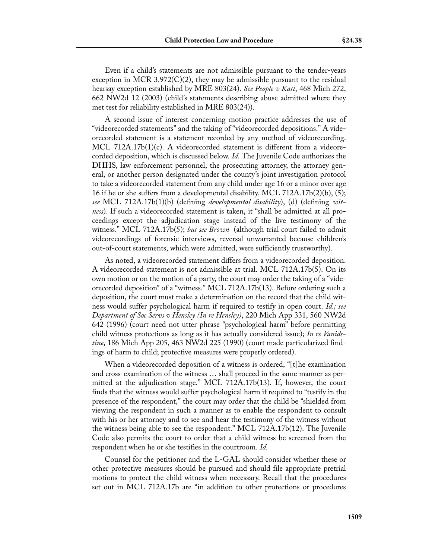Even if a child's statements are not admissible pursuant to the tender-years exception in MCR 3.972 $(C)(2)$ , they may be admissible pursuant to the residual hearsay exception established by MRE 803(24). *See People v Katt*, 468 Mich 272, 662 NW2d 12 (2003) (child's statements describing abuse admitted where they met test for reliability established in MRE 803(24)).

A second issue of interest concerning motion practice addresses the use of "videorecorded statements" and the taking of "videorecorded depositions." A videorecorded statement is a statement recorded by any method of videorecording. MCL 712A.17b(1)(c). A videorecorded statement is different from a videorecorded deposition, which is discussed below. *Id.* The Juvenile Code authorizes the DHHS, law enforcement personnel, the prosecuting attorney, the attorney general, or another person designated under the county's joint investigation protocol to take a videorecorded statement from any child under age 16 or a minor over age 16 if he or she suffers from a developmental disability. MCL 712A.17b(2)(b), (5); *see* MCL 712A.17b(1)(b) (defining *developmental disability*), (d) (defining *witness*). If such a videorecorded statement is taken, it "shall be admitted at all proceedings except the adjudication stage instead of the live testimony of the witness." MCL 712A.17b(5); *but see Brown* (although trial court failed to admit videorecordings of forensic interviews, reversal unwarranted because children's out-of-court statements, which were admitted, were sufficiently trustworthy).

As noted, a videorecorded statement differs from a videorecorded deposition. A videorecorded statement is not admissible at trial. MCL 712A.17b(5). On its own motion or on the motion of a party, the court may order the taking of a "videorecorded deposition" of a "witness." MCL 712A.17b(13). Before ordering such a deposition, the court must make a determination on the record that the child witness would suffer psychological harm if required to testify in open court. *Id.; see Department of Soc Servs v Hensley (In re Hensley)*, 220 Mich App 331, 560 NW2d 642 (1996) (court need not utter phrase "psychological harm" before permitting child witness protections as long as it has actually considered issue); *In re Vanidstine*, 186 Mich App 205, 463 NW2d 225 (1990) (court made particularized findings of harm to child; protective measures were properly ordered).

When a videorecorded deposition of a witness is ordered, "[t]he examination and cross-examination of the witness … shall proceed in the same manner as permitted at the adjudication stage." MCL 712A.17b(13). If, however, the court finds that the witness would suffer psychological harm if required to "testify in the presence of the respondent," the court may order that the child be "shielded from viewing the respondent in such a manner as to enable the respondent to consult with his or her attorney and to see and hear the testimony of the witness without the witness being able to see the respondent." MCL 712A.17b(12). The Juvenile Code also permits the court to order that a child witness be screened from the respondent when he or she testifies in the courtroom. *Id.*

Counsel for the petitioner and the L-GAL should consider whether these or other protective measures should be pursued and should file appropriate pretrial motions to protect the child witness when necessary. Recall that the procedures set out in MCL 712A.17b are "in addition to other protections or procedures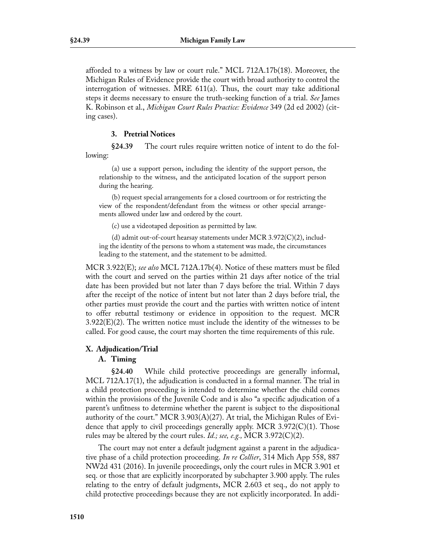afforded to a witness by law or court rule." MCL 712A.17b(18). Moreover, the Michigan Rules of Evidence provide the court with broad authority to control the interrogation of witnesses. MRE 611(a). Thus, the court may take additional steps it deems necessary to ensure the truth-seeking function of a trial. *See* James K. Robinson et al., *Michigan Court Rules Practice: Evidence* 349 (2d ed 2002) (citing cases).

#### **3. Pretrial Notices**

**§24.39** The court rules require written notice of intent to do the following:

(a) use a support person, including the identity of the support person, the relationship to the witness, and the anticipated location of the support person during the hearing.

(b) request special arrangements for a closed courtroom or for restricting the view of the respondent/defendant from the witness or other special arrangements allowed under law and ordered by the court.

(c) use a videotaped deposition as permitted by law.

(d) admit out-of-court hearsay statements under MCR 3.972 $(C)(2)$ , including the identity of the persons to whom a statement was made, the circumstances leading to the statement, and the statement to be admitted.

MCR 3.922(E); *see also* MCL 712A.17b(4). Notice of these matters must be filed with the court and served on the parties within 21 days after notice of the trial date has been provided but not later than 7 days before the trial. Within 7 days after the receipt of the notice of intent but not later than 2 days before trial, the other parties must provide the court and the parties with written notice of intent to offer rebuttal testimony or evidence in opposition to the request. MCR  $3.922(E)(2)$ . The written notice must include the identity of the witnesses to be called. For good cause, the court may shorten the time requirements of this rule.

## **X. Adjudication/Trial**

## **A. Timing**

**§24.40** While child protective proceedings are generally informal, MCL 712A.17(1), the adjudication is conducted in a formal manner. The trial in a child protection proceeding is intended to determine whether the child comes within the provisions of the Juvenile Code and is also "a specific adjudication of a parent's unfitness to determine whether the parent is subject to the dispositional authority of the court." MCR 3.903(A)(27). At trial, the Michigan Rules of Evidence that apply to civil proceedings generally apply. MCR 3.972(C)(1). Those rules may be altered by the court rules. *Id.; see, e.g.,* MCR 3.972(C)(2).

The court may not enter a default judgment against a parent in the adjudicative phase of a child protection proceeding. *In re Collier*, 314 Mich App 558, 887 NW2d 431 (2016). In juvenile proceedings, only the court rules in MCR 3.901 et seq. or those that are explicitly incorporated by subchapter 3.900 apply. The rules relating to the entry of default judgments, MCR 2.603 et seq., do not apply to child protective proceedings because they are not explicitly incorporated. In addi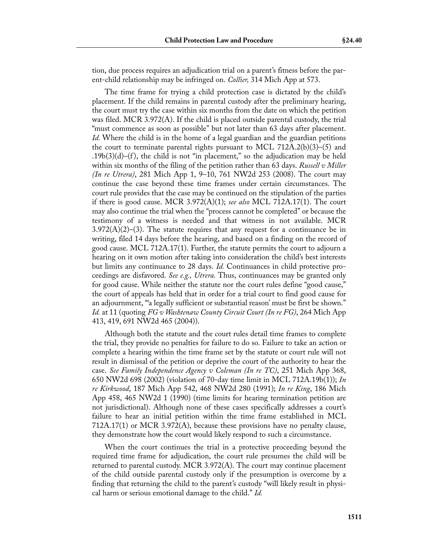tion, due process requires an adjudication trial on a parent's fitness before the parent-child relationship may be infringed on. *Collier,* 314 Mich App at 573.

The time frame for trying a child protection case is dictated by the child's placement. If the child remains in parental custody after the preliminary hearing, the court must try the case within six months from the date on which the petition was filed. MCR 3.972(A). If the child is placed outside parental custody, the trial "must commence as soon as possible" but not later than 63 days after placement. *Id.* Where the child is in the home of a legal guardian and the guardian petitions the court to terminate parental rights pursuant to MCL 712A.2(b)(3)–(5) and  $.19b(3)(d)$ –(f), the child is not "in placement," so the adjudication may be held within six months of the filing of the petition rather than 63 days. *Russell v Miller (In re Utrera)*, 281 Mich App 1, 9–10, 761 NW2d 253 (2008). The court may continue the case beyond these time frames under certain circumstances. The court rule provides that the case may be continued on the stipulation of the parties if there is good cause. MCR 3.972(A)(1); *see also* MCL 712A.17(1). The court may also continue the trial when the "process cannot be completed" or because the testimony of a witness is needed and that witness in not available. MCR  $3.972(A)(2)$ –(3). The statute requires that any request for a continuance be in writing, filed 14 days before the hearing, and based on a finding on the record of good cause. MCL 712A.17(1). Further, the statute permits the court to adjourn a hearing on it own motion after taking into consideration the child's best interests but limits any continuance to 28 days. *Id.* Continuances in child protective proceedings are disfavored. *See e.g., Utrera.* Thus, continuances may be granted only for good cause. While neither the statute nor the court rules define "good cause," the court of appeals has held that in order for a trial court to find good cause for an adjournment, "'a legally sufficient or substantial reason' must be first be shown." *Id.* at 11 (quoting *FG v Washtenaw County Circuit Court (In re FG)*, 264 Mich App 413, 419, 691 NW2d 465 (2004)).

Although both the statute and the court rules detail time frames to complete the trial, they provide no penalties for failure to do so. Failure to take an action or complete a hearing within the time frame set by the statute or court rule will not result in dismissal of the petition or deprive the court of the authority to hear the case. *See Family Independence Agency v Coleman (In re TC)*, 251 Mich App 368, 650 NW2d 698 (2002) (violation of 70-day time limit in MCL 712A.19b(1)); *In re Kirkwood*, 187 Mich App 542, 468 NW2d 280 (1991); *In re King*, 186 Mich App 458, 465 NW2d 1 (1990) (time limits for hearing termination petition are not jurisdictional). Although none of these cases specifically addresses a court's failure to hear an initial petition within the time frame established in MCL 712A.17(1) or MCR 3.972(A), because these provisions have no penalty clause, they demonstrate how the court would likely respond to such a circumstance.

When the court continues the trial in a protective proceeding beyond the required time frame for adjudication, the court rule presumes the child will be returned to parental custody. MCR 3.972(A). The court may continue placement of the child outside parental custody only if the presumption is overcome by a finding that returning the child to the parent's custody "will likely result in physical harm or serious emotional damage to the child." *Id.*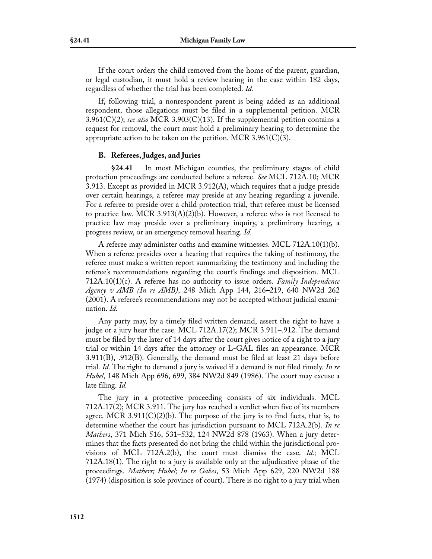If the court orders the child removed from the home of the parent, guardian, or legal custodian, it must hold a review hearing in the case within 182 days, regardless of whether the trial has been completed. *Id.*

If, following trial, a nonrespondent parent is being added as an additional respondent, those allegations must be filed in a supplemental petition. MCR 3.961(C)(2); *see also* MCR 3.903(C)(13). If the supplemental petition contains a request for removal, the court must hold a preliminary hearing to determine the appropriate action to be taken on the petition. MCR  $3.961(C)(3)$ .

## **B. Referees, Judges, and Juries**

**§24.41** In most Michigan counties, the preliminary stages of child protection proceedings are conducted before a referee. *See* MCL 712A.10; MCR 3.913. Except as provided in MCR 3.912(A), which requires that a judge preside over certain hearings, a referee may preside at any hearing regarding a juvenile. For a referee to preside over a child protection trial, that referee must be licensed to practice law. MCR 3.913(A)(2)(b). However, a referee who is not licensed to practice law may preside over a preliminary inquiry, a preliminary hearing, a progress review, or an emergency removal hearing. *Id.*

A referee may administer oaths and examine witnesses. MCL 712A.10(1)(b). When a referee presides over a hearing that requires the taking of testimony, the referee must make a written report summarizing the testimony and including the referee's recommendations regarding the court's findings and disposition. MCL 712A.10(1)(c). A referee has no authority to issue orders. *Family Independence Agency v AMB (In re AMB)*, 248 Mich App 144, 216–219, 640 NW2d 262 (2001). A referee's recommendations may not be accepted without judicial examination. *Id.*

Any party may, by a timely filed written demand, assert the right to have a judge or a jury hear the case. MCL 712A.17(2); MCR 3.911–.912. The demand must be filed by the later of 14 days after the court gives notice of a right to a jury trial or within 14 days after the attorney or L-GAL files an appearance. MCR 3.911(B), .912(B). Generally, the demand must be filed at least 21 days before trial. *Id.* The right to demand a jury is waived if a demand is not filed timely. *In re Hubel*, 148 Mich App 696, 699, 384 NW2d 849 (1986). The court may excuse a late filing. *Id.*

The jury in a protective proceeding consists of six individuals. MCL 712A.17(2); MCR 3.911. The jury has reached a verdict when five of its members agree. MCR 3.911( $C(2)(b)$ . The purpose of the jury is to find facts, that is, to determine whether the court has jurisdiction pursuant to MCL 712A.2(b). *In re Mathers*, 371 Mich 516, 531–532, 124 NW2d 878 (1963). When a jury determines that the facts presented do not bring the child within the jurisdictional provisions of MCL 712A.2(b), the court must dismiss the case. *Id.;* MCL 712A.18(1). The right to a jury is available only at the adjudicative phase of the proceedings. *Mathers; Hubel; In re Oakes*, 53 Mich App 629, 220 NW2d 188 (1974) (disposition is sole province of court). There is no right to a jury trial when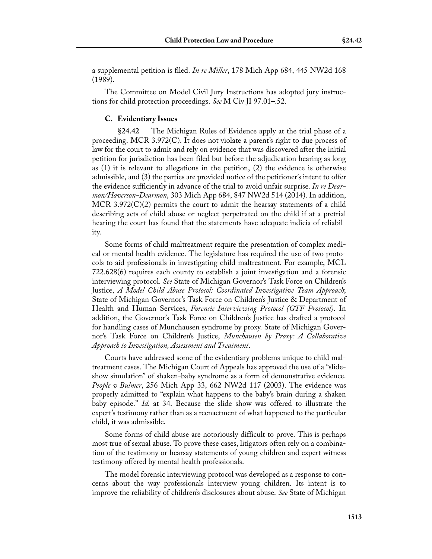a supplemental petition is filed. *In re Miller*, 178 Mich App 684, 445 NW2d 168 (1989).

The Committee on Model Civil Jury Instructions has adopted jury instructions for child protection proceedings. *See* M Civ JI 97.01–.52.

#### **C. Evidentiary Issues**

**§24.42** The Michigan Rules of Evidence apply at the trial phase of a proceeding. MCR 3.972(C). It does not violate a parent's right to due process of law for the court to admit and rely on evidence that was discovered after the initial petition for jurisdiction has been filed but before the adjudication hearing as long as (1) it is relevant to allegations in the petition, (2) the evidence is otherwise admissible, and (3) the parties are provided notice of the petitioner's intent to offer the evidence sufficiently in advance of the trial to avoid unfair surprise. *In re Dearmon/Haverson-Dearmon*, 303 Mich App 684, 847 NW2d 514 (2014). In addition, MCR 3.972(C)(2) permits the court to admit the hearsay statements of a child describing acts of child abuse or neglect perpetrated on the child if at a pretrial hearing the court has found that the statements have adequate indicia of reliability.

Some forms of child maltreatment require the presentation of complex medical or mental health evidence. The legislature has required the use of two protocols to aid professionals in investigating child maltreatment. For example, MCL 722.628(6) requires each county to establish a joint investigation and a forensic interviewing protocol. *See* State of Michigan Governor's Task Force on Children's Justice, *A Model Child Abuse Protocol: Coordinated Investigative Team Approach*; State of Michigan Governor's Task Force on Children's Justice & Department of Health and Human Services, *Forensic Interviewing Protocol (GTF Protocol)*. In addition, the Governor's Task Force on Children's Justice has drafted a protocol for handling cases of Munchausen syndrome by proxy. State of Michigan Governor's Task Force on Children's Justice, *Munchausen by Proxy: A Collaborative Approach to Investigation, Assessment and Treatment*.

Courts have addressed some of the evidentiary problems unique to child maltreatment cases. The Michigan Court of Appeals has approved the use of a "slideshow simulation" of shaken-baby syndrome as a form of demonstrative evidence. *People v Bulmer*, 256 Mich App 33, 662 NW2d 117 (2003). The evidence was properly admitted to "explain what happens to the baby's brain during a shaken baby episode." *Id.* at 34. Because the slide show was offered to illustrate the expert's testimony rather than as a reenactment of what happened to the particular child, it was admissible.

Some forms of child abuse are notoriously difficult to prove. This is perhaps most true of sexual abuse. To prove these cases, litigators often rely on a combination of the testimony or hearsay statements of young children and expert witness testimony offered by mental health professionals.

The model forensic interviewing protocol was developed as a response to concerns about the way professionals interview young children. Its intent is to improve the reliability of children's disclosures about abuse. *See* State of Michigan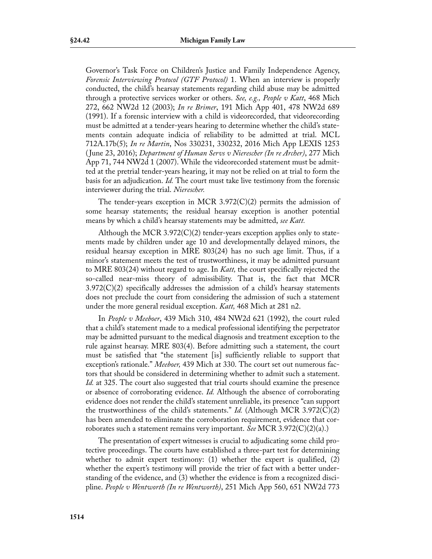Governor's Task Force on Children's Justice and Family Independence Agency, *Forensic Interviewing Protocol (GTF Protocol)* 1. When an interview is properly conducted, the child's hearsay statements regarding child abuse may be admitted through a protective services worker or others. *See, e.g., People v Katt*, 468 Mich 272, 662 NW2d 12 (2003); *In re Brimer*, 191 Mich App 401, 478 NW2d 689 (1991). If a forensic interview with a child is videorecorded, that videorecording must be admitted at a tender-years hearing to determine whether the child's statements contain adequate indicia of reliability to be admitted at trial. MCL 712A.17b(5); *In re Martin*, Nos 330231, 330232, 2016 Mich App LEXIS 1253 ( June 23, 2016); *Department of Human Servs v Nierescher (In re Archer)*, 277 Mich App 71, 744 NW2d 1 (2007). While the videorecorded statement must be admitted at the pretrial tender-years hearing, it may not be relied on at trial to form the basis for an adjudication. *Id.* The court must take live testimony from the forensic interviewer during the trial. *Nierescher.*

The tender-years exception in MCR 3.972 $(C)(2)$  permits the admission of some hearsay statements; the residual hearsay exception is another potential means by which a child's hearsay statements may be admitted, *see Katt.*

Although the MCR 3.972 $(C)(2)$  tender-years exception applies only to statements made by children under age 10 and developmentally delayed minors, the residual hearsay exception in MRE 803(24) has no such age limit. Thus, if a minor's statement meets the test of trustworthiness, it may be admitted pursuant to MRE 803(24) without regard to age. In *Katt,* the court specifically rejected the so-called near-miss theory of admissibility. That is, the fact that MCR  $3.972(C)(2)$  specifically addresses the admission of a child's hearsay statements does not preclude the court from considering the admission of such a statement under the more general residual exception. *Katt,* 468 Mich at 281 n2.

In *People v Meeboer*, 439 Mich 310, 484 NW2d 621 (1992), the court ruled that a child's statement made to a medical professional identifying the perpetrator may be admitted pursuant to the medical diagnosis and treatment exception to the rule against hearsay. MRE 803(4). Before admitting such a statement, the court must be satisfied that "the statement [is] sufficiently reliable to support that exception's rationale." *Meeboer,* 439 Mich at 330. The court set out numerous factors that should be considered in determining whether to admit such a statement. *Id.* at 325. The court also suggested that trial courts should examine the presence or absence of corroborating evidence. *Id.* Although the absence of corroborating evidence does not render the child's statement unreliable, its presence "can support the trustworthiness of the child's statements." *Id.* (Although MCR 3.972(C)(2) has been amended to eliminate the corroboration requirement, evidence that corroborates such a statement remains very important. *See* MCR 3.972(C)(2)(a).)

The presentation of expert witnesses is crucial to adjudicating some child protective proceedings. The courts have established a three-part test for determining whether to admit expert testimony:  $(1)$  whether the expert is qualified,  $(2)$ whether the expert's testimony will provide the trier of fact with a better understanding of the evidence, and (3) whether the evidence is from a recognized discipline. *People v Wentworth (In re Wentworth)*, 251 Mich App 560, 651 NW2d 773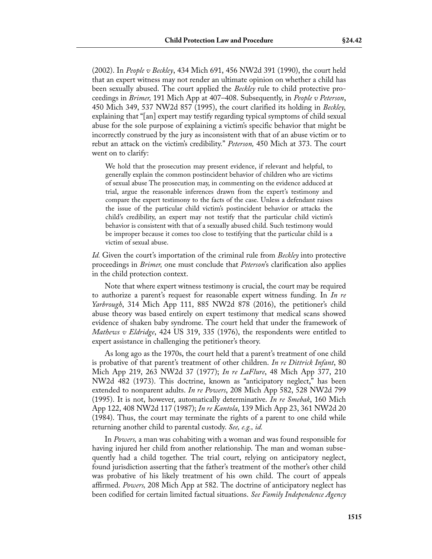(2002). In *People v Beckley*, 434 Mich 691, 456 NW2d 391 (1990), the court held that an expert witness may not render an ultimate opinion on whether a child has been sexually abused. The court applied the *Beckley* rule to child protective proceedings in *Brimer,* 191 Mich App at 407–408. Subsequently, in *People v Peterson*, 450 Mich 349, 537 NW2d 857 (1995), the court clarified its holding in *Beckley,* explaining that "[an] expert may testify regarding typical symptoms of child sexual abuse for the sole purpose of explaining a victim's specific behavior that might be incorrectly construed by the jury as inconsistent with that of an abuse victim or to rebut an attack on the victim's credibility." *Peterson,* 450 Mich at 373. The court went on to clarify:

We hold that the prosecution may present evidence, if relevant and helpful, to generally explain the common postincident behavior of children who are victims of sexual abuse The prosecution may, in commenting on the evidence adduced at trial, argue the reasonable inferences drawn from the expert's testimony and compare the expert testimony to the facts of the case. Unless a defendant raises the issue of the particular child victim's postincident behavior or attacks the child's credibility, an expert may not testify that the particular child victim's behavior is consistent with that of a sexually abused child. Such testimony would be improper because it comes too close to testifying that the particular child is a victim of sexual abuse.

*Id.* Given the court's importation of the criminal rule from *Beckley* into protective proceedings in *Brimer,* one must conclude that *Peterson*'s clarification also applies in the child protection context.

Note that where expert witness testimony is crucial, the court may be required to authorize a parent's request for reasonable expert witness funding. In *In re Yarbrough*, 314 Mich App 111, 885 NW2d 878 (2016), the petitioner's child abuse theory was based entirely on expert testimony that medical scans showed evidence of shaken baby syndrome. The court held that under the framework of *Mathews v Eldridge*, 424 US 319, 335 (1976), the respondents were entitled to expert assistance in challenging the petitioner's theory.

As long ago as the 1970s, the court held that a parent's treatment of one child is probative of that parent's treatment of other children. *In re Dittrick Infant*, 80 Mich App 219, 263 NW2d 37 (1977); *In re LaFlure*, 48 Mich App 377, 210 NW2d 482 (1973). This doctrine, known as "anticipatory neglect," has been extended to nonparent adults. *In re Powers*, 208 Mich App 582, 528 NW2d 799 (1995). It is not, however, automatically determinative. *In re Smebak*, 160 Mich App 122, 408 NW2d 117 (1987); *In re Kantola*, 139 Mich App 23, 361 NW2d 20 (1984). Thus, the court may terminate the rights of a parent to one child while returning another child to parental custody. *See, e.g., id.*

In *Powers,* a man was cohabiting with a woman and was found responsible for having injured her child from another relationship. The man and woman subsequently had a child together. The trial court, relying on anticipatory neglect, found jurisdiction asserting that the father's treatment of the mother's other child was probative of his likely treatment of his own child. The court of appeals affirmed. *Powers,* 208 Mich App at 582. The doctrine of anticipatory neglect has been codified for certain limited factual situations. *See Family Independence Agency*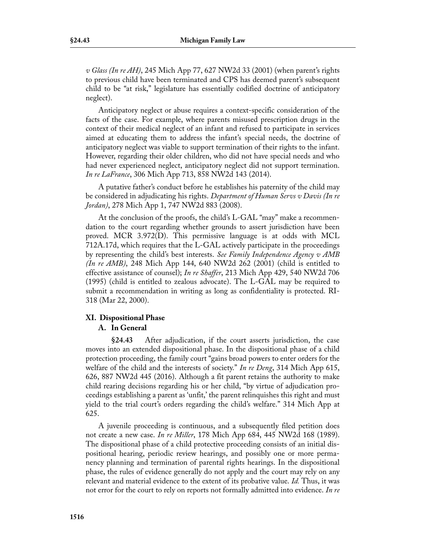*v Glass (In re AH)*, 245 Mich App 77, 627 NW2d 33 (2001) (when parent's rights to previous child have been terminated and CPS has deemed parent's subsequent child to be "at risk," legislature has essentially codified doctrine of anticipatory neglect).

Anticipatory neglect or abuse requires a context-specific consideration of the facts of the case. For example, where parents misused prescription drugs in the context of their medical neglect of an infant and refused to participate in services aimed at educating them to address the infant's special needs, the doctrine of anticipatory neglect was viable to support termination of their rights to the infant. However, regarding their older children, who did not have special needs and who had never experienced neglect, anticipatory neglect did not support termination. *In re LaFrance*, 306 Mich App 713, 858 NW2d 143 (2014).

A putative father's conduct before he establishes his paternity of the child may be considered in adjudicating his rights. *Department of Human Servs v Davis (In re Jordan)*, 278 Mich App 1, 747 NW2d 883 (2008).

At the conclusion of the proofs, the child's L-GAL "may" make a recommendation to the court regarding whether grounds to assert jurisdiction have been proved. MCR 3.972(D). This permissive language is at odds with MCL 712A.17d, which requires that the L-GAL actively participate in the proceedings by representing the child's best interests. *See Family Independence Agency v AMB (In re AMB)*, 248 Mich App 144, 640 NW2d 262 (2001) (child is entitled to effective assistance of counsel); *In re Shaffer*, 213 Mich App 429, 540 NW2d 706 (1995) (child is entitled to zealous advocate). The L-GAL may be required to submit a recommendation in writing as long as confidentiality is protected. RI-318 (Mar 22, 2000).

## **XI. Dispositional Phase**

## **A. In General**

**§24.43** After adjudication, if the court asserts jurisdiction, the case moves into an extended dispositional phase. In the dispositional phase of a child protection proceeding, the family court "gains broad powers to enter orders for the welfare of the child and the interests of society." *In re Deng*, 314 Mich App 615, 626, 887 NW2d 445 (2016). Although a fit parent retains the authority to make child rearing decisions regarding his or her child, "by virtue of adjudication proceedings establishing a parent as 'unfit,' the parent relinquishes this right and must yield to the trial court's orders regarding the child's welfare." 314 Mich App at 625.

A juvenile proceeding is continuous, and a subsequently filed petition does not create a new case. *In re Miller*, 178 Mich App 684, 445 NW2d 168 (1989). The dispositional phase of a child protective proceeding consists of an initial dispositional hearing, periodic review hearings, and possibly one or more permanency planning and termination of parental rights hearings. In the dispositional phase, the rules of evidence generally do not apply and the court may rely on any relevant and material evidence to the extent of its probative value. *Id.* Thus, it was not error for the court to rely on reports not formally admitted into evidence. *In re*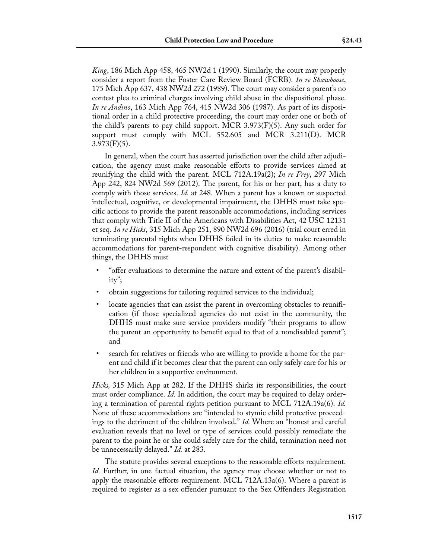*King*, 186 Mich App 458, 465 NW2d 1 (1990). Similarly, the court may properly consider a report from the Foster Care Review Board (FCRB). *In re Shawboose*, 175 Mich App 637, 438 NW2d 272 (1989). The court may consider a parent's no contest plea to criminal charges involving child abuse in the dispositional phase. *In re Andino*, 163 Mich App 764, 415 NW2d 306 (1987). As part of its dispositional order in a child protective proceeding, the court may order one or both of the child's parents to pay child support. MCR  $3.973(F)(5)$ . Any such order for support must comply with MCL 552.605 and MCR 3.211(D). MCR  $3.973(F)(5)$ .

In general, when the court has asserted jurisdiction over the child after adjudication, the agency must make reasonable efforts to provide services aimed at reunifying the child with the parent. MCL 712A.19a(2); *In re Frey*, 297 Mich App 242, 824 NW2d 569 (2012). The parent, for his or her part, has a duty to comply with those services. *Id.* at 248. When a parent has a known or suspected intellectual, cognitive, or developmental impairment, the DHHS must take specific actions to provide the parent reasonable accommodations, including services that comply with Title II of the Americans with Disabilities Act, 42 USC 12131 et seq. *In re Hicks*, 315 Mich App 251, 890 NW2d 696 (2016) (trial court erred in terminating parental rights when DHHS failed in its duties to make reasonable accommodations for parent-respondent with cognitive disability). Among other things, the DHHS must

- "offer evaluations to determine the nature and extent of the parent's disability";
- obtain suggestions for tailoring required services to the individual;
- locate agencies that can assist the parent in overcoming obstacles to reunification (if those specialized agencies do not exist in the community, the DHHS must make sure service providers modify "their programs to allow the parent an opportunity to benefit equal to that of a nondisabled parent"; and
- search for relatives or friends who are willing to provide a home for the parent and child if it becomes clear that the parent can only safely care for his or her children in a supportive environment.

*Hicks,* 315 Mich App at 282. If the DHHS shirks its responsibilities, the court must order compliance. *Id.* In addition, the court may be required to delay ordering a termination of parental rights petition pursuant to MCL 712A.19a(6). *Id.* None of these accommodations are "intended to stymie child protective proceedings to the detriment of the children involved." *Id.* Where an "honest and careful evaluation reveals that no level or type of services could possibly remediate the parent to the point he or she could safely care for the child, termination need not be unnecessarily delayed." *Id.* at 283.

The statute provides several exceptions to the reasonable efforts requirement. *Id.* Further, in one factual situation, the agency may choose whether or not to apply the reasonable efforts requirement. MCL 712A.13a(6). Where a parent is required to register as a sex offender pursuant to the Sex Offenders Registration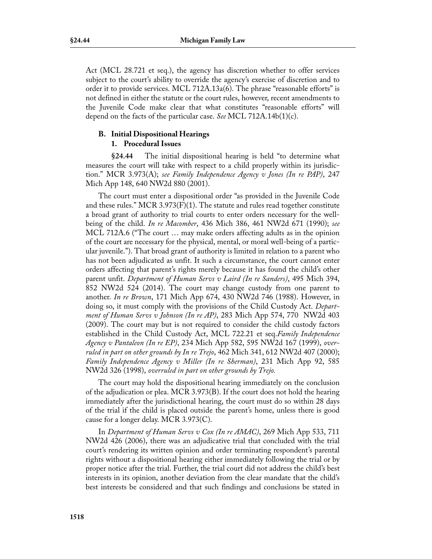Act (MCL 28.721 et seq.), the agency has discretion whether to offer services subject to the court's ability to override the agency's exercise of discretion and to order it to provide services. MCL 712A.13a(6). The phrase "reasonable efforts" is not defined in either the statute or the court rules, however, recent amendments to the Juvenile Code make clear that what constitutes "reasonable efforts" will depend on the facts of the particular case. *See* MCL 712A.14b(1)(c).

# **B. Initial Dispositional Hearings**

# **1. Procedural Issues**

**§24.44** The initial dispositional hearing is held "to determine what measures the court will take with respect to a child properly within its jurisdiction." MCR 3.973(A); *see Family Independence Agency v Jones (In re PAP)*, 247 Mich App 148, 640 NW2d 880 (2001).

The court must enter a dispositional order "as provided in the Juvenile Code and these rules." MCR 3.973 $(F)(1)$ . The statute and rules read together constitute a broad grant of authority to trial courts to enter orders necessary for the wellbeing of the child. *In re Macomber*, 436 Mich 386, 461 NW2d 671 (1990); *see* MCL 712A.6 ("The court … may make orders affecting adults as in the opinion of the court are necessary for the physical, mental, or moral well-being of a particular juvenile."). That broad grant of authority is limited in relation to a parent who has not been adjudicated as unfit. It such a circumstance, the court cannot enter orders affecting that parent's rights merely because it has found the child's other parent unfit. *Department of Human Servs v Laird (In re Sanders)*, 495 Mich 394, 852 NW2d 524 (2014). The court may change custody from one parent to another. *In re Brown*, 171 Mich App 674, 430 NW2d 746 (1988). However, in doing so, it must comply with the provisions of the Child Custody Act. *Department of Human Servs v Johnson (In re AP)*, 283 Mich App 574, 770 NW2d 403 (2009). The court may but is not required to consider the child custody factors established in the Child Custody Act, MCL 722.21 et seq.*Family Independence Agency v Pantaleon (In re EP)*, 234 Mich App 582, 595 NW2d 167 (1999), *overruled in part on other grounds by In re Trejo*, 462 Mich 341, 612 NW2d 407 (2000); *Family Independence Agency v Miller (In re Sherman)*, 231 Mich App 92, 585 NW2d 326 (1998), *overruled in part on other grounds by Trejo.*

The court may hold the dispositional hearing immediately on the conclusion of the adjudication or plea. MCR 3.973(B). If the court does not hold the hearing immediately after the jurisdictional hearing, the court must do so within 28 days of the trial if the child is placed outside the parent's home, unless there is good cause for a longer delay. MCR 3.973(C).

In *Department of Human Servs v Cox (In re AMAC)*, 269 Mich App 533, 711 NW2d 426 (2006), there was an adjudicative trial that concluded with the trial court's rendering its written opinion and order terminating respondent's parental rights without a dispositional hearing either immediately following the trial or by proper notice after the trial. Further, the trial court did not address the child's best interests in its opinion, another deviation from the clear mandate that the child's best interests be considered and that such findings and conclusions be stated in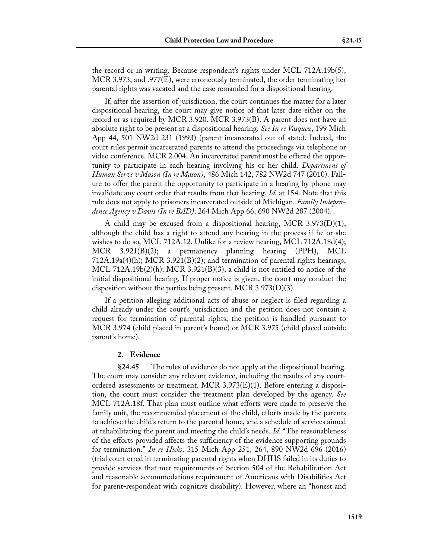the record or in writing. Because respondent's rights under MCL 712A.19b(5), MCR 3.973, and .977(E), were erroneously terminated, the order terminating her parental rights was vacated and the case remanded for a dispositional hearing.

If, after the assertion of jurisdiction, the court continues the matter for a later dispositional hearing, the court may give notice of that later date either on the record or as required by MCR 3.920. MCR 3.973(B). A parent does not have an absolute right to be present at a dispositional hearing. *See In re Vasquez*, 199 Mich App 44, 501 NW2d 231 (1993) (parent incarcerated out of state). Indeed, the court rules permit incarcerated parents to attend the proceedings via telephone or video conference. MCR 2.004. An incarcerated parent must be offered the opportunity to participate in each hearing involving his or her child. *Department of Human Servs v Mason (In re Mason)*, 486 Mich 142, 782 NW2d 747 (2010). Failure to offer the parent the opportunity to participate in a hearing by phone may invalidate any court order that results from that hearing. *Id.* at 154. Note that this rule does not apply to prisoners incarcerated outside of Michigan. *Family Independence Agency v Davis (In re BAD)*, 264 Mich App 66, 690 NW2d 287 (2004).

A child may be excused from a dispositional hearing, MCR 3.973(D)(1), although the child has a right to attend any hearing in the process if he or she wishes to do so, MCL 712A.12. Unlike for a review hearing, MCL 712A.18d(4); MCR 3.921(B)(2); a permanency planning hearing (PPH), MCL  $712A.19a(4)(h)$ ; MCR 3.921(B)(2); and termination of parental rights hearings, MCL 712A.19b(2)(h); MCR 3.921(B)(3), a child is not entitled to notice of the initial dispositional hearing. If proper notice is given, the court may conduct the disposition without the parties being present. MCR 3.973(D)(3).

If a petition alleging additional acts of abuse or neglect is filed regarding a child already under the court's jurisdiction and the petition does not contain a request for termination of parental rights, the petition is handled pursuant to MCR 3.974 (child placed in parent's home) or MCR 3.975 (child placed outside parent's home).

## **2. Evidence**

**§24.45** The rules of evidence do not apply at the dispositional hearing. The court may consider any relevant evidence, including the results of any courtordered assessments or treatment. MCR  $3.973(E)(1)$ . Before entering a disposition, the court must consider the treatment plan developed by the agency. *See* MCL 712A.18f. That plan must outline what efforts were made to preserve the family unit, the recommended placement of the child, efforts made by the parents to achieve the child's return to the parental home, and a schedule of services aimed at rehabilitating the parent and meeting the child's needs. *Id.* "The reasonableness of the efforts provided affects the sufficiency of the evidence supporting grounds for termination." *In re Hicks*, 315 Mich App 251, 264, 890 NW2d 696 (2016) (trial court erred in terminating parental rights when DHHS failed in its duties to provide services that met requirements of Section 504 of the Rehabilitation Act and reasonable accommodations requirement of Americans with Disabilities Act for parent-respondent with cognitive disability). However, where an "honest and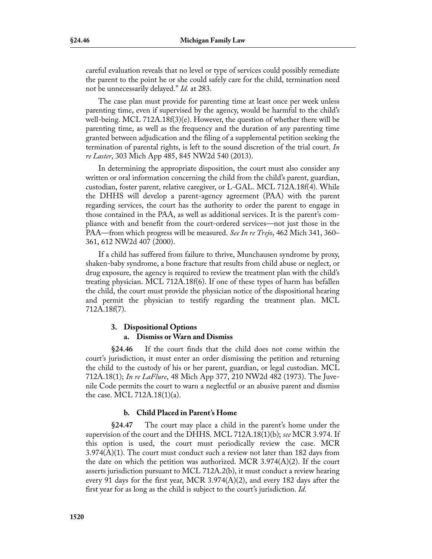careful evaluation reveals that no level or type of services could possibly remediate the parent to the point he or she could safely care for the child, termination need not be unnecessarily delayed." *Id.* at 283.

The case plan must provide for parenting time at least once per week unless parenting time, even if supervised by the agency, would be harmful to the child's well-being. MCL 712A.18f(3)(e). However, the question of whether there will be parenting time, as well as the frequency and the duration of any parenting time granted between adjudication and the filing of a supplemental petition seeking the termination of parental rights, is left to the sound discretion of the trial court. *In re Laster*, 303 Mich App 485, 845 NW2d 540 (2013).

In determining the appropriate disposition, the court must also consider any written or oral information concerning the child from the child's parent, guardian, custodian, foster parent, relative caregiver, or L-GAL. MCL 712A.18f(4). While the DHHS will develop a parent-agency agreement (PAA) with the parent regarding services, the court has the authority to order the parent to engage in those contained in the PAA, as well as additional services. It is the parent's compliance with and benefit from the court-ordered services—not just those in the PAA—from which progress will be measured. *See In re Trejo*, 462 Mich 341, 360– 361, 612 NW2d 407 (2000).

If a child has suffered from failure to thrive, Munchausen syndrome by proxy, shaken-baby syndrome, a bone fracture that results from child abuse or neglect, or drug exposure, the agency is required to review the treatment plan with the child's treating physician. MCL 712A.18f(6). If one of these types of harm has befallen the child, the court must provide the physician notice of the dispositional hearing and permit the physician to testify regarding the treatment plan. MCL 712A.18f(7).

## **3. Dispositional Options**

## **a. Dismiss or Warn and Dismiss**

**§24.46** If the court finds that the child does not come within the court's jurisdiction, it must enter an order dismissing the petition and returning the child to the custody of his or her parent, guardian, or legal custodian. MCL 712A.18(1); *In re LaFlure*, 48 Mich App 377, 210 NW2d 482 (1973). The Juvenile Code permits the court to warn a neglectful or an abusive parent and dismiss the case. MCL 712A.18(1)(a).

## **b. Child Placed in Parent's Home**

**§24.47** The court may place a child in the parent's home under the supervision of the court and the DHHS. MCL 712A.18(1)(b); *see* MCR 3.974. If this option is used, the court must periodically review the case. MCR  $3.974(A)(1)$ . The court must conduct such a review not later than 182 days from the date on which the petition was authorized. MCR 3.974(A)(2). If the court asserts jurisdiction pursuant to MCL 712A.2(b), it must conduct a review hearing every 91 days for the first year, MCR 3.974(A)(2), and every 182 days after the first year for as long as the child is subject to the court's jurisdiction. *Id.*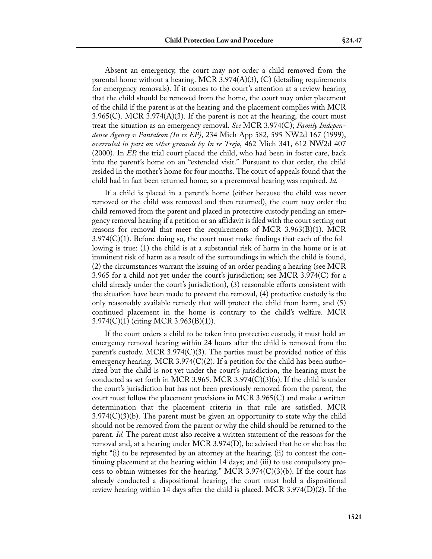Absent an emergency, the court may not order a child removed from the parental home without a hearing. MCR 3.974(A)(3), (C) (detailing requirements for emergency removals). If it comes to the court's attention at a review hearing that the child should be removed from the home, the court may order placement of the child if the parent is at the hearing and the placement complies with MCR  $3.965(C)$ . MCR  $3.974(A)(3)$ . If the parent is not at the hearing, the court must treat the situation as an emergency removal. *See* MCR 3.974(C); *Family Independence Agency v Pantaleon (In re EP)*, 234 Mich App 582, 595 NW2d 167 (1999), *overruled in part on other grounds by In re Trejo*, 462 Mich 341, 612 NW2d 407 (2000). In *EP,* the trial court placed the child, who had been in foster care, back into the parent's home on an "extended visit." Pursuant to that order, the child resided in the mother's home for four months. The court of appeals found that the child had in fact been returned home, so a preremoval hearing was required. *Id.*

If a child is placed in a parent's home (either because the child was never removed or the child was removed and then returned), the court may order the child removed from the parent and placed in protective custody pending an emergency removal hearing if a petition or an affidavit is filed with the court setting out reasons for removal that meet the requirements of MCR 3.963(B)(1). MCR  $3.974(C)(1)$ . Before doing so, the court must make findings that each of the following is true: (1) the child is at a substantial risk of harm in the home or is at imminent risk of harm as a result of the surroundings in which the child is found, (2) the circumstances warrant the issuing of an order pending a hearing (see MCR 3.965 for a child not yet under the court's jurisdiction; see MCR 3.974(C) for a child already under the court's jurisdiction), (3) reasonable efforts consistent with the situation have been made to prevent the removal, (4) protective custody is the only reasonably available remedy that will protect the child from harm, and (5) continued placement in the home is contrary to the child's welfare. MCR 3.974(C)(1) (citing MCR 3.963(B)(1)).

If the court orders a child to be taken into protective custody, it must hold an emergency removal hearing within 24 hours after the child is removed from the parent's custody. MCR 3.974(C)(3). The parties must be provided notice of this emergency hearing. MCR 3.974(C)(2). If a petition for the child has been authorized but the child is not yet under the court's jurisdiction, the hearing must be conducted as set forth in MCR 3.965. MCR 3.974 $(C)(3)(a)$ . If the child is under the court's jurisdiction but has not been previously removed from the parent, the court must follow the placement provisions in MCR 3.965(C) and make a written determination that the placement criteria in that rule are satisfied. MCR  $3.974(C)(3)(b)$ . The parent must be given an opportunity to state why the child should not be removed from the parent or why the child should be returned to the parent. *Id.* The parent must also receive a written statement of the reasons for the removal and, at a hearing under MCR 3.974(D), be advised that he or she has the right "(i) to be represented by an attorney at the hearing; (ii) to contest the continuing placement at the hearing within 14 days; and (iii) to use compulsory process to obtain witnesses for the hearing." MCR 3.974 $(C)(3)(b)$ . If the court has already conducted a dispositional hearing, the court must hold a dispositional review hearing within 14 days after the child is placed. MCR 3.974(D)(2). If the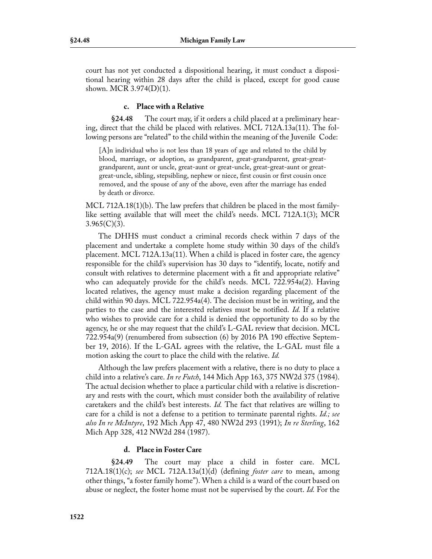court has not yet conducted a dispositional hearing, it must conduct a dispositional hearing within 28 days after the child is placed, except for good cause shown. MCR 3.974(D)(1).

#### **c. Place with a Relative**

**§24.48** The court may, if it orders a child placed at a preliminary hearing, direct that the child be placed with relatives. MCL 712A.13a(11). The following persons are "related" to the child within the meaning of the Juvenile Code:

[A]n individual who is not less than 18 years of age and related to the child by blood, marriage, or adoption, as grandparent, great-grandparent, great-greatgrandparent, aunt or uncle, great-aunt or great-uncle, great-great-aunt or greatgreat-uncle, sibling, stepsibling, nephew or niece, first cousin or first cousin once removed, and the spouse of any of the above, even after the marriage has ended by death or divorce.

MCL 712A.18(1)(b). The law prefers that children be placed in the most familylike setting available that will meet the child's needs. MCL 712A.1(3); MCR  $3.965(C)(3)$ .

The DHHS must conduct a criminal records check within 7 days of the placement and undertake a complete home study within 30 days of the child's placement. MCL 712A.13a(11). When a child is placed in foster care, the agency responsible for the child's supervision has 30 days to "identify, locate, notify and consult with relatives to determine placement with a fit and appropriate relative" who can adequately provide for the child's needs. MCL 722.954a(2). Having located relatives, the agency must make a decision regarding placement of the child within 90 days. MCL 722.954a(4). The decision must be in writing, and the parties to the case and the interested relatives must be notified. *Id.* If a relative who wishes to provide care for a child is denied the opportunity to do so by the agency, he or she may request that the child's L-GAL review that decision. MCL 722.954a(9) (renumbered from subsection (6) by 2016 PA 190 effective September 19, 2016). If the L-GAL agrees with the relative, the L-GAL must file a motion asking the court to place the child with the relative. *Id.*

Although the law prefers placement with a relative, there is no duty to place a child into a relative's care. *In re Futch*, 144 Mich App 163, 375 NW2d 375 (1984). The actual decision whether to place a particular child with a relative is discretionary and rests with the court, which must consider both the availability of relative caretakers and the child's best interests. *Id.* The fact that relatives are willing to care for a child is not a defense to a petition to terminate parental rights. *Id.; see also In re McIntyre*, 192 Mich App 47, 480 NW2d 293 (1991); *In re Sterling*, 162 Mich App 328, 412 NW2d 284 (1987).

# **d. Place in Foster Care**

**§24.49** The court may place a child in foster care. MCL 712A.18(1)(c); *see* MCL 712A.13a(1)(d) (defining *foster care* to mean, among other things, "a foster family home"). When a child is a ward of the court based on abuse or neglect, the foster home must not be supervised by the court. *Id.* For the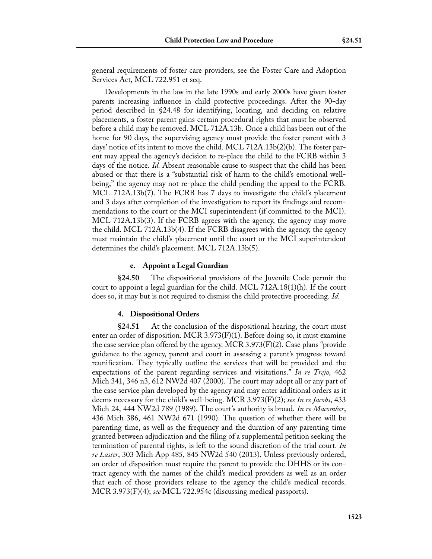general requirements of foster care providers, see the Foster Care and Adoption Services Act, MCL 722.951 et seq.

Developments in the law in the late 1990s and early 2000s have given foster parents increasing influence in child protective proceedings. After the 90-day period described in §24.48 for identifying, locating, and deciding on relative placements, a foster parent gains certain procedural rights that must be observed before a child may be removed. MCL 712A.13b. Once a child has been out of the home for 90 days, the supervising agency must provide the foster parent with 3 days' notice of its intent to move the child. MCL 712A.13b(2)(b). The foster parent may appeal the agency's decision to re-place the child to the FCRB within 3 days of the notice. *Id.* Absent reasonable cause to suspect that the child has been abused or that there is a "substantial risk of harm to the child's emotional wellbeing," the agency may not re-place the child pending the appeal to the FCRB. MCL 712A.13b(7). The FCRB has 7 days to investigate the child's placement and 3 days after completion of the investigation to report its findings and recommendations to the court or the MCI superintendent (if committed to the MCI). MCL 712A.13b(3). If the FCRB agrees with the agency, the agency may move the child. MCL 712A.13b(4). If the FCRB disagrees with the agency, the agency must maintain the child's placement until the court or the MCI superintendent determines the child's placement. MCL 712A.13b(5).

#### **e. Appoint a Legal Guardian**

**§24.50** The dispositional provisions of the Juvenile Code permit the court to appoint a legal guardian for the child. MCL 712A.18(1)(h). If the court does so, it may but is not required to dismiss the child protective proceeding. *Id.*

#### **4. Dispositional Orders**

**§24.51** At the conclusion of the dispositional hearing, the court must enter an order of disposition. MCR 3.973(F)(1). Before doing so, it must examine the case service plan offered by the agency. MCR 3.973(F)(2). Case plans "provide guidance to the agency, parent and court in assessing a parent's progress toward reunification. They typically outline the services that will be provided and the expectations of the parent regarding services and visitations." *In re Trejo*, 462 Mich 341, 346 n3, 612 NW2d 407 (2000). The court may adopt all or any part of the case service plan developed by the agency and may enter additional orders as it deems necessary for the child's well-being. MCR 3.973(F)(2); *see In re Jacobs*, 433 Mich 24, 444 NW2d 789 (1989). The court's authority is broad. *In re Macomber*, 436 Mich 386, 461 NW2d 671 (1990). The question of whether there will be parenting time, as well as the frequency and the duration of any parenting time granted between adjudication and the filing of a supplemental petition seeking the termination of parental rights, is left to the sound discretion of the trial court. *In re Laster*, 303 Mich App 485, 845 NW2d 540 (2013). Unless previously ordered, an order of disposition must require the parent to provide the DHHS or its contract agency with the names of the child's medical providers as well as an order that each of those providers release to the agency the child's medical records. MCR 3.973(F)(4); *see* MCL 722.954c (discussing medical passports).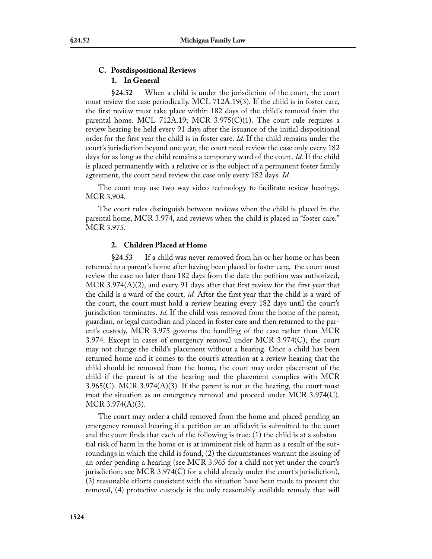# **C. Postdispositional Reviews 1. In General**

**§24.52** When a child is under the jurisdiction of the court, the court must review the case periodically. MCL 712A.19(3). If the child is in foster care, the first review must take place within 182 days of the child's removal from the parental home. MCL 712A.19; MCR 3.975(C)(1). The court rule requires a review hearing be held every 91 days after the issuance of the initial dispositional order for the first year the child is in foster care. *Id.* If the child remains under the court's jurisdiction beyond one year, the court need review the case only every 182 days for as long as the child remains a temporary ward of the court. *Id.* If the child is placed permanently with a relative or is the subject of a permanent foster family agreement, the court need review the case only every 182 days. *Id.*

The court may use two-way video technology to facilitate review hearings. MCR 3.904.

The court rules distinguish between reviews when the child is placed in the parental home, MCR 3.974, and reviews when the child is placed in "foster care." MCR 3.975.

# **2. Children Placed at Home**

**§24.53** If a child was never removed from his or her home or has been returned to a parent's home after having been placed in foster care, the court must review the case no later than 182 days from the date the petition was authorized, MCR 3.974(A)(2), and every 91 days after that first review for the first year that the child is a ward of the court, *id.* After the first year that the child is a ward of the court, the court must hold a review hearing every 182 days until the court's jurisdiction terminates. *Id.* If the child was removed from the home of the parent, guardian, or legal custodian and placed in foster care and then returned to the parent's custody, MCR 3.975 governs the handling of the case rather than MCR 3.974. Except in cases of emergency removal under MCR 3.974(C), the court may not change the child's placement without a hearing. Once a child has been returned home and it comes to the court's attention at a review hearing that the child should be removed from the home, the court may order placement of the child if the parent is at the hearing and the placement complies with MCR 3.965(C). MCR 3.974( $A$ )(3). If the parent is not at the hearing, the court must treat the situation as an emergency removal and proceed under MCR 3.974(C). MCR 3.974(A)(3).

The court may order a child removed from the home and placed pending an emergency removal hearing if a petition or an affidavit is submitted to the court and the court finds that each of the following is true: (1) the child is at a substantial risk of harm in the home or is at imminent risk of harm as a result of the surroundings in which the child is found, (2) the circumstances warrant the issuing of an order pending a hearing (see MCR 3.965 for a child not yet under the court's jurisdiction; see MCR 3.974 $(C)$  for a child already under the court's jurisdiction), (3) reasonable efforts consistent with the situation have been made to prevent the removal, (4) protective custody is the only reasonably available remedy that will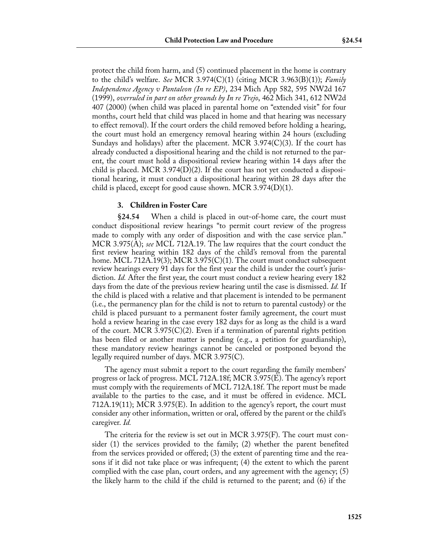protect the child from harm, and (5) continued placement in the home is contrary to the child's welfare. *See* MCR 3.974(C)(1) (citing MCR 3.963(B)(1)); *Family Independence Agency v Pantaleon (In re EP)*, 234 Mich App 582, 595 NW2d 167 (1999), *overruled in part on other grounds by In re Trejo*, 462 Mich 341, 612 NW2d 407 (2000) (when child was placed in parental home on "extended visit" for four months, court held that child was placed in home and that hearing was necessary to effect removal). If the court orders the child removed before holding a hearing, the court must hold an emergency removal hearing within 24 hours (excluding Sundays and holidays) after the placement. MCR 3.974(C)(3). If the court has already conducted a dispositional hearing and the child is not returned to the parent, the court must hold a dispositional review hearing within 14 days after the child is placed. MCR 3.974(D)(2). If the court has not yet conducted a dispositional hearing, it must conduct a dispositional hearing within 28 days after the child is placed, except for good cause shown. MCR 3.974(D)(1).

#### **3. Children in Foster Care**

**§24.54** When a child is placed in out-of-home care, the court must conduct dispositional review hearings "to permit court review of the progress made to comply with any order of disposition and with the case service plan." MCR 3.975(A); *see* MCL 712A.19. The law requires that the court conduct the first review hearing within 182 days of the child's removal from the parental home. MCL 712A.19(3); MCR 3.975(C)(1). The court must conduct subsequent review hearings every 91 days for the first year the child is under the court's jurisdiction. *Id.* After the first year, the court must conduct a review hearing every 182 days from the date of the previous review hearing until the case is dismissed. *Id.* If the child is placed with a relative and that placement is intended to be permanent (i.e., the permanency plan for the child is not to return to parental custody) or the child is placed pursuant to a permanent foster family agreement, the court must hold a review hearing in the case every 182 days for as long as the child is a ward of the court. MCR 3.975(C)(2). Even if a termination of parental rights petition has been filed or another matter is pending (e.g., a petition for guardianship), these mandatory review hearings cannot be canceled or postponed beyond the legally required number of days. MCR 3.975(C).

The agency must submit a report to the court regarding the family members' progress or lack of progress. MCL 712A.18f; MCR 3.975(E). The agency's report must comply with the requirements of MCL 712A.18f. The report must be made available to the parties to the case, and it must be offered in evidence. MCL  $712A.19(11)$ ; MCR 3.975(E). In addition to the agency's report, the court must consider any other information, written or oral, offered by the parent or the child's caregiver. *Id.*

The criteria for the review is set out in MCR 3.975(F). The court must consider (1) the services provided to the family; (2) whether the parent benefited from the services provided or offered; (3) the extent of parenting time and the reasons if it did not take place or was infrequent; (4) the extent to which the parent complied with the case plan, court orders, and any agreement with the agency; (5) the likely harm to the child if the child is returned to the parent; and (6) if the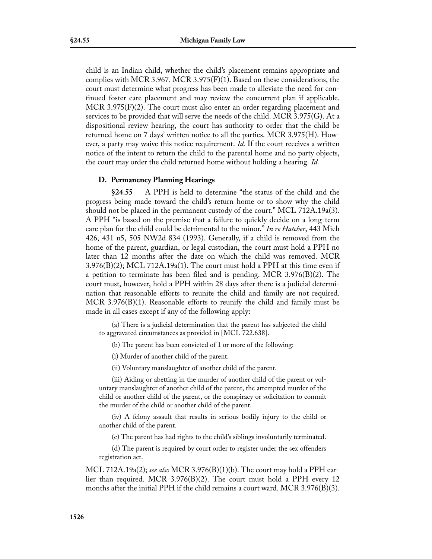child is an Indian child, whether the child's placement remains appropriate and complies with MCR 3.967. MCR 3.975 $(F)(1)$ . Based on these considerations, the court must determine what progress has been made to alleviate the need for continued foster care placement and may review the concurrent plan if applicable. MCR 3.975 $(F)(2)$ . The court must also enter an order regarding placement and services to be provided that will serve the needs of the child. MCR 3.975(G). At a dispositional review hearing, the court has authority to order that the child be returned home on 7 days' written notice to all the parties. MCR 3.975(H). However, a party may waive this notice requirement. *Id.* If the court receives a written notice of the intent to return the child to the parental home and no party objects, the court may order the child returned home without holding a hearing. *Id.*

## **D. Permanency Planning Hearings**

**§24.55** A PPH is held to determine "the status of the child and the progress being made toward the child's return home or to show why the child should not be placed in the permanent custody of the court." MCL 712A.19a(3). A PPH "is based on the premise that a failure to quickly decide on a long-term care plan for the child could be detrimental to the minor." *In re Hatcher*, 443 Mich 426, 431 n5, 505 NW2d 834 (1993). Generally, if a child is removed from the home of the parent, guardian, or legal custodian, the court must hold a PPH no later than 12 months after the date on which the child was removed. MCR  $3.976(B)(2)$ ; MCL 712A.19a(1). The court must hold a PPH at this time even if a petition to terminate has been filed and is pending. MCR 3.976(B)(2). The court must, however, hold a PPH within 28 days after there is a judicial determination that reasonable efforts to reunite the child and family are not required. MCR 3.976(B)(1). Reasonable efforts to reunify the child and family must be made in all cases except if any of the following apply:

(a) There is a judicial determination that the parent has subjected the child to aggravated circumstances as provided in [MCL 722.638].

(b) The parent has been convicted of 1 or more of the following:

(i) Murder of another child of the parent.

(ii) Voluntary manslaughter of another child of the parent.

(iii) Aiding or abetting in the murder of another child of the parent or voluntary manslaughter of another child of the parent, the attempted murder of the child or another child of the parent, or the conspiracy or solicitation to commit the murder of the child or another child of the parent.

(iv) A felony assault that results in serious bodily injury to the child or another child of the parent.

(c) The parent has had rights to the child's siblings involuntarily terminated.

(d) The parent is required by court order to register under the sex offenders registration act.

MCL 712A.19a(2); *see also* MCR 3.976(B)(1)(b). The court may hold a PPH earlier than required. MCR 3.976(B)(2). The court must hold a PPH every 12 months after the initial PPH if the child remains a court ward. MCR 3.976(B)(3).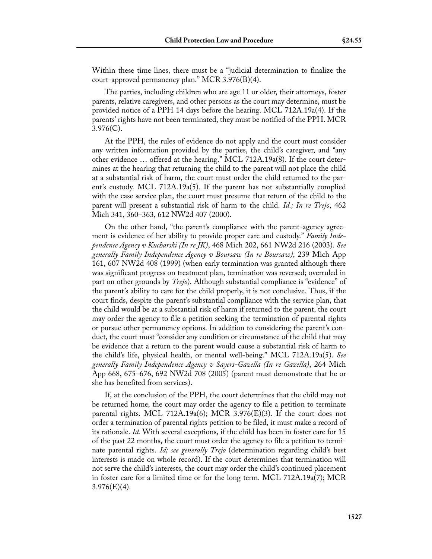Within these time lines, there must be a "judicial determination to finalize the court-approved permanency plan." MCR 3.976(B)(4).

The parties, including children who are age 11 or older, their attorneys, foster parents, relative caregivers, and other persons as the court may determine, must be provided notice of a PPH 14 days before the hearing. MCL 712A.19a(4). If the parents' rights have not been terminated, they must be notified of the PPH. MCR  $3.976(C)$ .

At the PPH, the rules of evidence do not apply and the court must consider any written information provided by the parties, the child's caregiver, and "any other evidence … offered at the hearing." MCL 712A.19a(8). If the court determines at the hearing that returning the child to the parent will not place the child at a substantial risk of harm, the court must order the child returned to the parent's custody. MCL 712A.19a(5). If the parent has not substantially complied with the case service plan, the court must presume that return of the child to the parent will present a substantial risk of harm to the child. *Id.; In re Trejo*, 462 Mich 341, 360–363, 612 NW2d 407 (2000).

On the other hand, "the parent's compliance with the parent-agency agreement is evidence of her ability to provide proper care and custody." *Family Independence Agency v Kucharski (In re JK)*, 468 Mich 202, 661 NW2d 216 (2003). *See generally Family Independence Agency v Boursaw (In re Boursaw)*, 239 Mich App 161, 607 NW2d 408 (1999) (when early termination was granted although there was significant progress on treatment plan, termination was reversed; overruled in part on other grounds by *Trejo*). Although substantial compliance is "evidence" of the parent's ability to care for the child properly, it is not conclusive. Thus, if the court finds, despite the parent's substantial compliance with the service plan, that the child would be at a substantial risk of harm if returned to the parent, the court may order the agency to file a petition seeking the termination of parental rights or pursue other permanency options. In addition to considering the parent's conduct, the court must "consider any condition or circumstance of the child that may be evidence that a return to the parent would cause a substantial risk of harm to the child's life, physical health, or mental well-being." MCL 712A.19a(5). *See generally Family Independence Agency v Sayers-Gazella (In re Gazella)*, 264 Mich App 668, 675–676, 692 NW2d 708 (2005) (parent must demonstrate that he or she has benefited from services).

If, at the conclusion of the PPH, the court determines that the child may not be returned home, the court may order the agency to file a petition to terminate parental rights. MCL 712A.19a(6); MCR 3.976 $(E)(3)$ . If the court does not order a termination of parental rights petition to be filed, it must make a record of its rationale. *Id.* With several exceptions, if the child has been in foster care for 15 of the past 22 months, the court must order the agency to file a petition to terminate parental rights. *Id; see generally Trejo* (determination regarding child's best interests is made on whole record). If the court determines that termination will not serve the child's interests, the court may order the child's continued placement in foster care for a limited time or for the long term. MCL 712A.19a(7); MCR  $3.976(E)(4)$ .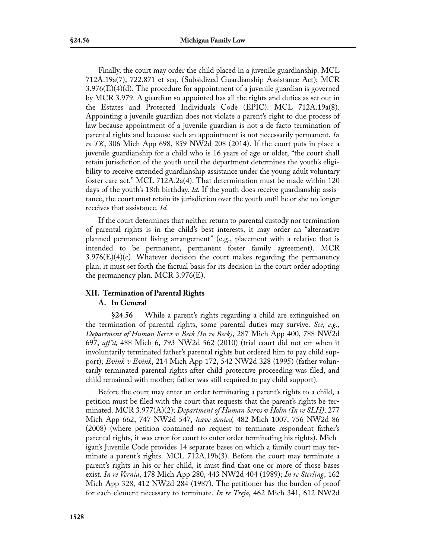Finally, the court may order the child placed in a juvenile guardianship. MCL 712A.19a(7), 722.871 et seq. (Subsidized Guardianship Assistance Act); MCR 3.976(E)(4)(d). The procedure for appointment of a juvenile guardian is governed by MCR 3.979. A guardian so appointed has all the rights and duties as set out in the Estates and Protected Individuals Code (EPIC). MCL 712A.19a(8). Appointing a juvenile guardian does not violate a parent's right to due process of law because appointment of a juvenile guardian is not a de facto termination of parental rights and because such an appointment is not necessarily permanent. *In re TK*, 306 Mich App 698, 859 NW2d 208 (2014). If the court puts in place a juvenile guardianship for a child who is 16 years of age or older, "the court shall retain jurisdiction of the youth until the department determines the youth's eligibility to receive extended guardianship assistance under the young adult voluntary foster care act." MCL 712A.2a(4). That determination must be made within 120 days of the youth's 18th birthday. *Id.* If the youth does receive guardianship assistance, the court must retain its jurisdiction over the youth until he or she no longer receives that assistance. *Id.*

If the court determines that neither return to parental custody nor termination of parental rights is in the child's best interests, it may order an "alternative planned permanent living arrangement" (e.g., placement with a relative that is intended to be permanent, permanent foster family agreement). MCR  $3.976(E)(4)(c)$ . Whatever decision the court makes regarding the permanency plan, it must set forth the factual basis for its decision in the court order adopting the permanency plan. MCR 3.976(E).

# **XII. Termination of Parental Rights**

# **A. In General**

**§24.56** While a parent's rights regarding a child are extinguished on the termination of parental rights, some parental duties may survive. *See, e.g., Department of Human Servs v Beck (In re Beck)*, 287 Mich App 400, 788 NW2d 697, *aff 'd,* 488 Mich 6, 793 NW2d 562 (2010) (trial court did not err when it involuntarily terminated father's parental rights but ordered him to pay child support); *Evink v Evink*, 214 Mich App 172, 542 NW2d 328 (1995) (father voluntarily terminated parental rights after child protective proceeding was filed, and child remained with mother; father was still required to pay child support).

Before the court may enter an order terminating a parent's rights to a child, a petition must be filed with the court that requests that the parent's rights be terminated. MCR 3.977(A)(2); *Department of Human Servs v Holm (In re SLH)*, 277 Mich App 662, 747 NW2d 547, *leave denied,* 482 Mich 1007, 756 NW2d 86 (2008) (where petition contained no request to terminate respondent father's parental rights, it was error for court to enter order terminating his rights). Michigan's Juvenile Code provides 14 separate bases on which a family court may terminate a parent's rights. MCL 712A.19b(3). Before the court may terminate a parent's rights in his or her child, it must find that one or more of those bases exist. *In re Vernia*, 178 Mich App 280, 443 NW2d 404 (1989); *In re Sterling*, 162 Mich App 328, 412 NW2d 284 (1987). The petitioner has the burden of proof for each element necessary to terminate. *In re Trejo*, 462 Mich 341, 612 NW2d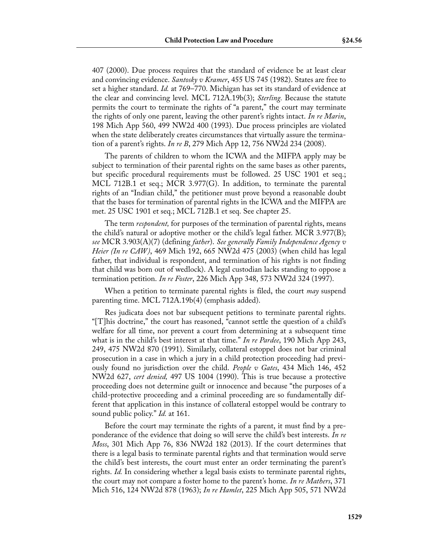407 (2000). Due process requires that the standard of evidence be at least clear and convincing evidence. *Santosky v Kramer*, 455 US 745 (1982). States are free to set a higher standard. *Id.* at 769–770. Michigan has set its standard of evidence at the clear and convincing level. MCL 712A.19b(3); *Sterling.* Because the statute permits the court to terminate the rights of "a parent," the court may terminate the rights of only one parent, leaving the other parent's rights intact. *In re Marin*, 198 Mich App 560, 499 NW2d 400 (1993). Due process principles are violated when the state deliberately creates circumstances that virtually assure the termination of a parent's rights. *In re B*, 279 Mich App 12, 756 NW2d 234 (2008).

The parents of children to whom the ICWA and the MIFPA apply may be subject to termination of their parental rights on the same bases as other parents, but specific procedural requirements must be followed. 25 USC 1901 et seq.; MCL 712B.1 et seq.; MCR 3.977(G). In addition, to terminate the parental rights of an "Indian child," the petitioner must prove beyond a reasonable doubt that the bases for termination of parental rights in the ICWA and the MIFPA are met. 25 USC 1901 et seq.; MCL 712B.1 et seq. See chapter 25.

The term *respondent,* for purposes of the termination of parental rights, means the child's natural or adoptive mother or the child's legal father. MCR 3.977(B); *see* MCR 3.903(A)(7) (defining *father*). *See generally Family Independence Agency v Heier (In re CAW)*, 469 Mich 192, 665 NW2d 475 (2003) (when child has legal father, that individual is respondent, and termination of his rights is not finding that child was born out of wedlock). A legal custodian lacks standing to oppose a termination petition. *In re Foster*, 226 Mich App 348, 573 NW2d 324 (1997).

When a petition to terminate parental rights is filed, the court *may* suspend parenting time. MCL 712A.19b(4) (emphasis added).

Res judicata does not bar subsequent petitions to terminate parental rights. "[T]his doctrine," the court has reasoned, "cannot settle the question of a child's welfare for all time, nor prevent a court from determining at a subsequent time what is in the child's best interest at that time." *In re Pardee*, 190 Mich App 243, 249, 475 NW2d 870 (1991). Similarly, collateral estoppel does not bar criminal prosecution in a case in which a jury in a child protection proceeding had previously found no jurisdiction over the child. *People v Gates*, 434 Mich 146, 452 NW2d 627, *cert denied,* 497 US 1004 (1990). This is true because a protective proceeding does not determine guilt or innocence and because "the purposes of a child-protective proceeding and a criminal proceeding are so fundamentally different that application in this instance of collateral estoppel would be contrary to sound public policy." *Id.* at 161.

Before the court may terminate the rights of a parent, it must find by a preponderance of the evidence that doing so will serve the child's best interests. *In re Moss*, 301 Mich App 76, 836 NW2d 182 (2013). If the court determines that there is a legal basis to terminate parental rights and that termination would serve the child's best interests, the court must enter an order terminating the parent's rights. *Id.* In considering whether a legal basis exists to terminate parental rights, the court may not compare a foster home to the parent's home. *In re Mathers*, 371 Mich 516, 124 NW2d 878 (1963); *In re Hamlet*, 225 Mich App 505, 571 NW2d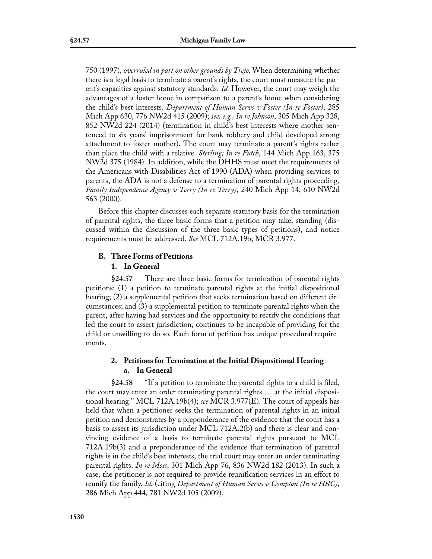750 (1997), *overruled in part on other grounds by Trejo.* When determining whether there is a legal basis to terminate a parent's rights, the court must measure the parent's capacities against statutory standards. *Id.* However, the court may weigh the advantages of a foster home in comparison to a parent's home when considering the child's best interests. *Department of Human Servs v Foster (In re Foster)*, 285 Mich App 630, 776 NW2d 415 (2009); *see, e.g., In re Johnson*, 305 Mich App 328, 852 NW2d 224 (2014) (termination in child's best interests where mother sentenced to six years' imprisonment for bank robbery and child developed strong attachment to foster mother). The court may terminate a parent's rights rather than place the child with a relative. *Sterling; In re Futch*, 144 Mich App 163, 375 NW2d 375 (1984). In addition, while the DHHS must meet the requirements of the Americans with Disabilities Act of 1990 (ADA) when providing services to parents, the ADA is not a defense to a termination of parental rights proceeding. *Family Independence Agency v Terry (In re Terry)*, 240 Mich App 14, 610 NW2d 563 (2000).

Before this chapter discusses each separate statutory basis for the termination of parental rights, the three basic forms that a petition may take, standing (discussed within the discussion of the three basic types of petitions), and notice requirements must be addressed. *See* MCL 712A.19b; MCR 3.977.

# **B. Three Forms of Petitions**

# **1. In General**

**§24.57** There are three basic forms for termination of parental rights petitions: (1) a petition to terminate parental rights at the initial dispositional hearing; (2) a supplemental petition that seeks termination based on different circumstances; and (3) a supplemental petition to terminate parental rights when the parent, after having had services and the opportunity to rectify the conditions that led the court to assert jurisdiction, continues to be incapable of providing for the child or unwilling to do so. Each form of petition has unique procedural requirements.

# **2. Petitions for Termination at the Initial Dispositional Hearing a. In General**

**§24.58** "If a petition to terminate the parental rights to a child is filed, the court may enter an order terminating parental rights … at the initial dispositional hearing." MCL 712A.19b(4); *see* MCR 3.977(E). The court of appeals has held that when a petitioner seeks the termination of parental rights in an initial petition and demonstrates by a preponderance of the evidence that the court has a basis to assert its jurisdiction under MCL 712A.2(b) and there is clear and convincing evidence of a basis to terminate parental rights pursuant to MCL 712A.19b(3) and a preponderance of the evidence that termination of parental rights is in the child's best interests, the trial court may enter an order terminating parental rights. *In re Moss*, 301 Mich App 76, 836 NW2d 182 (2013). In such a case, the petitioner is not required to provide reunification services in an effort to reunify the family. *Id.* (citing *Department of Human Servs v Compton (In re HRC)*, 286 Mich App 444, 781 NW2d 105 (2009).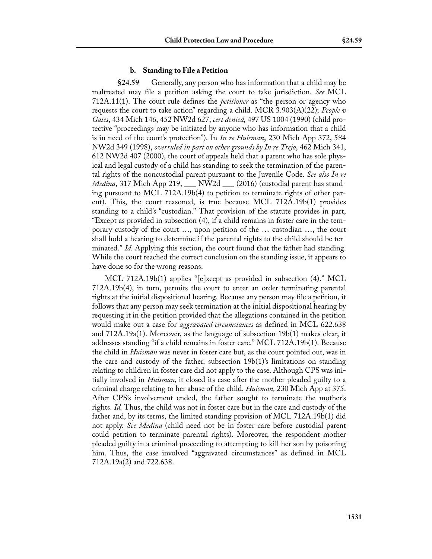#### **b. Standing to File a Petition**

**§24.59** Generally, any person who has information that a child may be maltreated may file a petition asking the court to take jurisdiction. *See* MCL 712A.11(1). The court rule defines the *petitioner* as "the person or agency who requests the court to take action" regarding a child. MCR 3.903(A)(22); *People v Gates*, 434 Mich 146, 452 NW2d 627, *cert denied,* 497 US 1004 (1990) (child protective "proceedings may be initiated by anyone who has information that a child is in need of the court's protection"). In *In re Huisman*, 230 Mich App 372, 584 NW2d 349 (1998), *overruled in part on other grounds by In re Trejo*, 462 Mich 341, 612 NW2d 407 (2000), the court of appeals held that a parent who has sole physical and legal custody of a child has standing to seek the termination of the parental rights of the noncustodial parent pursuant to the Juvenile Code. *See also In re Medina*, 317 Mich App 219, \_\_\_ NW2d \_\_\_ (2016) (custodial parent has standing pursuant to MCL 712A.19b(4) to petition to terminate rights of other parent). This, the court reasoned, is true because MCL 712A.19b(1) provides standing to a child's "custodian." That provision of the statute provides in part, "Except as provided in subsection (4), if a child remains in foster care in the temporary custody of the court …, upon petition of the … custodian …, the court shall hold a hearing to determine if the parental rights to the child should be terminated." *Id.* Applying this section, the court found that the father had standing. While the court reached the correct conclusion on the standing issue, it appears to have done so for the wrong reasons.

MCL 712A.19b(1) applies "[e]xcept as provided in subsection (4)." MCL 712A.19b(4), in turn, permits the court to enter an order terminating parental rights at the initial dispositional hearing. Because any person may file a petition, it follows that any person may seek termination at the initial dispositional hearing by requesting it in the petition provided that the allegations contained in the petition would make out a case for *aggravated circumstances* as defined in MCL 622.638 and 712A.19a(1). Moreover, as the language of subsection 19b(1) makes clear, it addresses standing "if a child remains in foster care." MCL 712A.19b(1). Because the child in *Huisman* was never in foster care but, as the court pointed out, was in the care and custody of the father, subsection 19b(1)'s limitations on standing relating to children in foster care did not apply to the case. Although CPS was initially involved in *Huisman,* it closed its case after the mother pleaded guilty to a criminal charge relating to her abuse of the child. *Huisman,* 230 Mich App at 375. After CPS's involvement ended, the father sought to terminate the mother's rights. *Id.* Thus, the child was not in foster care but in the care and custody of the father and, by its terms, the limited standing provision of MCL 712A.19b(1) did not apply. *See Medina* (child need not be in foster care before custodial parent could petition to terminate parental rights). Moreover, the respondent mother pleaded guilty in a criminal proceeding to attempting to kill her son by poisoning him. Thus, the case involved "aggravated circumstances" as defined in MCL 712A.19a(2) and 722.638.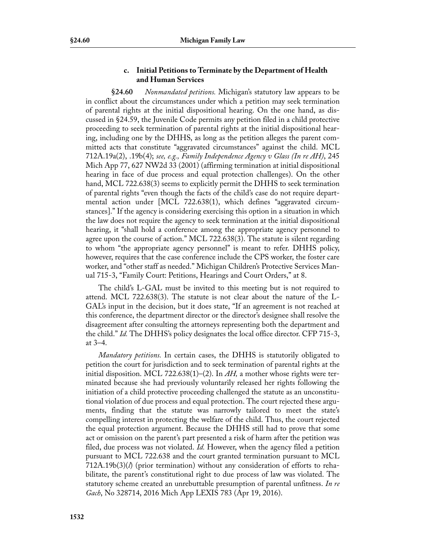# **c. Initial Petitions to Terminate by the Department of Health and Human Services**

**§24.60** *Nonmandated petitions.* Michigan's statutory law appears to be in conflict about the circumstances under which a petition may seek termination of parental rights at the initial dispositional hearing. On the one hand, as discussed in §24.59, the Juvenile Code permits any petition filed in a child protective proceeding to seek termination of parental rights at the initial dispositional hearing, including one by the DHHS, as long as the petition alleges the parent committed acts that constitute "aggravated circumstances" against the child. MCL 712A.19a(2), .19b(4); *see, e.g., Family Independence Agency v Glass (In re AH)*, 245 Mich App 77, 627 NW2d 33 (2001) (affirming termination at initial dispositional hearing in face of due process and equal protection challenges). On the other hand, MCL 722.638(3) seems to explicitly permit the DHHS to seek termination of parental rights "even though the facts of the child's case do not require departmental action under [MCL 722.638(1), which defines "aggravated circumstances]." If the agency is considering exercising this option in a situation in which the law does not require the agency to seek termination at the initial dispositional hearing, it "shall hold a conference among the appropriate agency personnel to agree upon the course of action." MCL 722.638(3). The statute is silent regarding to whom "the appropriate agency personnel" is meant to refer. DHHS policy, however, requires that the case conference include the CPS worker, the foster care worker, and "other staff as needed." Michigan Children's Protective Services Manual 715-3, "Family Court: Petitions, Hearings and Court Orders," at 8.

The child's L-GAL must be invited to this meeting but is not required to attend. MCL 722.638(3). The statute is not clear about the nature of the L-GAL's input in the decision, but it does state, "If an agreement is not reached at this conference, the department director or the director's designee shall resolve the disagreement after consulting the attorneys representing both the department and the child." *Id.* The DHHS's policy designates the local office director. CFP 715-3, at 3–4.

*Mandatory petitions.* In certain cases, the DHHS is statutorily obligated to petition the court for jurisdiction and to seek termination of parental rights at the initial disposition. MCL 722.638(1)–(2). In *AH,* a mother whose rights were terminated because she had previously voluntarily released her rights following the initiation of a child protective proceeding challenged the statute as an unconstitutional violation of due process and equal protection. The court rejected these arguments, finding that the statute was narrowly tailored to meet the state's compelling interest in protecting the welfare of the child. Thus, the court rejected the equal protection argument. Because the DHHS still had to prove that some act or omission on the parent's part presented a risk of harm after the petition was filed, due process was not violated. *Id.* However, when the agency filed a petition pursuant to MCL 722.638 and the court granted termination pursuant to MCL 712A.19b(3)(*l*) (prior termination) without any consideration of efforts to rehabilitate, the parent's constitutional right to due process of law was violated. The statutory scheme created an unrebuttable presumption of parental unfitness. *In re Gach*, No 328714, 2016 Mich App LEXIS 783 (Apr 19, 2016).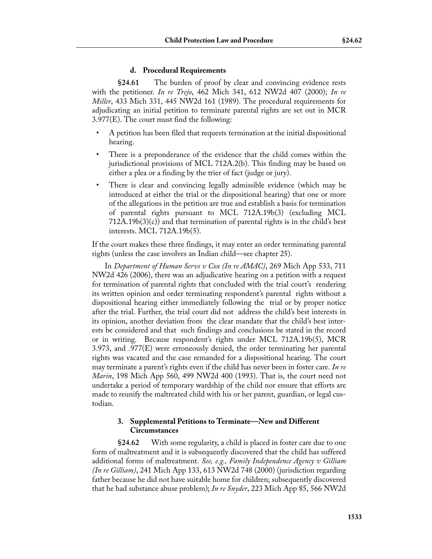# **d. Procedural Requirements**

**§24.61** The burden of proof by clear and convincing evidence rests with the petitioner. *In re Trejo*, 462 Mich 341, 612 NW2d 407 (2000); *In re Miller*, 433 Mich 331, 445 NW2d 161 (1989). The procedural requirements for adjudicating an initial petition to terminate parental rights are set out in MCR 3.977(E). The court must find the following:

- A petition has been filed that requests termination at the initial dispositional hearing.
- There is a preponderance of the evidence that the child comes within the jurisdictional provisions of MCL 712A.2(b). This finding may be based on either a plea or a finding by the trier of fact (judge or jury).
- There is clear and convincing legally admissible evidence (which may be introduced at either the trial or the dispositional hearing) that one or more of the allegations in the petition are true and establish a basis for termination of parental rights pursuant to MCL 712A.19b(3) (excluding MCL 712A.19b(3)(c)) and that termination of parental rights is in the child's best interests. MCL 712A.19b(5).

If the court makes these three findings, it may enter an order terminating parental rights (unless the case involves an Indian child—see chapter 25).

In *Department of Human Servs v Cox (In re AMAC)*, 269 Mich App 533, 711 NW2d 426 (2006), there was an adjudicative hearing on a petition with a request for termination of parental rights that concluded with the trial court's rendering its written opinion and order terminating respondent's parental rights without a dispositional hearing either immediately following the trial or by proper notice after the trial. Further, the trial court did not address the child's best interests in its opinion, another deviation from the clear mandate that the child's best interests be considered and that such findings and conclusions be stated in the record or in writing. Because respondent's rights under MCL 712A.19b(5), MCR 3.973, and .977(E) were erroneously denied, the order terminating her parental rights was vacated and the case remanded for a dispositional hearing. The court may terminate a parent's rights even if the child has never been in foster care. *In re Marin*, 198 Mich App 560, 499 NW2d 400 (1993). That is, the court need not undertake a period of temporary wardship of the child nor ensure that efforts are made to reunify the maltreated child with his or her parent, guardian, or legal custodian.

# **3. Supplemental Petitions to Terminate—New and Different Circumstances**

**§24.62** With some regularity, a child is placed in foster care due to one form of maltreatment and it is subsequently discovered that the child has suffered additional forms of maltreatment. *See, e.g., Family Independence Agency v Gilliam (In re Gilliam)*, 241 Mich App 133, 613 NW2d 748 (2000) (jurisdiction regarding father because he did not have suitable home for children; subsequently discovered that he had substance abuse problem); *In re Snyder*, 223 Mich App 85, 566 NW2d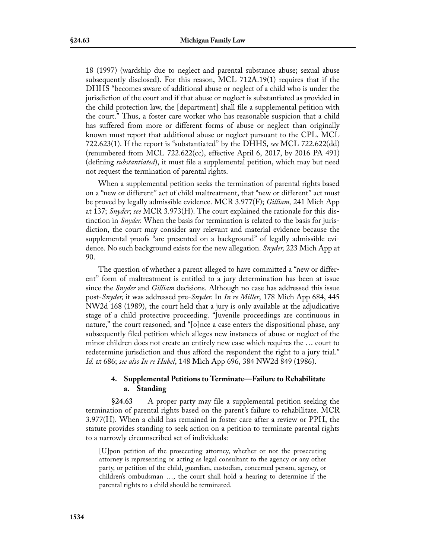18 (1997) (wardship due to neglect and parental substance abuse; sexual abuse subsequently disclosed). For this reason, MCL 712A.19(1) requires that if the DHHS "becomes aware of additional abuse or neglect of a child who is under the jurisdiction of the court and if that abuse or neglect is substantiated as provided in the child protection law, the [department] shall file a supplemental petition with the court." Thus, a foster care worker who has reasonable suspicion that a child has suffered from more or different forms of abuse or neglect than originally known must report that additional abuse or neglect pursuant to the CPL. MCL 722.623(1). If the report is "substantiated" by the DHHS, *see* MCL 722.622(dd) (renumbered from MCL 722.622(cc), effective April 6, 2017, by 2016 PA 491) (defining *substantiated*), it must file a supplemental petition, which may but need not request the termination of parental rights.

When a supplemental petition seeks the termination of parental rights based on a "new or different" act of child maltreatment, that "new or different" act must be proved by legally admissible evidence. MCR 3.977(F); *Gilliam,* 241 Mich App at 137; *Snyder*; *see* MCR 3.973(H). The court explained the rationale for this distinction in *Snyder.* When the basis for termination is related to the basis for jurisdiction, the court may consider any relevant and material evidence because the supplemental proofs "are presented on a background" of legally admissible evidence. No such background exists for the new allegation. *Snyder,* 223 Mich App at 90.

The question of whether a parent alleged to have committed a "new or different" form of maltreatment is entitled to a jury determination has been at issue since the *Snyder* and *Gilliam* decisions. Although no case has addressed this issue post-*Snyder,* it was addressed pre-*Snyder.* In *In re Miller*, 178 Mich App 684, 445 NW2d 168 (1989), the court held that a jury is only available at the adjudicative stage of a child protective proceeding. "Juvenile proceedings are continuous in nature," the court reasoned, and "[o]nce a case enters the dispositional phase, any subsequently filed petition which alleges new instances of abuse or neglect of the minor children does not create an entirely new case which requires the … court to redetermine jurisdiction and thus afford the respondent the right to a jury trial." *Id.* at 686; *see also In re Hubel*, 148 Mich App 696, 384 NW2d 849 (1986).

# **4. Supplemental Petitions to Terminate—Failure to Rehabilitate a. Standing**

**§24.63** A proper party may file a supplemental petition seeking the termination of parental rights based on the parent's failure to rehabilitate. MCR 3.977(H). When a child has remained in foster care after a review or PPH, the statute provides standing to seek action on a petition to terminate parental rights to a narrowly circumscribed set of individuals:

[U]pon petition of the prosecuting attorney, whether or not the prosecuting attorney is representing or acting as legal consultant to the agency or any other party, or petition of the child, guardian, custodian, concerned person, agency, or children's ombudsman …, the court shall hold a hearing to determine if the parental rights to a child should be terminated.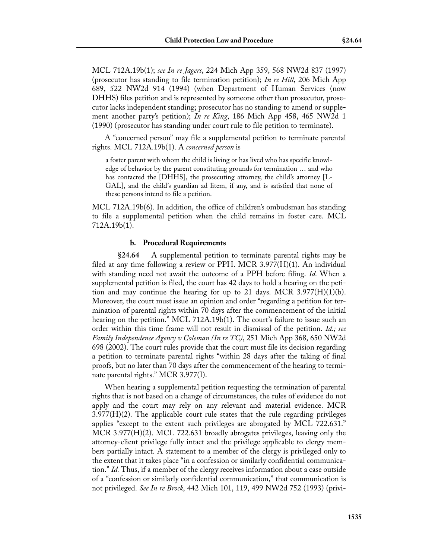MCL 712A.19b(1); *see In re Jagers*, 224 Mich App 359, 568 NW2d 837 (1997) (prosecutor has standing to file termination petition); *In re Hill*, 206 Mich App 689, 522 NW2d 914 (1994) (when Department of Human Services (now DHHS) files petition and is represented by someone other than prosecutor, prosecutor lacks independent standing; prosecutor has no standing to amend or supplement another party's petition); *In re King*, 186 Mich App 458, 465 NW2d 1 (1990) (prosecutor has standing under court rule to file petition to terminate).

A "concerned person" may file a supplemental petition to terminate parental rights. MCL 712A.19b(1). A *concerned person* is

a foster parent with whom the child is living or has lived who has specific knowledge of behavior by the parent constituting grounds for termination … and who has contacted the [DHHS], the prosecuting attorney, the child's attorney [L-GAL], and the child's guardian ad litem, if any, and is satisfied that none of these persons intend to file a petition.

MCL 712A.19b(6). In addition, the office of children's ombudsman has standing to file a supplemental petition when the child remains in foster care. MCL 712A.19b(1).

### **b. Procedural Requirements**

**§24.64** A supplemental petition to terminate parental rights may be filed at any time following a review or PPH. MCR  $3.977(H)(1)$ . An individual with standing need not await the outcome of a PPH before filing. *Id.* When a supplemental petition is filed, the court has 42 days to hold a hearing on the petition and may continue the hearing for up to 21 days. MCR  $3.977(H)(1)(b)$ . Moreover, the court must issue an opinion and order "regarding a petition for termination of parental rights within 70 days after the commencement of the initial hearing on the petition." MCL 712A.19b(1). The court's failure to issue such an order within this time frame will not result in dismissal of the petition. *Id.; see Family Independence Agency v Coleman (In re TC)*, 251 Mich App 368, 650 NW2d 698 (2002). The court rules provide that the court must file its decision regarding a petition to terminate parental rights "within 28 days after the taking of final proofs, but no later than 70 days after the commencement of the hearing to terminate parental rights." MCR 3.977(I).

When hearing a supplemental petition requesting the termination of parental rights that is not based on a change of circumstances, the rules of evidence do not apply and the court may rely on any relevant and material evidence. MCR  $3.977(H)(2)$ . The applicable court rule states that the rule regarding privileges applies "except to the extent such privileges are abrogated by MCL 722.631." MCR 3.977(H)(2). MCL 722.631 broadly abrogates privileges, leaving only the attorney-client privilege fully intact and the privilege applicable to clergy members partially intact. A statement to a member of the clergy is privileged only to the extent that it takes place "in a confession or similarly confidential communication." *Id.* Thus, if a member of the clergy receives information about a case outside of a "confession or similarly confidential communication," that communication is not privileged. *See In re Brock*, 442 Mich 101, 119, 499 NW2d 752 (1993) (privi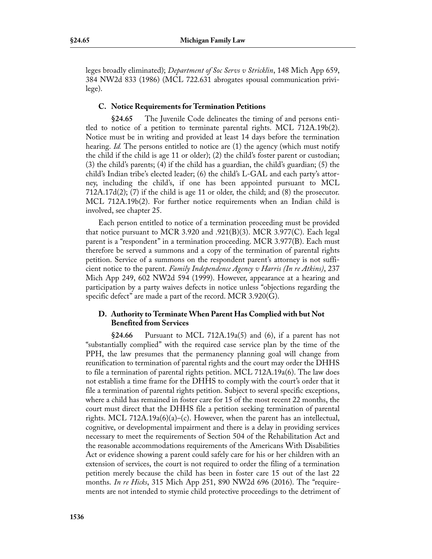leges broadly eliminated); *Department of Soc Servs v Stricklin*, 148 Mich App 659, 384 NW2d 833 (1986) (MCL 722.631 abrogates spousal communication privilege).

# **C. Notice Requirements for Termination Petitions**

**§24.65** The Juvenile Code delineates the timing of and persons entitled to notice of a petition to terminate parental rights. MCL 712A.19b(2). Notice must be in writing and provided at least 14 days before the termination hearing. *Id.* The persons entitled to notice are (1) the agency (which must notify the child if the child is age 11 or older); (2) the child's foster parent or custodian; (3) the child's parents; (4) if the child has a guardian, the child's guardian; (5) the child's Indian tribe's elected leader; (6) the child's L-GAL and each party's attorney, including the child's, if one has been appointed pursuant to MCL 712A.17d(2); (7) if the child is age 11 or older, the child; and (8) the prosecutor. MCL 712A.19b(2). For further notice requirements when an Indian child is involved, see chapter 25.

Each person entitled to notice of a termination proceeding must be provided that notice pursuant to MCR 3.920 and .921(B)(3). MCR 3.977(C). Each legal parent is a "respondent" in a termination proceeding. MCR 3.977(B). Each must therefore be served a summons and a copy of the termination of parental rights petition. Service of a summons on the respondent parent's attorney is not sufficient notice to the parent. *Family Independence Agency v Harris (In re Atkins)*, 237 Mich App 249, 602 NW2d 594 (1999). However, appearance at a hearing and participation by a party waives defects in notice unless "objections regarding the specific defect" are made a part of the record. MCR 3.920(G).

# **D. Authority to Terminate When Parent Has Complied with but Not Benefited from Services**

**§24.66** Pursuant to MCL 712A.19a(5) and (6), if a parent has not "substantially complied" with the required case service plan by the time of the PPH, the law presumes that the permanency planning goal will change from reunification to termination of parental rights and the court may order the DHHS to file a termination of parental rights petition. MCL 712A.19a(6). The law does not establish a time frame for the DHHS to comply with the court's order that it file a termination of parental rights petition. Subject to several specific exceptions, where a child has remained in foster care for 15 of the most recent 22 months, the court must direct that the DHHS file a petition seeking termination of parental rights. MCL 712A.19a $(6)(a)$ – $(c)$ . However, when the parent has an intellectual, cognitive, or developmental impairment and there is a delay in providing services necessary to meet the requirements of Section 504 of the Rehabilitation Act and the reasonable accommodations requirements of the Americans With Disabilities Act or evidence showing a parent could safely care for his or her children with an extension of services, the court is not required to order the filing of a termination petition merely because the child has been in foster care 15 out of the last 22 months. *In re Hicks*, 315 Mich App 251, 890 NW2d 696 (2016). The "requirements are not intended to stymie child protective proceedings to the detriment of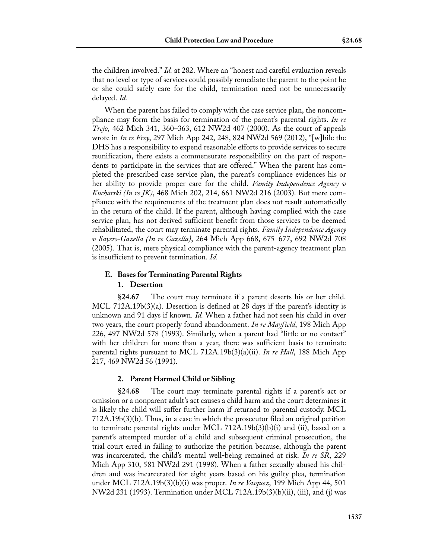the children involved." *Id.* at 282. Where an "honest and careful evaluation reveals that no level or type of services could possibly remediate the parent to the point he or she could safely care for the child, termination need not be unnecessarily delayed. *Id.*

When the parent has failed to comply with the case service plan, the noncompliance may form the basis for termination of the parent's parental rights. *In re Trejo*, 462 Mich 341, 360–363, 612 NW2d 407 (2000). As the court of appeals wrote in *In re Frey*, 297 Mich App 242, 248, 824 NW2d 569 (2012), "[w]hile the DHS has a responsibility to expend reasonable efforts to provide services to secure reunification, there exists a commensurate responsibility on the part of respondents to participate in the services that are offered." When the parent has completed the prescribed case service plan, the parent's compliance evidences his or her ability to provide proper care for the child. *Family Independence Agency v Kucharski (In re JK)*, 468 Mich 202, 214, 661 NW2d 216 (2003). But mere compliance with the requirements of the treatment plan does not result automatically in the return of the child. If the parent, although having complied with the case service plan, has not derived sufficient benefit from those services to be deemed rehabilitated, the court may terminate parental rights. *Family Independence Agency v Sayers-Gazella (In re Gazella)*, 264 Mich App 668, 675–677, 692 NW2d 708 (2005). That is, mere physical compliance with the parent-agency treatment plan is insufficient to prevent termination. *Id.*

# **E. Bases for Terminating Parental Rights 1. Desertion**

**§24.67** The court may terminate if a parent deserts his or her child. MCL 712A.19b(3)(a). Desertion is defined at 28 days if the parent's identity is unknown and 91 days if known. *Id.* When a father had not seen his child in over two years, the court properly found abandonment. *In re Mayfield*, 198 Mich App 226, 497 NW2d 578 (1993). Similarly, when a parent had "little or no contact" with her children for more than a year, there was sufficient basis to terminate parental rights pursuant to MCL 712A.19b(3)(a)(ii). *In re Hall*, 188 Mich App 217, 469 NW2d 56 (1991).

# **2. Parent Harmed Child or Sibling**

**§24.68** The court may terminate parental rights if a parent's act or omission or a nonparent adult's act causes a child harm and the court determines it is likely the child will suffer further harm if returned to parental custody. MCL 712A.19b(3)(b). Thus, in a case in which the prosecutor filed an original petition to terminate parental rights under MCL 712A.19b(3)(b)(i) and (ii), based on a parent's attempted murder of a child and subsequent criminal prosecution, the trial court erred in failing to authorize the petition because, although the parent was incarcerated, the child's mental well-being remained at risk. *In re SR*, 229 Mich App 310, 581 NW2d 291 (1998). When a father sexually abused his children and was incarcerated for eight years based on his guilty plea, termination under MCL 712A.19b(3)(b)(i) was proper. *In re Vasquez*, 199 Mich App 44, 501 NW2d 231 (1993). Termination under MCL 712A.19b(3)(b)(ii), (iii), and (j) was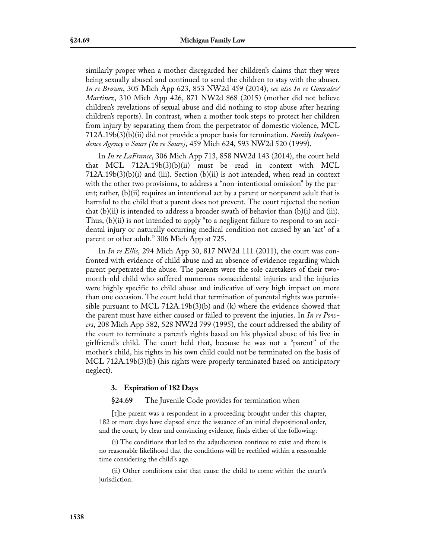similarly proper when a mother disregarded her children's claims that they were being sexually abused and continued to send the children to stay with the abuser. *In re Brown*, 305 Mich App 623, 853 NW2d 459 (2014); *see also In re Gonzales/ Martinez*, 310 Mich App 426, 871 NW2d 868 (2015) (mother did not believe children's revelations of sexual abuse and did nothing to stop abuse after hearing children's reports). In contrast, when a mother took steps to protect her children from injury by separating them from the perpetrator of domestic violence, MCL 712A.19b(3)(b)(ii) did not provide a proper basis for termination. *Family Independence Agency v Sours (In re Sours)*, 459 Mich 624, 593 NW2d 520 (1999).

In *In re LaFrance*, 306 Mich App 713, 858 NW2d 143 (2014), the court held that MCL 712A.19b(3)(b)(ii) must be read in context with MCL  $712A.19b(3)(b)(i)$  and (iii). Section (b)(ii) is not intended, when read in context with the other two provisions, to address a "non-intentional omission" by the parent; rather, (b)(ii) requires an intentional act by a parent or nonparent adult that is harmful to the child that a parent does not prevent. The court rejected the notion that  $(b)(ii)$  is intended to address a broader swath of behavior than  $(b)(i)$  and  $(iii)$ . Thus, (b)(ii) is not intended to apply "to a negligent failure to respond to an accidental injury or naturally occurring medical condition not caused by an 'act' of a parent or other adult." 306 Mich App at 725.

In *In re Ellis*, 294 Mich App 30, 817 NW2d 111 (2011), the court was confronted with evidence of child abuse and an absence of evidence regarding which parent perpetrated the abuse. The parents were the sole caretakers of their twomonth-old child who suffered numerous nonaccidental injuries and the injuries were highly specific to child abuse and indicative of very high impact on more than one occasion. The court held that termination of parental rights was permissible pursuant to MCL 712A.19b(3)(b) and (k) where the evidence showed that the parent must have either caused or failed to prevent the injuries. In *In re Powers*, 208 Mich App 582, 528 NW2d 799 (1995), the court addressed the ability of the court to terminate a parent's rights based on his physical abuse of his live-in girlfriend's child. The court held that, because he was not a "parent" of the mother's child, his rights in his own child could not be terminated on the basis of MCL 712A.19b(3)(b) (his rights were properly terminated based on anticipatory neglect).

## **3. Expiration of 182 Days**

**§24.69** The Juvenile Code provides for termination when

[t]he parent was a respondent in a proceeding brought under this chapter, 182 or more days have elapsed since the issuance of an initial dispositional order, and the court, by clear and convincing evidence, finds either of the following:

(i) The conditions that led to the adjudication continue to exist and there is no reasonable likelihood that the conditions will be rectified within a reasonable time considering the child's age.

(ii) Other conditions exist that cause the child to come within the court's jurisdiction.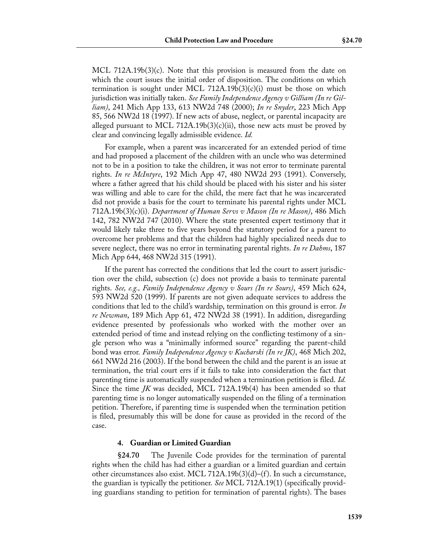MCL 712A.19b(3)(c). Note that this provision is measured from the date on which the court issues the initial order of disposition. The conditions on which termination is sought under MCL 712A.19b $(3)(c)(i)$  must be those on which jurisdiction was initially taken. *See Family Independence Agency v Gilliam (In re Gilliam)*, 241 Mich App 133, 613 NW2d 748 (2000); *In re Snyder*, 223 Mich App 85, 566 NW2d 18 (1997). If new acts of abuse, neglect, or parental incapacity are alleged pursuant to MCL 712A.19b(3)(c)(ii), those new acts must be proved by clear and convincing legally admissible evidence. *Id.*

For example, when a parent was incarcerated for an extended period of time and had proposed a placement of the children with an uncle who was determined not to be in a position to take the children, it was not error to terminate parental rights. *In re McIntyre*, 192 Mich App 47, 480 NW2d 293 (1991). Conversely, where a father agreed that his child should be placed with his sister and his sister was willing and able to care for the child, the mere fact that he was incarcerated did not provide a basis for the court to terminate his parental rights under MCL 712A.19b(3)(c)(i). *Department of Human Servs v Mason (In re Mason)*, 486 Mich 142, 782 NW2d 747 (2010). Where the state presented expert testimony that it would likely take three to five years beyond the statutory period for a parent to overcome her problems and that the children had highly specialized needs due to severe neglect, there was no error in terminating parental rights. *In re Dahms*, 187 Mich App 644, 468 NW2d 315 (1991).

If the parent has corrected the conditions that led the court to assert jurisdiction over the child, subsection (c) does not provide a basis to terminate parental rights. *See, e.g., Family Independence Agency v Sours (In re Sours)*, 459 Mich 624, 593 NW2d 520 (1999). If parents are not given adequate services to address the conditions that led to the child's wardship, termination on this ground is error. *In re Newman*, 189 Mich App 61, 472 NW2d 38 (1991). In addition, disregarding evidence presented by professionals who worked with the mother over an extended period of time and instead relying on the conflicting testimony of a single person who was a "minimally informed source" regarding the parent-child bond was error. *Family Independence Agency v Kucharski (In re JK)*, 468 Mich 202, 661 NW2d 216 (2003). If the bond between the child and the parent is an issue at termination, the trial court errs if it fails to take into consideration the fact that parenting time is automatically suspended when a termination petition is filed. *Id.* Since the time *JK* was decided, MCL 712A.19b(4) has been amended so that parenting time is no longer automatically suspended on the filing of a termination petition. Therefore, if parenting time is suspended when the termination petition is filed, presumably this will be done for cause as provided in the record of the case.

## **4. Guardian or Limited Guardian**

**§24.70** The Juvenile Code provides for the termination of parental rights when the child has had either a guardian or a limited guardian and certain other circumstances also exist. MCL 712A.19b(3)(d)–(f ). In such a circumstance, the guardian is typically the petitioner. *See* MCL 712A.19(1) (specifically providing guardians standing to petition for termination of parental rights). The bases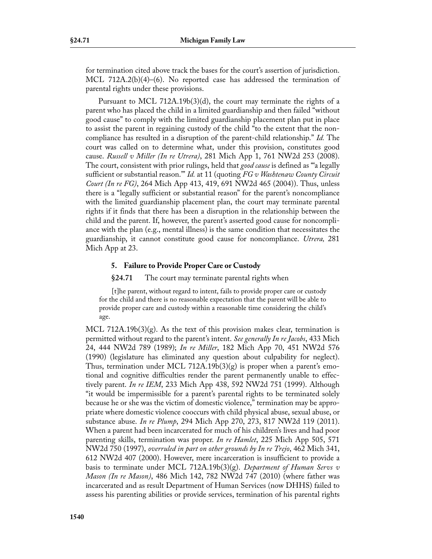for termination cited above track the bases for the court's assertion of jurisdiction. MCL 712A.2(b)(4)–(6). No reported case has addressed the termination of parental rights under these provisions.

Pursuant to MCL 712A.19b(3)(d), the court may terminate the rights of a parent who has placed the child in a limited guardianship and then failed "without good cause" to comply with the limited guardianship placement plan put in place to assist the parent in regaining custody of the child "to the extent that the noncompliance has resulted in a disruption of the parent-child relationship." *Id.* The court was called on to determine what, under this provision, constitutes good cause. *Russell v Miller (In re Utrera)*, 281 Mich App 1, 761 NW2d 253 (2008). The court, consistent with prior rulings, held that *good cause* is defined as "'a legally sufficient or substantial reason.'" *Id.* at 11 (quoting *FG v Washtenaw County Circuit Court (In re FG)*, 264 Mich App 413, 419, 691 NW2d 465 (2004)). Thus, unless there is a "legally sufficient or substantial reason" for the parent's noncompliance with the limited guardianship placement plan, the court may terminate parental rights if it finds that there has been a disruption in the relationship between the child and the parent. If, however, the parent's asserted good cause for noncompliance with the plan (e.g., mental illness) is the same condition that necessitates the guardianship, it cannot constitute good cause for noncompliance. *Utrera,* 281 Mich App at 23.

## **5. Failure to Provide Proper Care or Custody**

**§24.71** The court may terminate parental rights when

[t]he parent, without regard to intent, fails to provide proper care or custody for the child and there is no reasonable expectation that the parent will be able to provide proper care and custody within a reasonable time considering the child's age.

MCL 712A.19b $(3)(g)$ . As the text of this provision makes clear, termination is permitted without regard to the parent's intent. *See generally In re Jacobs*, 433 Mich 24, 444 NW2d 789 (1989); *In re Miller*, 182 Mich App 70, 451 NW2d 576 (1990) (legislature has eliminated any question about culpability for neglect). Thus, termination under MCL 712A.19b(3)(g) is proper when a parent's emotional and cognitive difficulties render the parent permanently unable to effectively parent. *In re IEM*, 233 Mich App 438, 592 NW2d 751 (1999). Although "it would be impermissible for a parent's parental rights to be terminated solely because he or she was the victim of domestic violence," termination may be appropriate where domestic violence cooccurs with child physical abuse, sexual abuse, or substance abuse. *In re Plump*, 294 Mich App 270, 273, 817 NW2d 119 (2011). When a parent had been incarcerated for much of his children's lives and had poor parenting skills, termination was proper. *In re Hamlet*, 225 Mich App 505, 571 NW2d 750 (1997), *overruled in part on other grounds by In re Trejo*, 462 Mich 341, 612 NW2d 407 (2000). However, mere incarceration is insufficient to provide a basis to terminate under MCL 712A.19b(3)(g). *Department of Human Servs v Mason (In re Mason)*, 486 Mich 142, 782 NW2d 747 (2010) (where father was incarcerated and as result Department of Human Services (now DHHS) failed to assess his parenting abilities or provide services, termination of his parental rights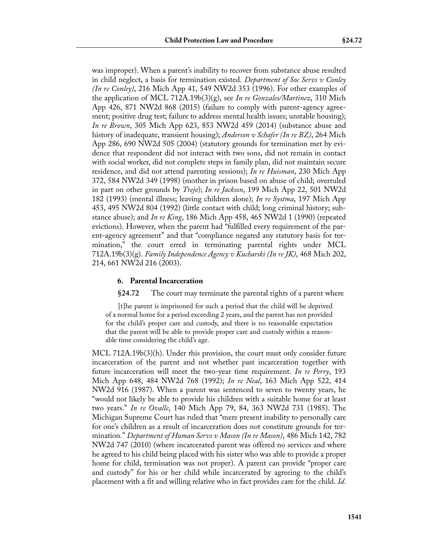was improper). When a parent's inability to recover from substance abuse resulted in child neglect, a basis for termination existed. *Department of Soc Servs v Conley (In re Conley)*, 216 Mich App 41, 549 NW2d 353 (1996). For other examples of the application of MCL 712A.19b(3)(g), see *In re Gonzales/Martinez*, 310 Mich App 426, 871 NW2d 868 (2015) (failure to comply with parent-agency agreement; positive drug test; failure to address mental health issues; unstable housing); *In re Brown*, 305 Mich App 623, 853 NW2d 459 (2014) (substance abuse and history of inadequate, transient housing); *Anderson v Schafer (In re BZ)*, 264 Mich App 286, 690 NW2d 505 (2004) (statutory grounds for termination met by evidence that respondent did not interact with two sons, did not remain in contact with social worker, did not complete steps in family plan, did not maintain secure residence, and did not attend parenting sessions); *In re Huisman*, 230 Mich App 372, 584 NW2d 349 (1998) (mother in prison based on abuse of child; overruled in part on other grounds by *Trejo*); *In re Jackson*, 199 Mich App 22, 501 NW2d 182 (1993) (mental illness; leaving children alone); *In re Systma*, 197 Mich App 453, 495 NW2d 804 (1992) (little contact with child; long criminal history; substance abuse); and *In re King*, 186 Mich App 458, 465 NW2d 1 (1990) (repeated evictions). However, when the parent had "fulfilled every requirement of the parent-agency agreement" and that "compliance negated any statutory basis for termination," the court erred in terminating parental rights under MCL 712A.19b(3)(g). *Family Independence Agency v Kucharski (In re JK)*, 468 Mich 202, 214, 661 NW2d 216 (2003).

## **6. Parental Incarceration**

**§24.72** The court may terminate the parental rights of a parent where

[t]he parent is imprisoned for such a period that the child will be deprived of a normal home for a period exceeding 2 years, and the parent has not provided for the child's proper care and custody, and there is no reasonable expectation that the parent will be able to provide proper care and custody within a reasonable time considering the child's age.

MCL 712A.19b(3)(h). Under this provision, the court must only consider future incarceration of the parent and not whether past incarceration together with future incarceration will meet the two-year time requirement. *In re Perry*, 193 Mich App 648, 484 NW2d 768 (1992); *In re Neal*, 163 Mich App 522, 414 NW2d 916 (1987). When a parent was sentenced to seven to twenty years, he "would not likely be able to provide his children with a suitable home for at least two years." *In re Ovalle*, 140 Mich App 79, 84, 363 NW2d 731 (1985). The Michigan Supreme Court has ruled that "mere present inability to personally care for one's children as a result of incarceration does not constitute grounds for termination." *Department of Human Servs v Mason (In re Mason)*, 486 Mich 142, 782 NW2d 747 (2010) (where incarcerated parent was offered no services and where he agreed to his child being placed with his sister who was able to provide a proper home for child, termination was not proper). A parent can provide "proper care and custody" for his or her child while incarcerated by agreeing to the child's placement with a fit and willing relative who in fact provides care for the child. *Id.*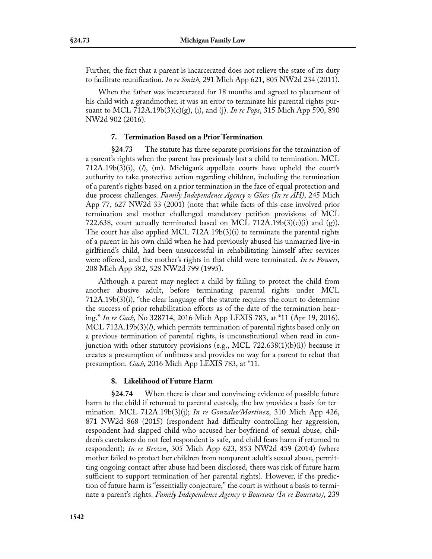Further, the fact that a parent is incarcerated does not relieve the state of its duty to facilitate reunification. *In re Smith*, 291 Mich App 621, 805 NW2d 234 (2011).

When the father was incarcerated for 18 months and agreed to placement of his child with a grandmother, it was an error to terminate his parental rights pursuant to MCL 712A.19b(3)(c)(g), (i), and (j). *In re Pops*, 315 Mich App 590, 890 NW2d 902 (2016).

## **7. Termination Based on a Prior Termination**

**§24.73** The statute has three separate provisions for the termination of a parent's rights when the parent has previously lost a child to termination. MCL 712A.19b(3)(i), (*l*), (m). Michigan's appellate courts have upheld the court's authority to take protective action regarding children, including the termination of a parent's rights based on a prior termination in the face of equal protection and due process challenges. *Family Independence Agency v Glass (In re AH)*, 245 Mich App 77, 627 NW2d 33 (2001) (note that while facts of this case involved prior termination and mother challenged mandatory petition provisions of MCL 722.638, court actually terminated based on MCL 712A.19b(3)(c)(i) and (g)). The court has also applied MCL 712A.19b(3)(i) to terminate the parental rights of a parent in his own child when he had previously abused his unmarried live-in girlfriend's child, had been unsuccessful in rehabilitating himself after services were offered, and the mother's rights in that child were terminated. *In re Powers*, 208 Mich App 582, 528 NW2d 799 (1995).

Although a parent may neglect a child by failing to protect the child from another abusive adult, before terminating parental rights under MCL 712A.19b(3)(i), "the clear language of the statute requires the court to determine the success of prior rehabilitation efforts as of the date of the termination hearing." *In re Gach*, No 328714, 2016 Mich App LEXIS 783, at \*11 (Apr 19, 2016). MCL 712A.19b(3)(*l*), which permits termination of parental rights based only on a previous termination of parental rights, is unconstitutional when read in conjunction with other statutory provisions (e.g., MCL 722.638(1)(b)(i)) because it creates a presumption of unfitness and provides no way for a parent to rebut that presumption. *Gach,* 2016 Mich App LEXIS 783, at \*11.

## **8. Likelihood of Future Harm**

**§24.74** When there is clear and convincing evidence of possible future harm to the child if returned to parental custody, the law provides a basis for termination. MCL 712A.19b(3)(j); *In re Gonzales/Martinez*, 310 Mich App 426, 871 NW2d 868 (2015) (respondent had difficulty controlling her aggression, respondent had slapped child who accused her boyfriend of sexual abuse, children's caretakers do not feel respondent is safe, and child fears harm if returned to respondent); *In re Brown*, 305 Mich App 623, 853 NW2d 459 (2014) (where mother failed to protect her children from nonparent adult's sexual abuse, permitting ongoing contact after abuse had been disclosed, there was risk of future harm sufficient to support termination of her parental rights). However, if the prediction of future harm is "essentially conjecture," the court is without a basis to terminate a parent's rights. *Family Independence Agency v Boursaw (In re Boursaw)*, 239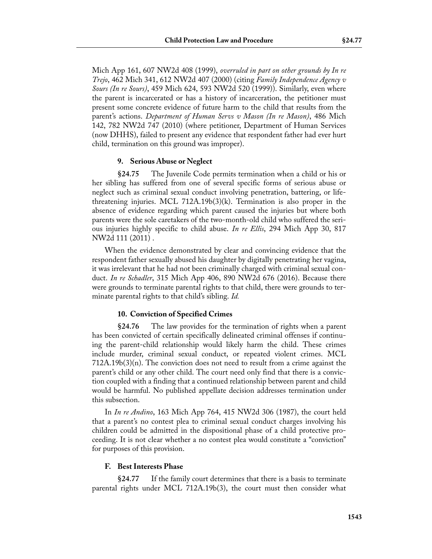Mich App 161, 607 NW2d 408 (1999), *overruled in part on other grounds by In re Trejo*, 462 Mich 341, 612 NW2d 407 (2000) (citing *Family Independence Agency v Sours (In re Sours)*, 459 Mich 624, 593 NW2d 520 (1999)). Similarly, even where the parent is incarcerated or has a history of incarceration, the petitioner must present some concrete evidence of future harm to the child that results from the parent's actions. *Department of Human Servs v Mason (In re Mason)*, 486 Mich 142, 782 NW2d 747 (2010) (where petitioner, Department of Human Services (now DHHS), failed to present any evidence that respondent father had ever hurt child, termination on this ground was improper).

#### **9. Serious Abuse or Neglect**

**§24.75** The Juvenile Code permits termination when a child or his or her sibling has suffered from one of several specific forms of serious abuse or neglect such as criminal sexual conduct involving penetration, battering, or lifethreatening injuries. MCL 712A.19b(3)(k). Termination is also proper in the absence of evidence regarding which parent caused the injuries but where both parents were the sole caretakers of the two-month-old child who suffered the serious injuries highly specific to child abuse. *In re Ellis*, 294 Mich App 30, 817 NW2d 111 (2011) .

When the evidence demonstrated by clear and convincing evidence that the respondent father sexually abused his daughter by digitally penetrating her vagina, it was irrelevant that he had not been criminally charged with criminal sexual conduct. *In re Schadler*, 315 Mich App 406, 890 NW2d 676 (2016). Because there were grounds to terminate parental rights to that child, there were grounds to terminate parental rights to that child's sibling. *Id.*

## **10. Conviction of Specified Crimes**

**§24.76** The law provides for the termination of rights when a parent has been convicted of certain specifically delineated criminal offenses if continuing the parent-child relationship would likely harm the child. These crimes include murder, criminal sexual conduct, or repeated violent crimes. MCL  $712A.19b(3)(n)$ . The conviction does not need to result from a crime against the parent's child or any other child. The court need only find that there is a conviction coupled with a finding that a continued relationship between parent and child would be harmful. No published appellate decision addresses termination under this subsection.

In *In re Andino*, 163 Mich App 764, 415 NW2d 306 (1987), the court held that a parent's no contest plea to criminal sexual conduct charges involving his children could be admitted in the dispositional phase of a child protective proceeding. It is not clear whether a no contest plea would constitute a "conviction" for purposes of this provision.

## **F. Best Interests Phase**

**§24.77** If the family court determines that there is a basis to terminate parental rights under MCL 712A.19b(3), the court must then consider what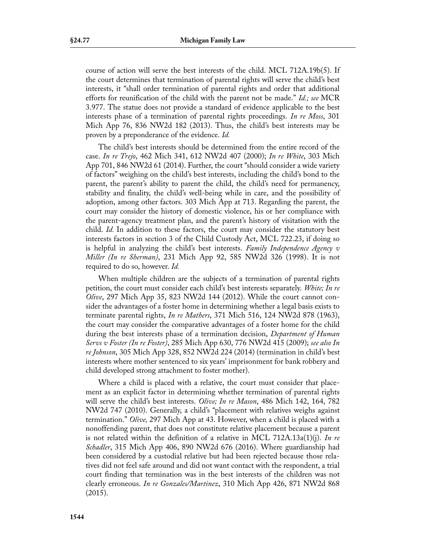course of action will serve the best interests of the child. MCL 712A.19b(5). If the court determines that termination of parental rights will serve the child's best interests, it "shall order termination of parental rights and order that additional efforts for reunification of the child with the parent not be made." *Id.; see* MCR 3.977. The statue does not provide a standard of evidence applicable to the best interests phase of a termination of parental rights proceedings. *In re Moss*, 301 Mich App 76, 836 NW2d 182 (2013). Thus, the child's best interests may be proven by a preponderance of the evidence. *Id.* 

The child's best interests should be determined from the entire record of the case. *In re Trejo*, 462 Mich 341, 612 NW2d 407 (2000); *In re White*, 303 Mich App 701, 846 NW2d 61 (2014). Further, the court "should consider a wide variety of factors" weighing on the child's best interests, including the child's bond to the parent, the parent's ability to parent the child, the child's need for permanency, stability and finality, the child's well-being while in care, and the possibility of adoption, among other factors. 303 Mich App at 713. Regarding the parent, the court may consider the history of domestic violence, his or her compliance with the parent-agency treatment plan, and the parent's history of visitation with the child. *Id.* In addition to these factors, the court may consider the statutory best interests factors in section 3 of the Child Custody Act, MCL 722.23, if doing so is helpful in analyzing the child's best interests. *Family Independence Agency v Miller (In re Sherman)*, 231 Mich App 92, 585 NW2d 326 (1998). It is not required to do so, however. *Id.*

When multiple children are the subjects of a termination of parental rights petition, the court must consider each child's best interests separately. *White; In re Olive*, 297 Mich App 35, 823 NW2d 144 (2012). While the court cannot consider the advantages of a foster home in determining whether a legal basis exists to terminate parental rights, *In re Mathers*, 371 Mich 516, 124 NW2d 878 (1963), the court may consider the comparative advantages of a foster home for the child during the best interests phase of a termination decision, *Department of Human Servs v Foster (In re Foster)*, 285 Mich App 630, 776 NW2d 415 (2009); *see also In re Johnson*, 305 Mich App 328, 852 NW2d 224 (2014) (termination in child's best interests where mother sentenced to six years' imprisonment for bank robbery and child developed strong attachment to foster mother).

Where a child is placed with a relative, the court must consider that placement as an explicit factor in determining whether termination of parental rights will serve the child's best interests. *Olive; In re Mason*, 486 Mich 142, 164, 782 NW2d 747 (2010). Generally, a child's "placement with relatives weighs against termination." *Olive,* 297 Mich App at 43. However, when a child is placed with a nonoffending parent, that does not constitute relative placement because a parent is not related within the definition of a relative in MCL 712A.13a(1)(j). *In re Schadler*, 315 Mich App 406, 890 NW2d 676 (2016). Where guardianship had been considered by a custodial relative but had been rejected because those relatives did not feel safe around and did not want contact with the respondent, a trial court finding that termination was in the best interests of the children was not clearly erroneous. *In re Gonzales/Martinez*, 310 Mich App 426, 871 NW2d 868 (2015).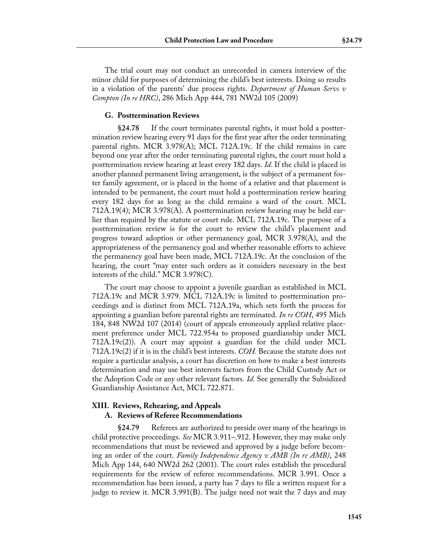The trial court may not conduct an unrecorded in camera interview of the minor child for purposes of determining the child's best interests. Doing so results in a violation of the parents' due process rights. *Department of Human Servs v Compton (In re HRC)*, 286 Mich App 444, 781 NW2d 105 (2009)

#### **G. Posttermination Reviews**

**§24.78** If the court terminates parental rights, it must hold a posttermination review hearing every 91 days for the first year after the order terminating parental rights. MCR 3.978(A); MCL 712A.19c. If the child remains in care beyond one year after the order terminating parental rights, the court must hold a posttermination review hearing at least every 182 days. *Id.* If the child is placed in another planned permanent living arrangement, is the subject of a permanent foster family agreement, or is placed in the home of a relative and that placement is intended to be permanent, the court must hold a posttermination review hearing every 182 days for as long as the child remains a ward of the court. MCL 712A.19(4); MCR 3.978(A). A posttermination review hearing may be held earlier than required by the statute or court rule. MCL 712A.19c. The purpose of a posttermination review is for the court to review the child's placement and progress toward adoption or other permanency goal, MCR 3.978(A), and the appropriateness of the permanency goal and whether reasonable efforts to achieve the permanency goal have been made, MCL 712A.19c. At the conclusion of the hearing, the court "may enter such orders as it considers necessary in the best interests of the child." MCR 3.978(C).

The court may choose to appoint a juvenile guardian as established in MCL 712A.19c and MCR 3.979. MCL 712A.19c is limited to posttermination proceedings and is distinct from MCL 712A.19a, which sets forth the process for appointing a guardian before parental rights are terminated. *In re COH*, 495 Mich 184, 848 NW2d 107 (2014) (court of appeals erroneously applied relative placement preference under MCL 722.954a to proposed guardianship under MCL 712A.19c(2)). A court may appoint a guardian for the child under MCL 712A.19c(2) if it is in the child's best interests. *COH.* Because the statute does not require a particular analysis, a court has discretion on how to make a best interests determination and may use best interests factors from the Child Custody Act or the Adoption Code or any other relevant factors. *Id.* See generally the Subsidized Guardianship Assistance Act, MCL 722.871.

# **XIII. Reviews, Rehearing, and Appeals**

#### **A. Reviews of Referee Recommendations**

**§24.79** Referees are authorized to preside over many of the hearings in child protective proceedings. *See* MCR 3.911–.912. However, they may make only recommendations that must be reviewed and approved by a judge before becoming an order of the court. *Family Independence Agency v AMB (In re AMB)*, 248 Mich App 144, 640 NW2d 262 (2001). The court rules establish the procedural requirements for the review of referee recommendations. MCR 3.991. Once a recommendation has been issued, a party has 7 days to file a written request for a judge to review it. MCR 3.991(B). The judge need not wait the 7 days and may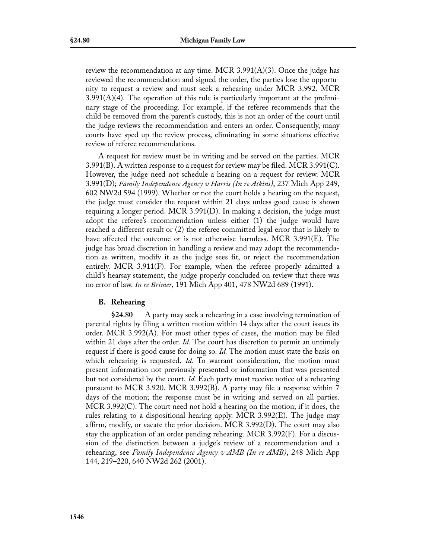review the recommendation at any time. MCR 3.991(A)(3). Once the judge has reviewed the recommendation and signed the order, the parties lose the opportunity to request a review and must seek a rehearing under MCR 3.992. MCR  $3.991(A)(4)$ . The operation of this rule is particularly important at the preliminary stage of the proceeding. For example, if the referee recommends that the child be removed from the parent's custody, this is not an order of the court until the judge reviews the recommendation and enters an order. Consequently, many courts have sped up the review process, eliminating in some situations effective review of referee recommendations.

A request for review must be in writing and be served on the parties. MCR 3.991(B). A written response to a request for review may be filed. MCR 3.991(C). However, the judge need not schedule a hearing on a request for review. MCR 3.991(D); *Family Independence Agency v Harris (In re Atkins)*, 237 Mich App 249, 602 NW2d 594 (1999). Whether or not the court holds a hearing on the request, the judge must consider the request within 21 days unless good cause is shown requiring a longer period. MCR 3.991(D). In making a decision, the judge must adopt the referee's recommendation unless either (1) the judge would have reached a different result or (2) the referee committed legal error that is likely to have affected the outcome or is not otherwise harmless. MCR 3.991(E). The judge has broad discretion in handling a review and may adopt the recommendation as written, modify it as the judge sees fit, or reject the recommendation entirely. MCR 3.911(F). For example, when the referee properly admitted a child's hearsay statement, the judge properly concluded on review that there was no error of law. *In re Brimer*, 191 Mich App 401, 478 NW2d 689 (1991).

## **B. Rehearing**

**§24.80** A party may seek a rehearing in a case involving termination of parental rights by filing a written motion within 14 days after the court issues its order. MCR 3.992(A). For most other types of cases, the motion may be filed within 21 days after the order. *Id.* The court has discretion to permit an untimely request if there is good cause for doing so. *Id.* The motion must state the basis on which rehearing is requested. *Id*. To warrant consideration, the motion must present information not previously presented or information that was presented but not considered by the court. *Id.* Each party must receive notice of a rehearing pursuant to MCR 3.920. MCR 3.992(B). A party may file a response within 7 days of the motion; the response must be in writing and served on all parties. MCR 3.992(C). The court need not hold a hearing on the motion; if it does, the rules relating to a dispositional hearing apply. MCR 3.992(E). The judge may affirm, modify, or vacate the prior decision. MCR 3.992(D). The court may also stay the application of an order pending rehearing. MCR 3.992(F). For a discussion of the distinction between a judge's review of a recommendation and a rehearing, see *Family Independence Agency v AMB (In re AMB)*, 248 Mich App 144, 219–220, 640 NW2d 262 (2001).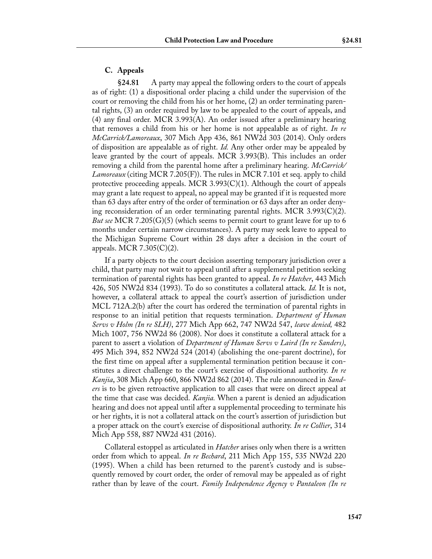# **C. Appeals**

**§24.81** A party may appeal the following orders to the court of appeals as of right: (1) a dispositional order placing a child under the supervision of the court or removing the child from his or her home, (2) an order terminating parental rights, (3) an order required by law to be appealed to the court of appeals, and (4) any final order. MCR 3.993(A). An order issued after a preliminary hearing that removes a child from his or her home is not appealable as of right. *In re McCarrick/Lamoreaux*, 307 Mich App 436, 861 NW2d 303 (2014). Only orders of disposition are appealable as of right. *Id.* Any other order may be appealed by leave granted by the court of appeals. MCR 3.993(B). This includes an order removing a child from the parental home after a preliminary hearing. *McCarrick/ Lamoreaux* (citing MCR 7.205(F)). The rules in MCR 7.101 et seq. apply to child protective proceeding appeals. MCR 3.993 $(C)(1)$ . Although the court of appeals may grant a late request to appeal, no appeal may be granted if it is requested more than 63 days after entry of the order of termination or 63 days after an order denying reconsideration of an order terminating parental rights. MCR 3.993 $(C)(2)$ . *But see* MCR 7.205(G)(5) (which seems to permit court to grant leave for up to 6 months under certain narrow circumstances). A party may seek leave to appeal to the Michigan Supreme Court within 28 days after a decision in the court of appeals. MCR 7.305(C)(2).

If a party objects to the court decision asserting temporary jurisdiction over a child, that party may not wait to appeal until after a supplemental petition seeking termination of parental rights has been granted to appeal. *In re Hatcher*, 443 Mich 426, 505 NW2d 834 (1993). To do so constitutes a collateral attack. *Id.* It is not, however, a collateral attack to appeal the court's assertion of jurisdiction under MCL 712A.2(b) after the court has ordered the termination of parental rights in response to an initial petition that requests termination. *Department of Human Servs v Holm (In re SLH)*, 277 Mich App 662, 747 NW2d 547, *leave denied,* 482 Mich 1007, 756 NW2d 86 (2008). Nor does it constitute a collateral attack for a parent to assert a violation of *Department of Human Servs v Laird (In re Sanders)*, 495 Mich 394, 852 NW2d 524 (2014) (abolishing the one-parent doctrine), for the first time on appeal after a supplemental termination petition because it constitutes a direct challenge to the court's exercise of dispositional authority. *In re Kanjia*, 308 Mich App 660, 866 NW2d 862 (2014). The rule announced in *Sanders* is to be given retroactive application to all cases that were on direct appeal at the time that case was decided. *Kanjia.* When a parent is denied an adjudication hearing and does not appeal until after a supplemental proceeding to terminate his or her rights, it is not a collateral attack on the court's assertion of jurisdiction but a proper attack on the court's exercise of dispositional authority. *In re Collier*, 314 Mich App 558, 887 NW2d 431 (2016).

Collateral estoppel as articulated in *Hatcher* arises only when there is a written order from which to appeal. *In re Bechard*, 211 Mich App 155, 535 NW2d 220 (1995). When a child has been returned to the parent's custody and is subsequently removed by court order, the order of removal may be appealed as of right rather than by leave of the court. *Family Independence Agency v Pantaleon (In re*